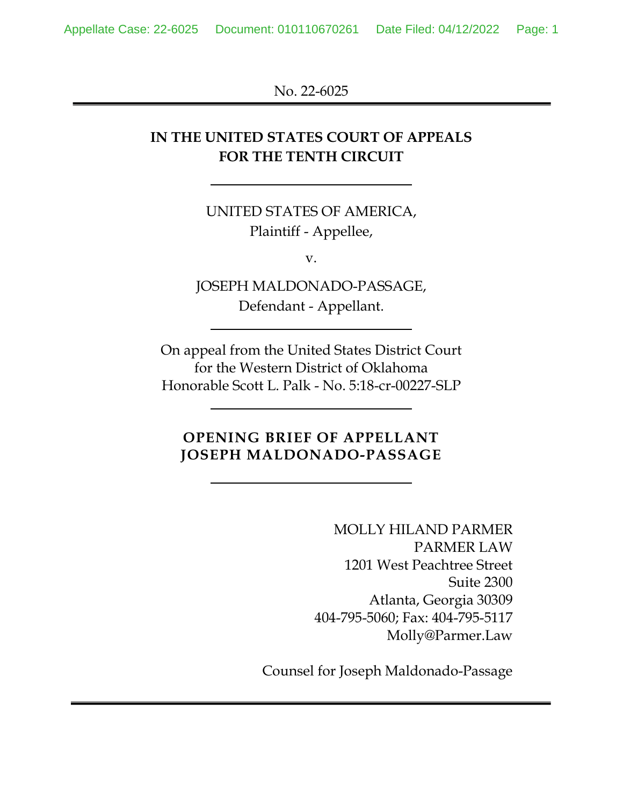No. 22-6025

# **IN THE UNITED STATES COURT OF APPEALS FOR THE TENTH CIRCUIT**

UNITED STATES OF AMERICA, Plaintiff - Appellee,

v.

JOSEPH MALDONADO-PASSAGE, Defendant - Appellant.

On appeal from the United States District Court for the Western District of Oklahoma Honorable Scott L. Palk - No. 5:18-cr-00227-SLP

## **OPENING BRIEF OF APPELLANT JOSEPH MALDONADO-PASSAGE**

MOLLY HILAND PARMER PARMER LAW 1201 West Peachtree Street Suite 2300 Atlanta, Georgia 30309 404-795-5060; Fax: 404-795-5117 Molly@Parmer.Law

Counsel for Joseph Maldonado-Passage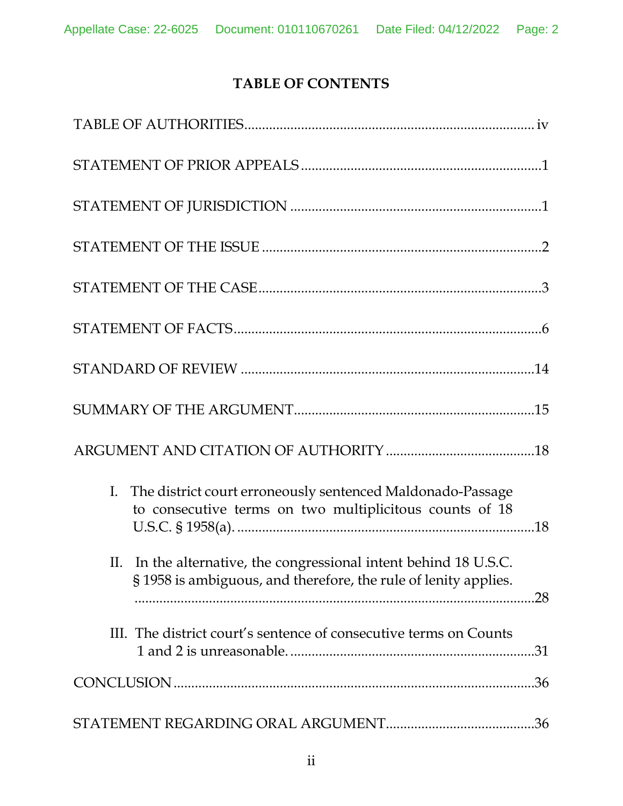# **TABLE OF CONTENTS**

| I. The district court erroneously sentenced Maldonado-Passage<br>to consecutive terms on two multiplicitous counts of 18                   |
|--------------------------------------------------------------------------------------------------------------------------------------------|
| II. In the alternative, the congressional intent behind 18 U.S.C.<br>§1958 is ambiguous, and therefore, the rule of lenity applies.<br>.28 |
| III. The district court's sentence of consecutive terms on Counts                                                                          |
| .36                                                                                                                                        |
|                                                                                                                                            |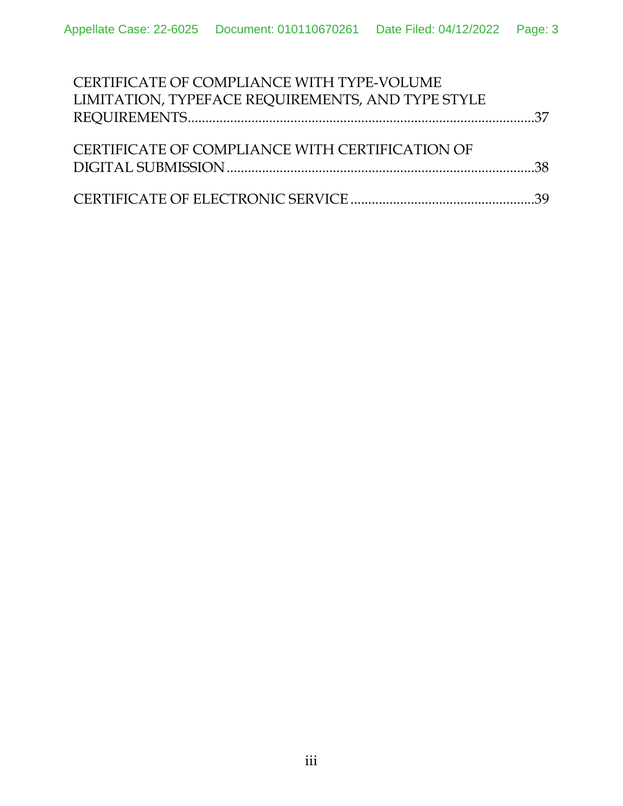| CERTIFICATE OF COMPLIANCE WITH TYPE-VOLUME        |  |
|---------------------------------------------------|--|
| LIMITATION, TYPEFACE REQUIREMENTS, AND TYPE STYLE |  |
|                                                   |  |
|                                                   |  |
| CERTIFICATE OF COMPLIANCE WITH CERTIFICATION OF   |  |
|                                                   |  |
|                                                   |  |
|                                                   |  |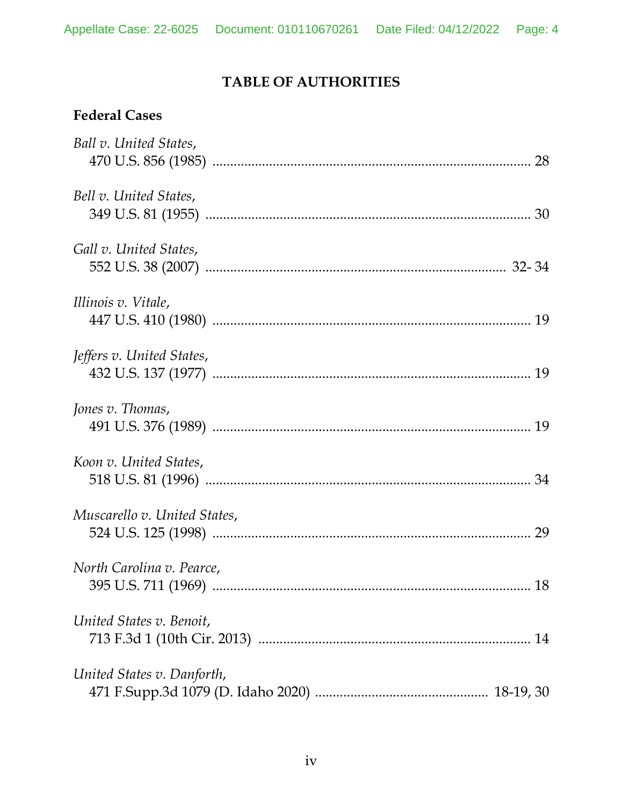# **TABLE OF AUTHORITIES**

# **Federal Cases**

| Ball v. United States,       |
|------------------------------|
| Bell v. United States,       |
| Gall v. United States,       |
| Illinois v. Vitale,          |
| Jeffers v. United States,    |
| Jones v. Thomas,             |
| Koon v. United States,       |
| Muscarello v. United States, |
| North Carolina v. Pearce,    |
| United States v. Benoit,     |
| United States v. Danforth,   |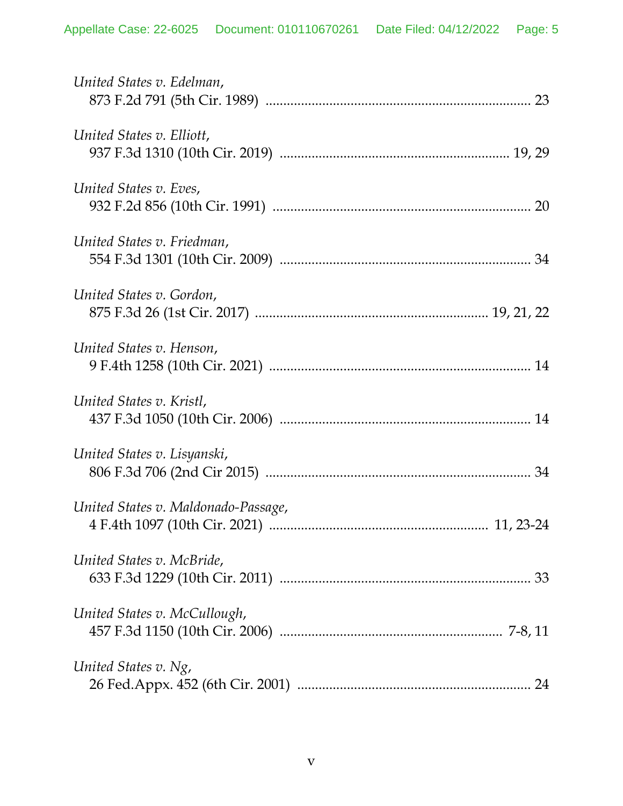| United States v. Edelman,           |
|-------------------------------------|
| United States v. Elliott,           |
| United States v. Eves,              |
| United States v. Friedman,          |
| United States v. Gordon,            |
| United States v. Henson,            |
| United States v. Kristl,            |
| United States v. Lisyanski,         |
| United States v. Maldonado-Passage, |
| United States v. McBride,           |
| United States v. McCullough,        |
| United States v. Ng,                |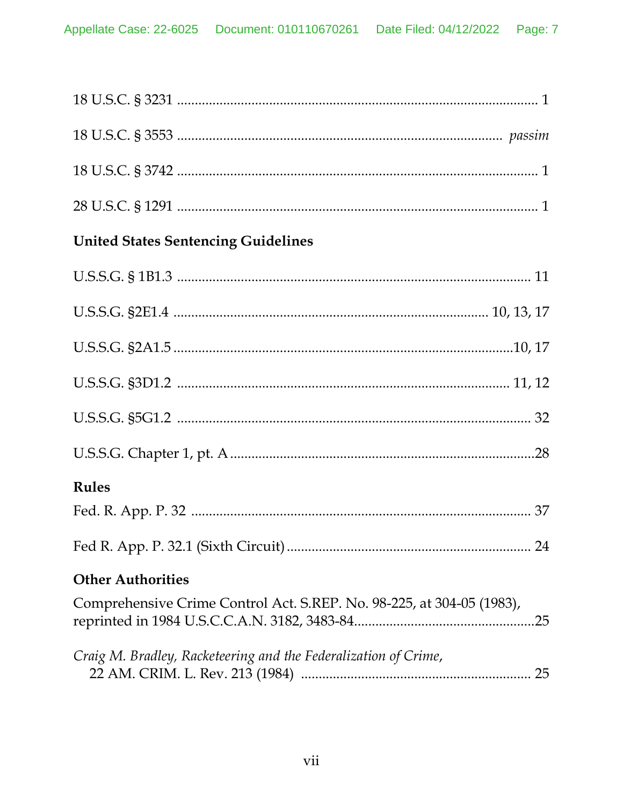| <b>United States Sentencing Guidelines</b>                                   |
|------------------------------------------------------------------------------|
|                                                                              |
|                                                                              |
|                                                                              |
|                                                                              |
|                                                                              |
|                                                                              |
| <b>Rules</b>                                                                 |
|                                                                              |
|                                                                              |
| <b>Other Authorities</b>                                                     |
| Comprehensive Crime Control Act. S.REP. No. 98-225, at 304-05 (1983),<br>.25 |
| Craig M. Bradley, Racketeering and the Federalization of Crime,              |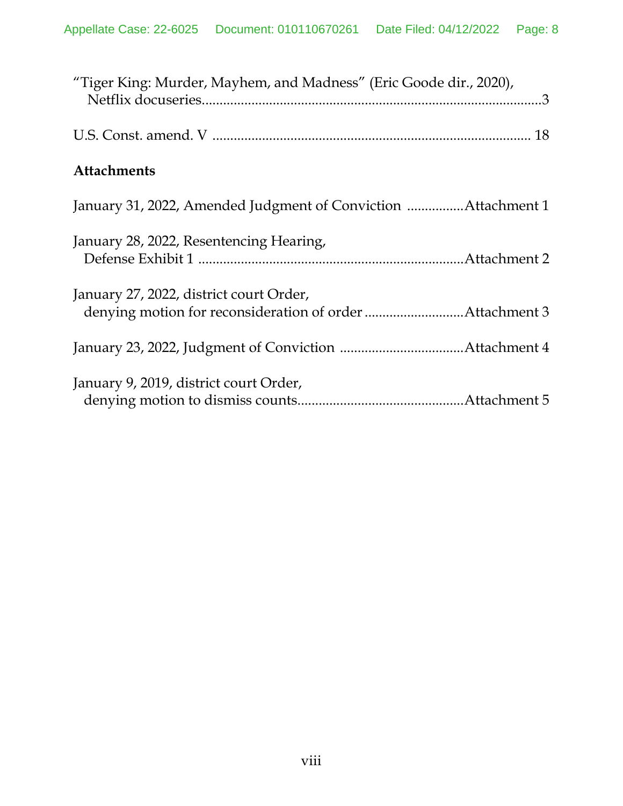| "Tiger King: Murder, Mayhem, and Madness" (Eric Goode dir., 2020), |
|--------------------------------------------------------------------|
|                                                                    |
| <b>Attachments</b>                                                 |
| January 31, 2022, Amended Judgment of Conviction Attachment 1      |
| January 28, 2022, Resentencing Hearing,                            |
| January 27, 2022, district court Order,                            |
|                                                                    |
| January 9, 2019, district court Order,                             |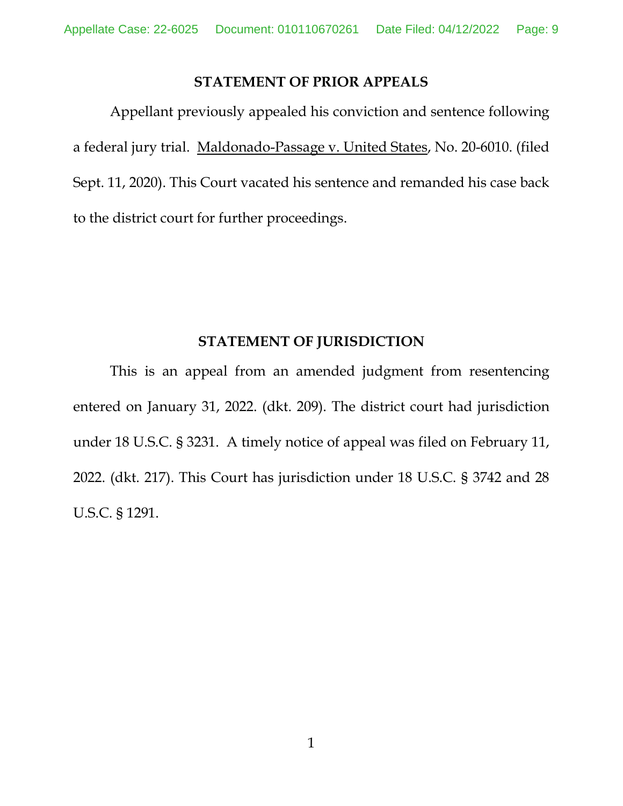### **STATEMENT OF PRIOR APPEALS**

Appellant previously appealed his conviction and sentence following a federal jury trial. Maldonado-Passage v. United States, No. 20-6010. (filed Sept. 11, 2020). This Court vacated his sentence and remanded his case back to the district court for further proceedings.

### <span id="page-8-2"></span><span id="page-8-1"></span>**STATEMENT OF JURISDICTION**

<span id="page-8-0"></span>This is an appeal from an amended judgment from resentencing entered on January 31, 2022. (dkt. 209). The district court had jurisdiction under 18 U.S.C. § 3231. A timely notice of appeal was filed on February 11, 2022. (dkt. 217). This Court has jurisdiction under 18 U.S.C. § 3742 and 28 U.S.C. § 1291.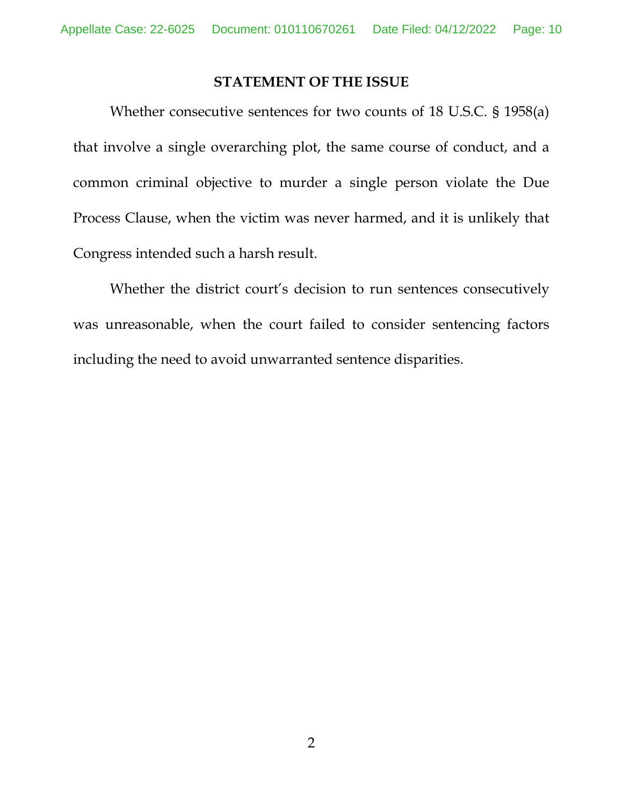#### **STATEMENT OF THE ISSUE**

Whether consecutive sentences for two counts of 18 U.S.C. § 1958(a) that involve a single overarching plot, the same course of conduct, and a common criminal objective to murder a single person violate the Due Process Clause, when the victim was never harmed, and it is unlikely that Congress intended such a harsh result.

Whether the district court's decision to run sentences consecutively was unreasonable, when the court failed to consider sentencing factors including the need to avoid unwarranted sentence disparities.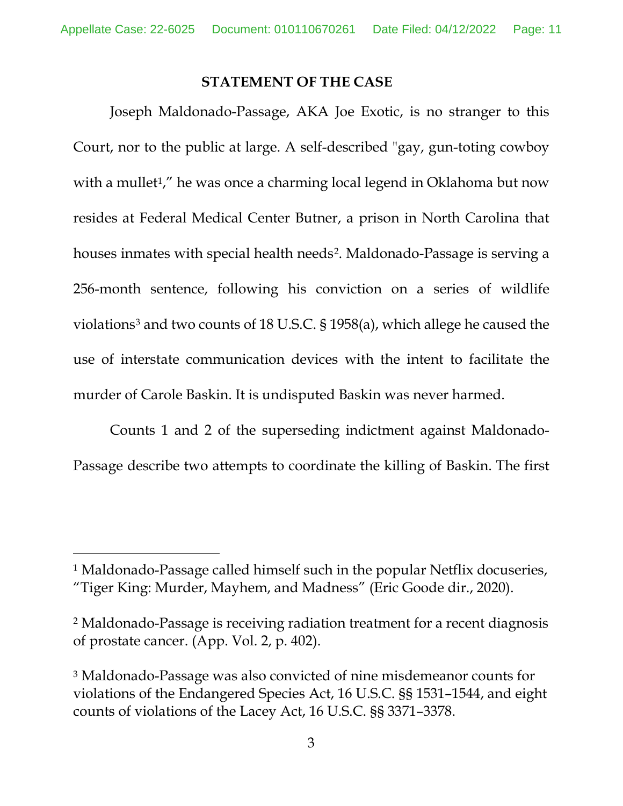### **STATEMENT OF THE CASE**

Joseph Maldonado-Passage, AKA Joe Exotic, is no stranger to this Court, nor to the public at large. A self-described "gay, gun-toting cowboy with a mullet<sup>1</sup>," he was once a charming local legend in Oklahoma but now resides at Federal Medical Center Butner, a prison in North Carolina that houses inmates with special health needs<sup>[2](#page-10-2)</sup>. Maldonado-Passage is serving a 256-month sentence, following his conviction on a series of wildlife violations[3](#page-10-3) and two counts of 18 U.S.C. § 1958(a), which allege he caused the use of interstate communication devices with the intent to facilitate the murder of Carole Baskin. It is undisputed Baskin was never harmed.

Counts 1 and 2 of the superseding indictment against Maldonado-Passage describe two attempts to coordinate the killing of Baskin. The first

<span id="page-10-1"></span> <sup>1</sup> Maldonado-Passage called himself such in the popular Netflix docuseries, "Tiger King: Murder, Mayhem, and Madness" (Eric Goode dir., 2020).

<span id="page-10-2"></span><sup>2</sup> Maldonado-Passage is receiving radiation treatment for a recent diagnosis of prostate cancer. (App. Vol. 2, p. 402).

<span id="page-10-3"></span><span id="page-10-0"></span><sup>3</sup> Maldonado-Passage was also convicted of nine misdemeanor counts for violations of the Endangered Species Act, 16 U.S.C. §§ 1531–1544, and eight counts of violations of the Lacey Act, 16 U.S.C. §§ 3371–3378.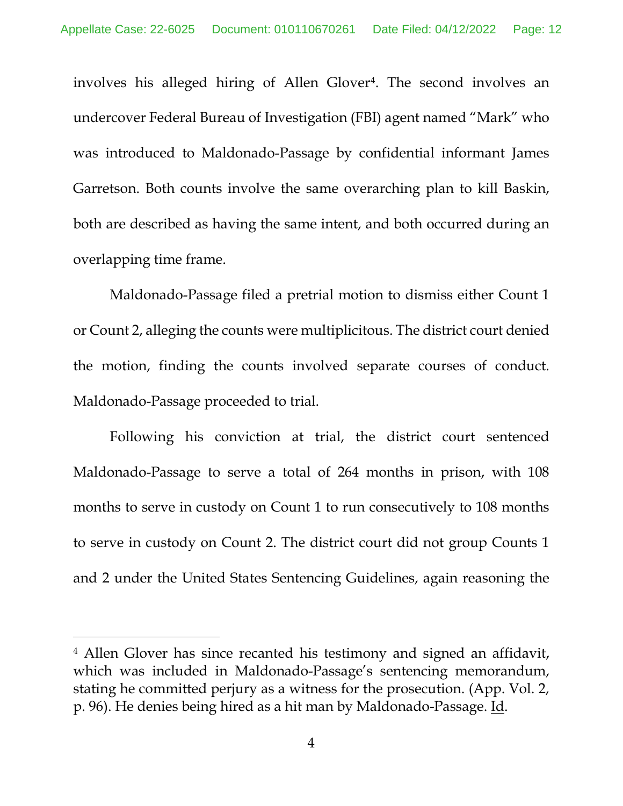involves his alleged hiring of Allen Glover<sup>4</sup>. The second involves an undercover Federal Bureau of Investigation (FBI) agent named "Mark" who was introduced to Maldonado-Passage by confidential informant James Garretson. Both counts involve the same overarching plan to kill Baskin, both are described as having the same intent, and both occurred during an overlapping time frame.

Maldonado-Passage filed a pretrial motion to dismiss either Count 1 or Count 2, alleging the counts were multiplicitous. The district court denied the motion, finding the counts involved separate courses of conduct. Maldonado-Passage proceeded to trial.

Following his conviction at trial, the district court sentenced Maldonado-Passage to serve a total of 264 months in prison, with 108 months to serve in custody on Count 1 to run consecutively to 108 months to serve in custody on Count 2. The district court did not group Counts 1 and 2 under the United States Sentencing Guidelines, again reasoning the

<span id="page-11-0"></span> <sup>4</sup> Allen Glover has since recanted his testimony and signed an affidavit, which was included in Maldonado-Passage's sentencing memorandum, stating he committed perjury as a witness for the prosecution. (App. Vol. 2, p. 96). He denies being hired as a hit man by Maldonado-Passage. Id.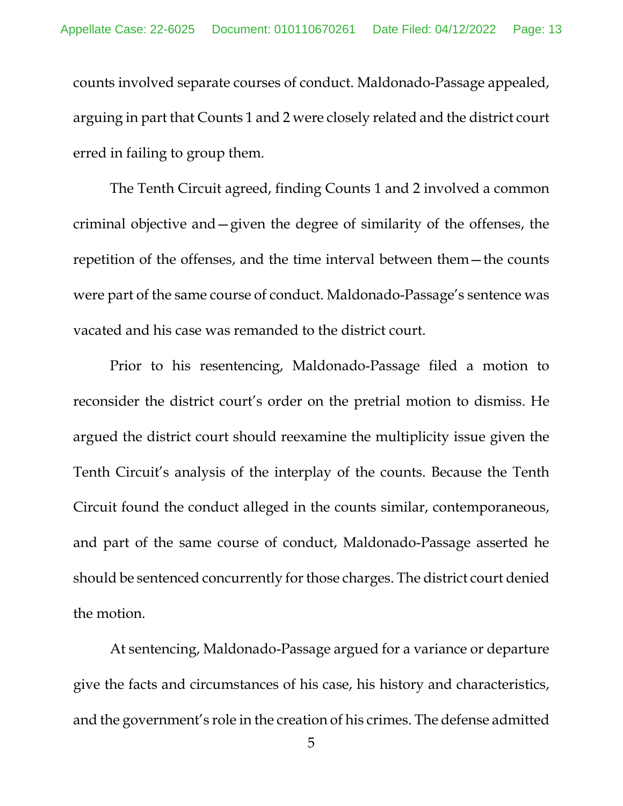counts involved separate courses of conduct. Maldonado-Passage appealed, arguing in part that Counts 1 and 2 were closely related and the district court erred in failing to group them.

The Tenth Circuit agreed, finding Counts 1 and 2 involved a common criminal objective and—given the degree of similarity of the offenses, the repetition of the offenses, and the time interval between them—the counts were part of the same course of conduct. Maldonado-Passage's sentence was vacated and his case was remanded to the district court.

Prior to his resentencing, Maldonado-Passage filed a motion to reconsider the district court's order on the pretrial motion to dismiss. He argued the district court should reexamine the multiplicity issue given the Tenth Circuit's analysis of the interplay of the counts. Because the Tenth Circuit found the conduct alleged in the counts similar, contemporaneous, and part of the same course of conduct, Maldonado-Passage asserted he should be sentenced concurrently for those charges. The district court denied the motion.

At sentencing, Maldonado-Passage argued for a variance or departure give the facts and circumstances of his case, his history and characteristics, and the government's role in the creation of his crimes. The defense admitted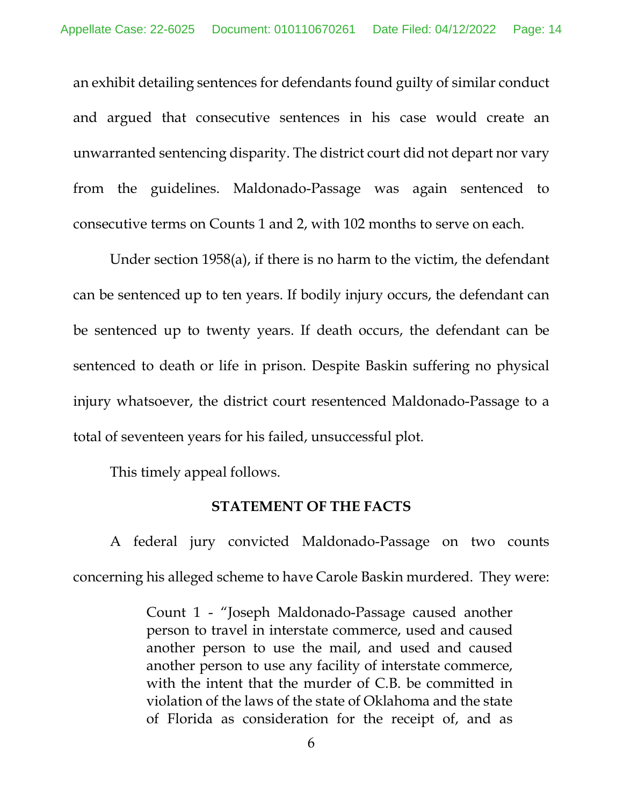an exhibit detailing sentences for defendants found guilty of similar conduct and argued that consecutive sentences in his case would create an unwarranted sentencing disparity. The district court did not depart nor vary from the guidelines. Maldonado-Passage was again sentenced to consecutive terms on Counts 1 and 2, with 102 months to serve on each.

Under section 1958(a), if there is no harm to the victim, the defendant can be sentenced up to ten years. If bodily injury occurs, the defendant can be sentenced up to twenty years. If death occurs, the defendant can be sentenced to death or life in prison. Despite Baskin suffering no physical injury whatsoever, the district court resentenced Maldonado-Passage to a total of seventeen years for his failed, unsuccessful plot.

This timely appeal follows.

### **STATEMENT OF THE FACTS**

A federal jury convicted Maldonado-Passage on two counts concerning his alleged scheme to have Carole Baskin murdered. They were:

> Count 1 - "Joseph Maldonado-Passage caused another person to travel in interstate commerce, used and caused another person to use the mail, and used and caused another person to use any facility of interstate commerce, with the intent that the murder of C.B. be committed in violation of the laws of the state of Oklahoma and the state of Florida as consideration for the receipt of, and as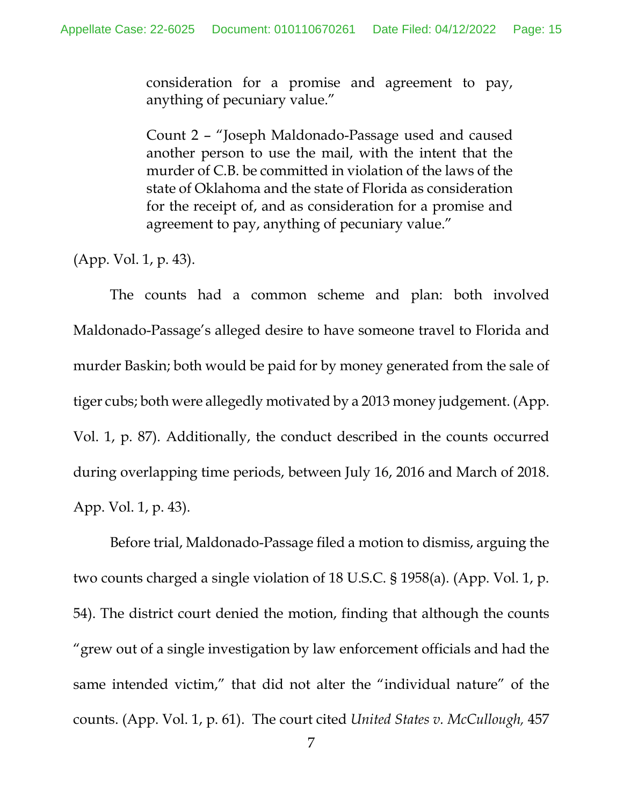consideration for a promise and agreement to pay, anything of pecuniary value."

Count 2 – "Joseph Maldonado-Passage used and caused another person to use the mail, with the intent that the murder of C.B. be committed in violation of the laws of the state of Oklahoma and the state of Florida as consideration for the receipt of, and as consideration for a promise and agreement to pay, anything of pecuniary value."

(App. Vol. 1, p. 43).

The counts had a common scheme and plan: both involved Maldonado-Passage's alleged desire to have someone travel to Florida and murder Baskin; both would be paid for by money generated from the sale of tiger cubs; both were allegedly motivated by a 2013 money judgement. (App. Vol. 1, p. 87). Additionally, the conduct described in the counts occurred during overlapping time periods, between July 16, 2016 and March of 2018. App. Vol. 1, p. 43).

<span id="page-14-0"></span>Before trial, Maldonado-Passage filed a motion to dismiss, arguing the two counts charged a single violation of 18 U.S.C. § 1958(a). (App. Vol. 1, p. 54). The district court denied the motion, finding that although the counts "grew out of a single investigation by law enforcement officials and had the same intended victim," that did not alter the "individual nature" of the counts. (App. Vol. 1, p. 61). The court cited *United States v. McCullough,* 457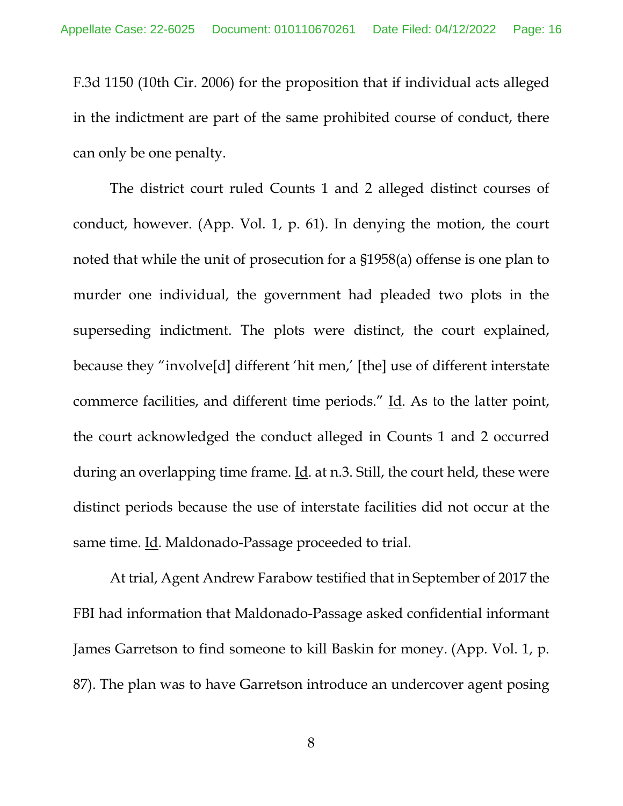F.3d 1150 (10th Cir. 2006) for the proposition that if individual acts alleged in the indictment are part of the same prohibited course of conduct, there can only be one penalty.

The district court ruled Counts 1 and 2 alleged distinct courses of conduct, however. (App. Vol. 1, p. 61). In denying the motion, the court noted that while the unit of prosecution for a §1958(a) offense is one plan to murder one individual, the government had pleaded two plots in the superseding indictment. The plots were distinct, the court explained, because they "involve[d] different 'hit men,' [the] use of different interstate commerce facilities, and different time periods." Id. As to the latter point, the court acknowledged the conduct alleged in Counts 1 and 2 occurred during an overlapping time frame. Id. at n.3. Still, the court held, these were distinct periods because the use of interstate facilities did not occur at the same time. Id. Maldonado-Passage proceeded to trial.

At trial, Agent Andrew Farabow testified that in September of 2017 the FBI had information that Maldonado-Passage asked confidential informant James Garretson to find someone to kill Baskin for money. (App. Vol. 1, p. 87). The plan was to have Garretson introduce an undercover agent posing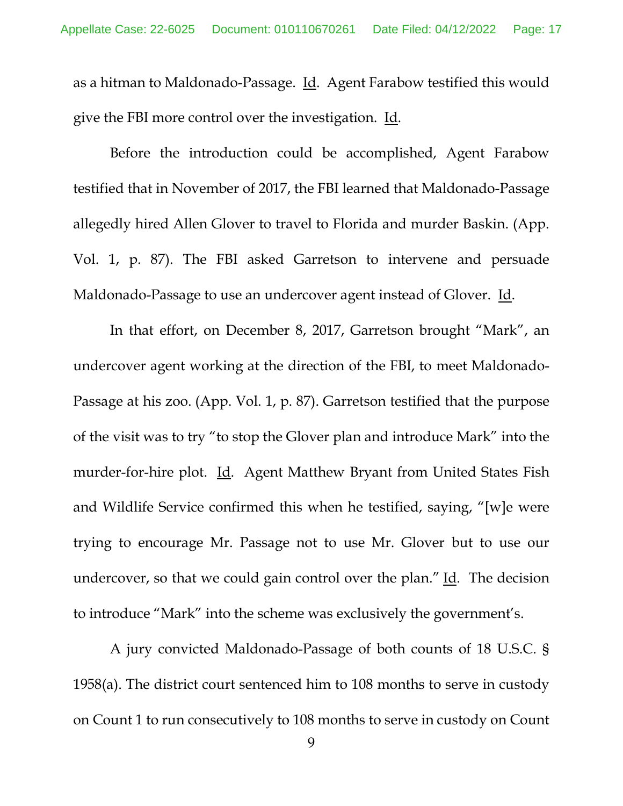as a hitman to Maldonado-Passage. Id. Agent Farabow testified this would give the FBI more control over the investigation. Id.

Before the introduction could be accomplished, Agent Farabow testified that in November of 2017, the FBI learned that Maldonado-Passage allegedly hired Allen Glover to travel to Florida and murder Baskin. (App. Vol. 1, p. 87). The FBI asked Garretson to intervene and persuade Maldonado-Passage to use an undercover agent instead of Glover. Id.

In that effort, on December 8, 2017, Garretson brought "Mark", an undercover agent working at the direction of the FBI, to meet Maldonado-Passage at his zoo. (App. Vol. 1, p. 87). Garretson testified that the purpose of the visit was to try "to stop the Glover plan and introduce Mark" into the murder-for-hire plot. Id. Agent Matthew Bryant from United States Fish and Wildlife Service confirmed this when he testified, saying, "[w]e were trying to encourage Mr. Passage not to use Mr. Glover but to use our undercover, so that we could gain control over the plan."  $\underline{Id}$ . The decision to introduce "Mark" into the scheme was exclusively the government's.

A jury convicted Maldonado-Passage of both counts of 18 U.S.C. § 1958(a). The district court sentenced him to 108 months to serve in custody on Count 1 to run consecutively to 108 months to serve in custody on Count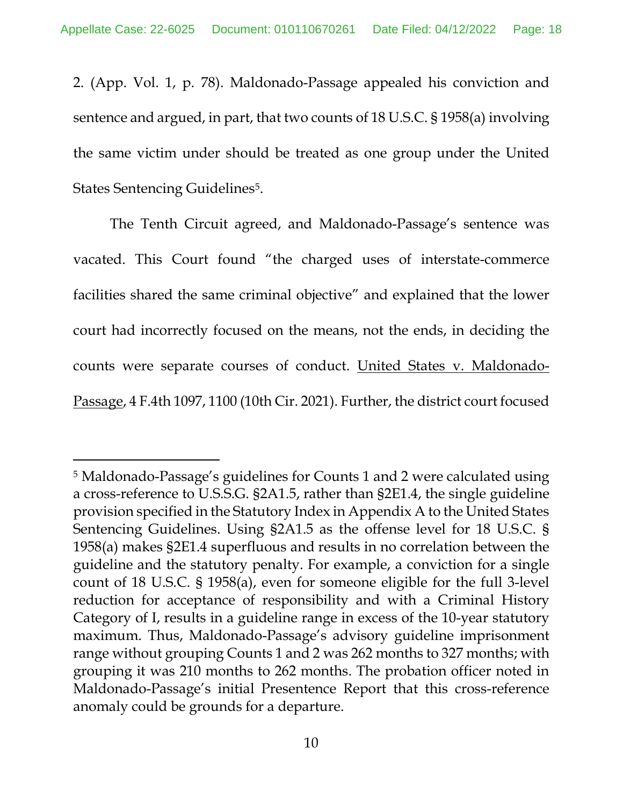2. (App. Vol. 1, p. 78). Maldonado-Passage appealed his conviction and sentence and argued, in part, that two counts of 18 U.S.C. § 1958(a) involving the same victim under should be treated as one group under the United States Sentencing Guidelines<sup>[5](#page-17-1)</sup>.

The Tenth Circuit agreed, and Maldonado-Passage's sentence was vacated. This Court found "the charged uses of interstate-commerce facilities shared the same criminal objective" and explained that the lower court had incorrectly focused on the means, not the ends, in deciding the counts were separate courses of conduct. United States v. Maldonado-Passage, 4 F.4th 1097, 1100 (10th Cir. 2021). Further, the district court focused

<span id="page-17-1"></span><span id="page-17-0"></span> <sup>5</sup> Maldonado-Passage's guidelines for Counts 1 and 2 were calculated using a cross-reference to U.S.S.G. §2A1.5, rather than §2E1.4, the single guideline provision specified in the Statutory Index in Appendix A to the United States Sentencing Guidelines. Using §2A1.5 as the offense level for 18 U.S.C. § 1958(a) makes §2E1.4 superfluous and results in no correlation between the guideline and the statutory penalty. For example, a conviction for a single count of 18 U.S.C. § 1958(a), even for someone eligible for the full 3-level reduction for acceptance of responsibility and with a Criminal History Category of I, results in a guideline range in excess of the 10-year statutory maximum. Thus, Maldonado-Passage's advisory guideline imprisonment range without grouping Counts 1 and 2 was 262 months to 327 months; with grouping it was 210 months to 262 months. The probation officer noted in Maldonado-Passage's initial Presentence Report that this cross-reference anomaly could be grounds for a departure.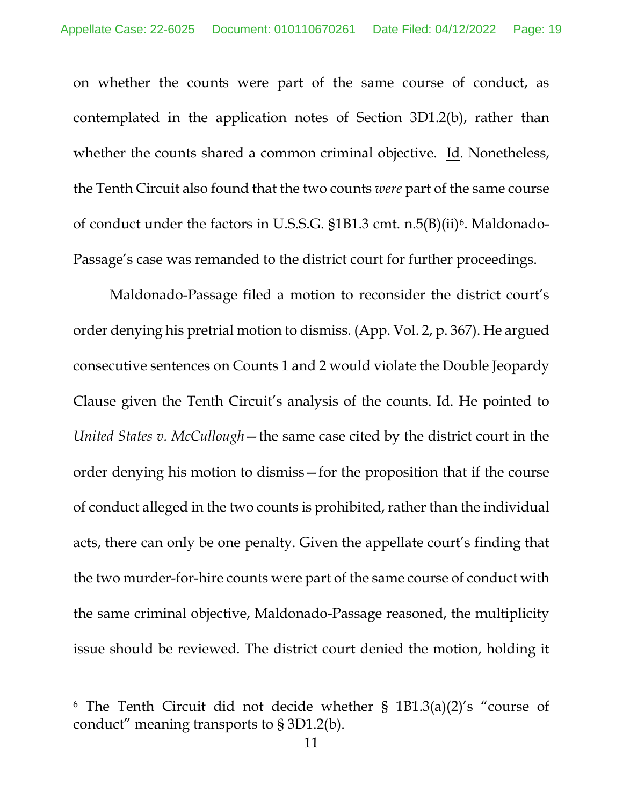<span id="page-18-1"></span>on whether the counts were part of the same course of conduct, as contemplated in the application notes of Section 3D1.2(b), rather than whether the counts shared a common criminal objective. Id. Nonetheless, the Tenth Circuit also found that the two counts *were* part of the same course of conduct under the factors in U.S.S.G. §1B1.3 cmt. n.5(B)(ii)[6](#page-18-2). Maldonado-Passage's case was remanded to the district court for further proceedings.

<span id="page-18-0"></span>Maldonado-Passage filed a motion to reconsider the district court's order denying his pretrial motion to dismiss. (App. Vol. 2, p. 367). He argued consecutive sentences on Counts 1 and 2 would violate the Double Jeopardy Clause given the Tenth Circuit's analysis of the counts. Id. He pointed to *United States v. McCullough*—the same case cited by the district court in the order denying his motion to dismiss—for the proposition that if the course of conduct alleged in the two counts is prohibited, rather than the individual acts, there can only be one penalty. Given the appellate court's finding that the two murder-for-hire counts were part of the same course of conduct with the same criminal objective, Maldonado-Passage reasoned, the multiplicity issue should be reviewed. The district court denied the motion, holding it

<span id="page-18-2"></span> <sup>6</sup> The Tenth Circuit did not decide whether § 1B1.3(a)(2)'s "course of conduct" meaning transports to § 3D1.2(b).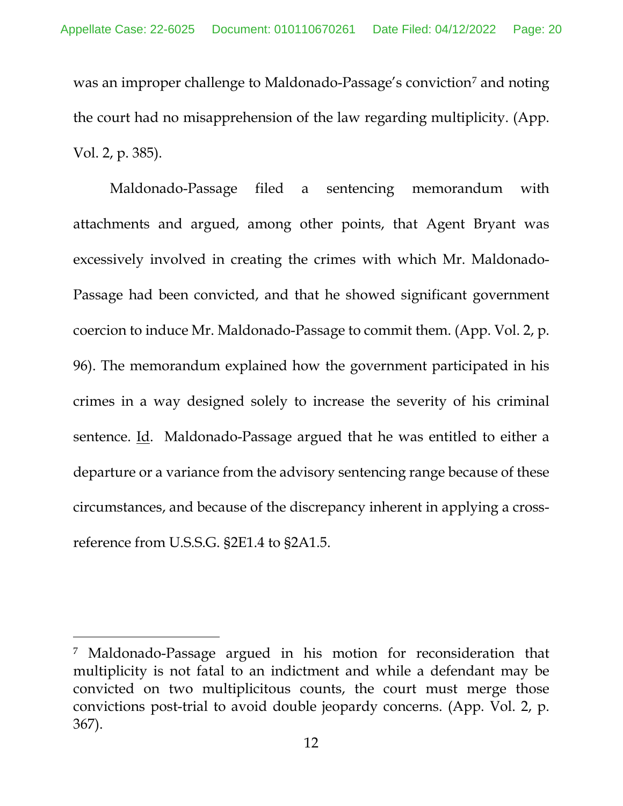was an improper challenge to Maldonado-Passage's conviction<sup>[7](#page-19-2)</sup> and noting the court had no misapprehension of the law regarding multiplicity. (App. Vol. 2, p. 385).

Maldonado-Passage filed a sentencing memorandum with attachments and argued, among other points, that Agent Bryant was excessively involved in creating the crimes with which Mr. Maldonado-Passage had been convicted, and that he showed significant government coercion to induce Mr. Maldonado-Passage to commit them. (App. Vol. 2, p. 96). The memorandum explained how the government participated in his crimes in a way designed solely to increase the severity of his criminal sentence. Id. Maldonado-Passage argued that he was entitled to either a departure or a variance from the advisory sentencing range because of these circumstances, and because of the discrepancy inherent in applying a crossreference from U.S.S.G. §2E1.4 to §2A1.5.

<span id="page-19-2"></span><span id="page-19-1"></span><span id="page-19-0"></span> <sup>7</sup> Maldonado-Passage argued in his motion for reconsideration that multiplicity is not fatal to an indictment and while a defendant may be convicted on two multiplicitous counts, the court must merge those convictions post-trial to avoid double jeopardy concerns. (App. Vol. 2, p. 367).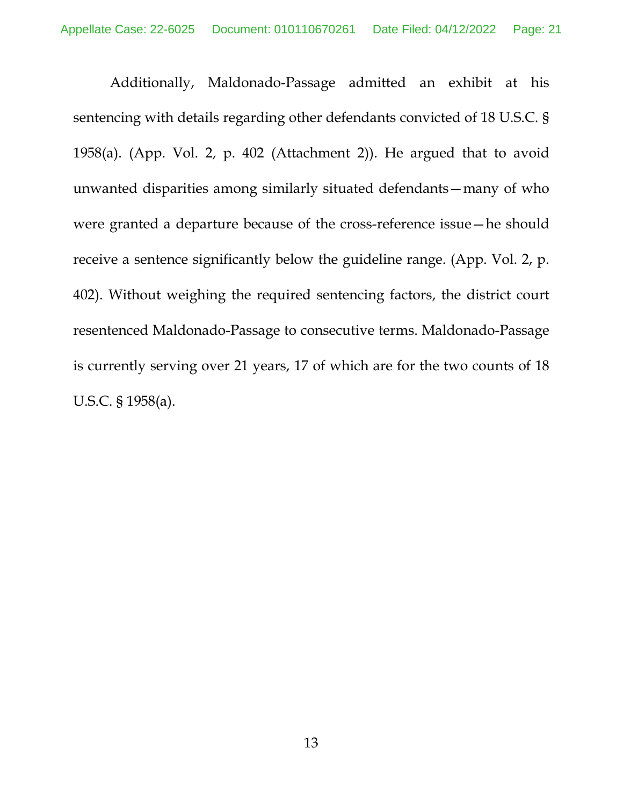Additionally, Maldonado-Passage admitted an exhibit at his sentencing with details regarding other defendants convicted of 18 U.S.C. § 1958(a). (App. Vol. 2, p. 402 (Attachment 2)). He argued that to avoid unwanted disparities among similarly situated defendants—many of who were granted a departure because of the cross-reference issue—he should receive a sentence significantly below the guideline range. (App. Vol. 2, p. 402). Without weighing the required sentencing factors, the district court resentenced Maldonado-Passage to consecutive terms. Maldonado-Passage is currently serving over 21 years, 17 of which are for the two counts of 18 U.S.C. § 1958(a).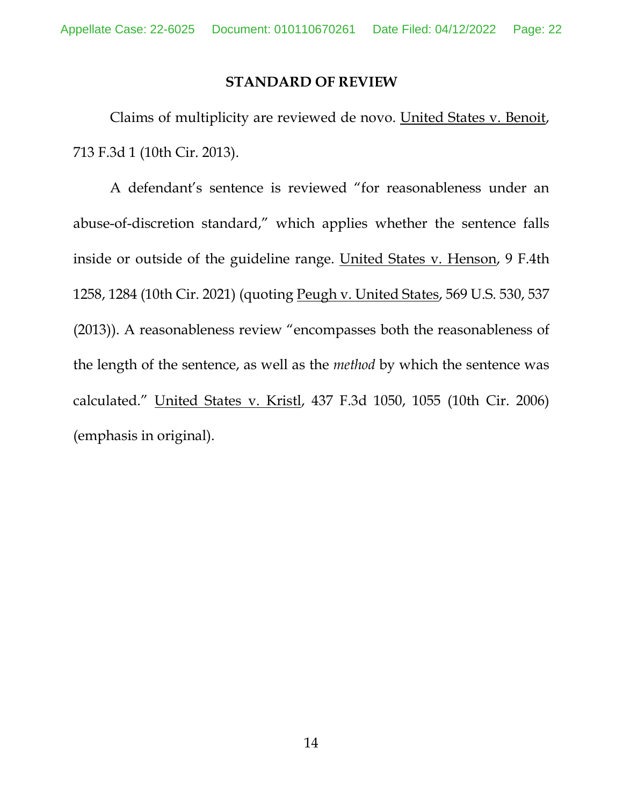## <span id="page-21-1"></span><span id="page-21-0"></span>**STANDARD OF REVIEW**

Claims of multiplicity are reviewed de novo. United States v. Benoit, 713 F.3d 1 (10th Cir. 2013).

<span id="page-21-2"></span>A defendant's sentence is reviewed "for reasonableness under an abuse-of-discretion standard," which applies whether the sentence falls inside or outside of the guideline range. United States v. Henson, 9 F.4th 1258, 1284 (10th Cir. 2021) (quoting Peugh v. United States, 569 U.S. 530, 537 (2013)). A reasonableness review "encompasses both the reasonableness of the length of the sentence, as well as the *method* by which the sentence was calculated." United States v. Kristl, 437 F.3d 1050, 1055 (10th Cir. 2006) (emphasis in original).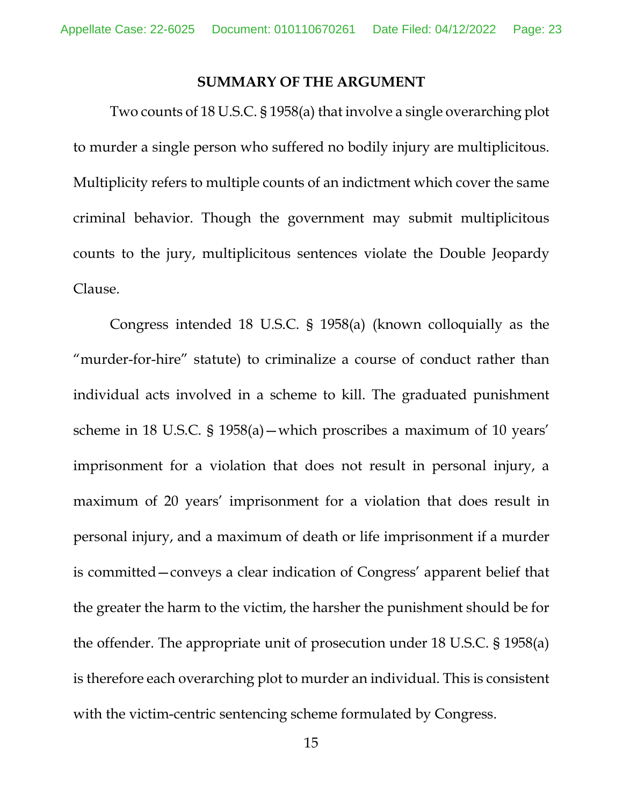### **SUMMARY OF THE ARGUMENT**

Two counts of 18 U.S.C. § 1958(a) that involve a single overarching plot to murder a single person who suffered no bodily injury are multiplicitous. Multiplicity refers to multiple counts of an indictment which cover the same criminal behavior. Though the government may submit multiplicitous counts to the jury, multiplicitous sentences violate the Double Jeopardy Clause.

Congress intended 18 U.S.C. § 1958(a) (known colloquially as the "murder-for-hire" statute) to criminalize a course of conduct rather than individual acts involved in a scheme to kill. The graduated punishment scheme in 18 U.S.C. § 1958(a)—which proscribes a maximum of 10 years' imprisonment for a violation that does not result in personal injury, a maximum of 20 years' imprisonment for a violation that does result in personal injury, and a maximum of death or life imprisonment if a murder is committed—conveys a clear indication of Congress' apparent belief that the greater the harm to the victim, the harsher the punishment should be for the offender. The appropriate unit of prosecution under 18 U.S.C. § 1958(a) is therefore each overarching plot to murder an individual. This is consistent with the victim-centric sentencing scheme formulated by Congress.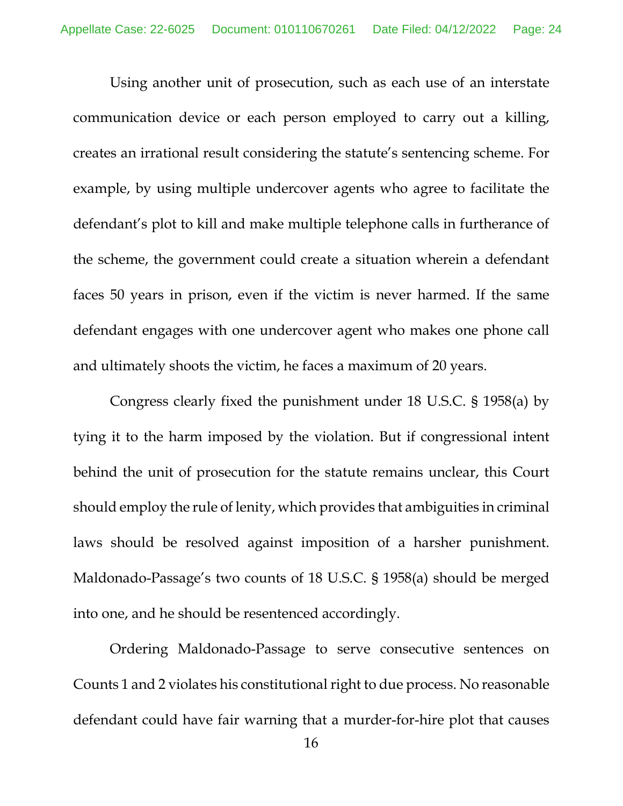Using another unit of prosecution, such as each use of an interstate communication device or each person employed to carry out a killing, creates an irrational result considering the statute's sentencing scheme. For example, by using multiple undercover agents who agree to facilitate the defendant's plot to kill and make multiple telephone calls in furtherance of the scheme, the government could create a situation wherein a defendant faces 50 years in prison, even if the victim is never harmed. If the same defendant engages with one undercover agent who makes one phone call and ultimately shoots the victim, he faces a maximum of 20 years.

Congress clearly fixed the punishment under 18 U.S.C. § 1958(a) by tying it to the harm imposed by the violation. But if congressional intent behind the unit of prosecution for the statute remains unclear, this Court should employ the rule of lenity, which provides that ambiguities in criminal laws should be resolved against imposition of a harsher punishment. Maldonado-Passage's two counts of 18 U.S.C. § 1958(a) should be merged into one, and he should be resentenced accordingly.

Ordering Maldonado-Passage to serve consecutive sentences on Counts 1 and 2 violates his constitutional right to due process. No reasonable defendant could have fair warning that a murder-for-hire plot that causes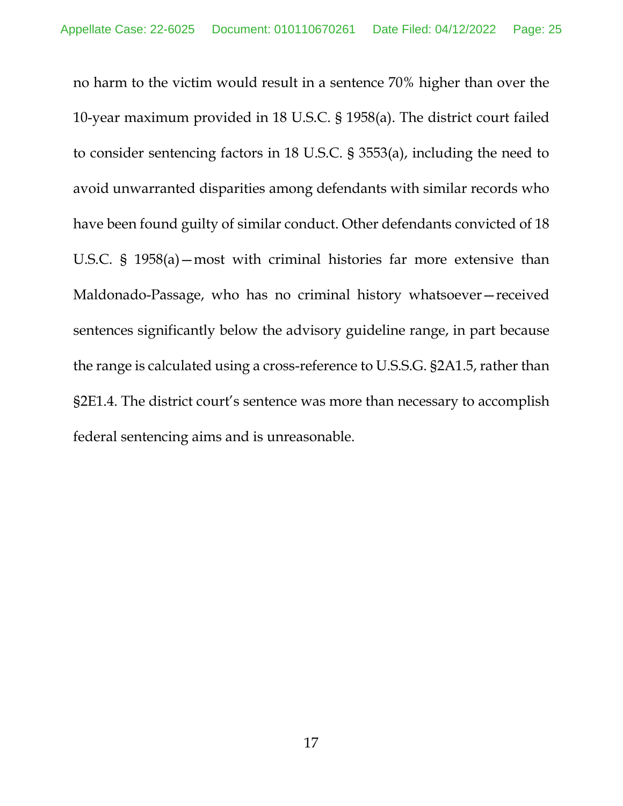no harm to the victim would result in a sentence 70% higher than over the 10-year maximum provided in 18 U.S.C. § 1958(a). The district court failed to consider sentencing factors in 18 U.S.C. § 3553(a), including the need to avoid unwarranted disparities among defendants with similar records who have been found guilty of similar conduct. Other defendants convicted of 18 U.S.C. § 1958(a)—most with criminal histories far more extensive than Maldonado-Passage, who has no criminal history whatsoever—received sentences significantly below the advisory guideline range, in part because the range is calculated using a cross-reference to U.S.S.G. §2A1.5, rather than §2E1.4. The district court's sentence was more than necessary to accomplish federal sentencing aims and is unreasonable.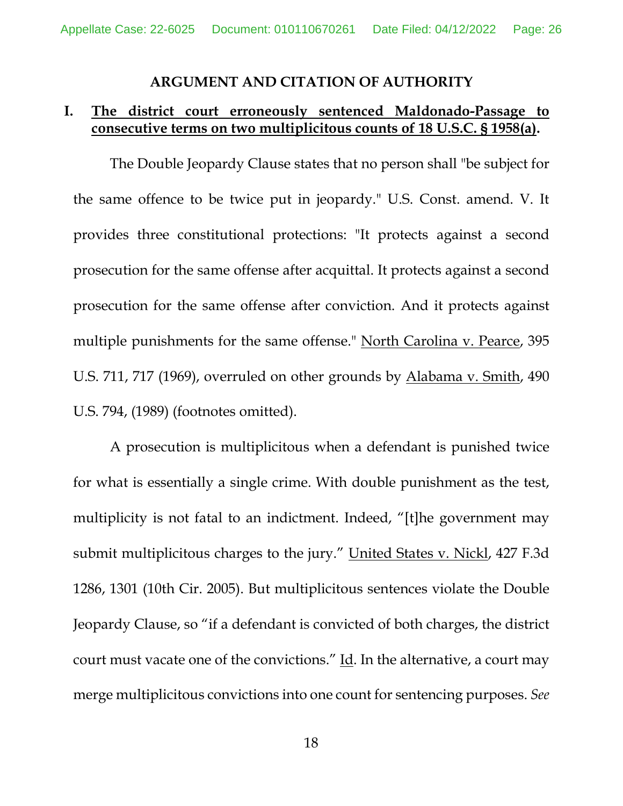### <span id="page-25-3"></span>**ARGUMENT AND CITATION OF AUTHORITY**

## **I. The district court erroneously sentenced Maldonado-Passage to consecutive terms on two multiplicitous counts of 18 U.S.C. § 1958(a).**

The Double Jeopardy Clause states that no person shall "be subject for the same offence to be twice put in jeopardy." U.S. Const. amend. V. It provides three constitutional protections: "It protects against a second prosecution for the same offense after acquittal. It protects against a second prosecution for the same offense after conviction. And it protects against multiple punishments for the same offense." North Carolina v. Pearce, 395 U.S. 711, 717 (1969), overruled on other grounds by Alabama v. Smith, 490 U.S. 794, (1989) (footnotes omitted).

<span id="page-25-2"></span><span id="page-25-1"></span><span id="page-25-0"></span>A prosecution is multiplicitous when a defendant is punished twice for what is essentially a single crime. With double punishment as the test, multiplicity is not fatal to an indictment. Indeed, "[t]he government may submit multiplicitous charges to the jury." United States v. Nickl, 427 F.3d 1286, 1301 (10th Cir. 2005). But multiplicitous sentences violate the Double Jeopardy Clause, so "if a defendant is convicted of both charges, the district court must vacate one of the convictions." Id. In the alternative, a court may merge multiplicitous convictions into one count for sentencing purposes. *See*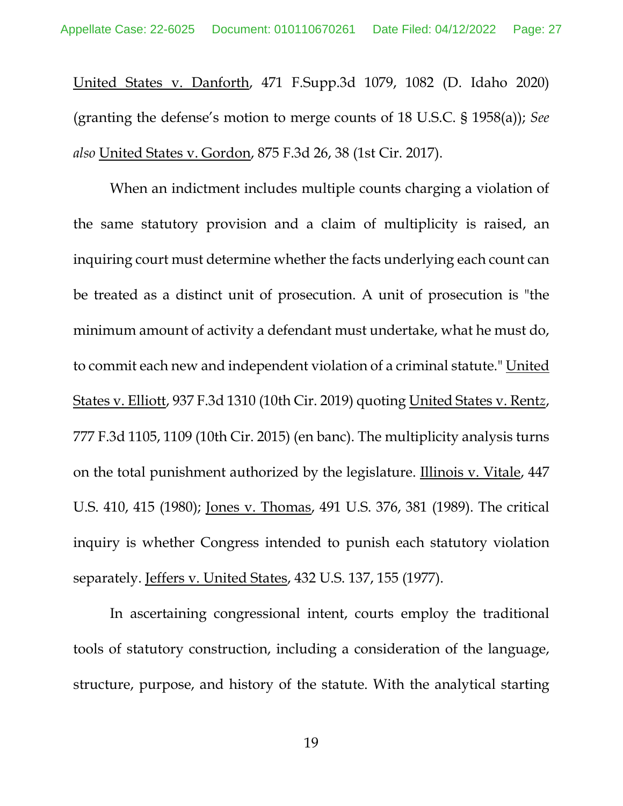<span id="page-26-4"></span>United States v. Danforth, 471 F.Supp.3d 1079, 1082 (D. Idaho 2020) (granting the defense's motion to merge counts of 18 U.S.C. § 1958(a)); *See also* United States v. Gordon, 875 F.3d 26, 38 (1st Cir. 2017).

<span id="page-26-3"></span>When an indictment includes multiple counts charging a violation of the same statutory provision and a claim of multiplicity is raised, an inquiring court must determine whether the facts underlying each count can be treated as a distinct unit of prosecution. A unit of prosecution is "the minimum amount of activity a defendant must undertake, what he must do, to commit each new and independent violation of a criminal statute." United States v. Elliott, 937 F.3d 1310 (10th Cir. 2019) quoting United States v. Rent*z*, 777 F.3d 1105, 1109 (10th Cir. 2015) (en banc). The multiplicity analysis turns on the total punishment authorized by the legislature. Illinois v. Vitale, 447 U.S. 410, 415 (1980); Jones v. Thomas, 491 U.S. 376, 381 (1989). The critical inquiry is whether Congress intended to punish each statutory violation separately. Jeffers v. United States, 432 U.S. 137, 155 (1977).

<span id="page-26-2"></span><span id="page-26-1"></span><span id="page-26-0"></span>In ascertaining congressional intent, courts employ the traditional tools of statutory construction, including a consideration of the language, structure, purpose, and history of the statute. With the analytical starting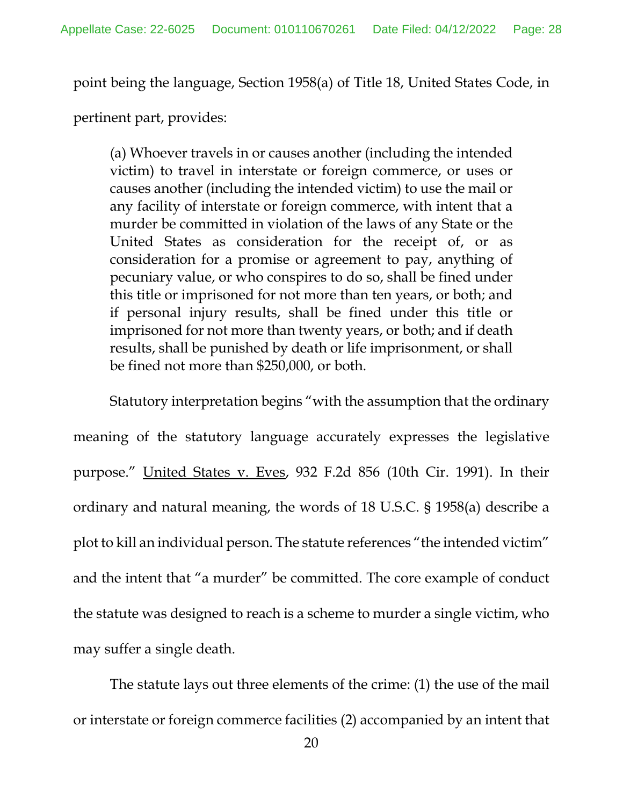point being the language, Section 1958(a) of Title 18, United States Code, in

pertinent part, provides:

(a) Whoever travels in or causes another (including the intended victim) to travel in interstate or foreign commerce, or uses or causes another (including the intended victim) to use the mail or any facility of interstate or foreign commerce, with intent that a murder be committed in violation of the laws of any State or the United States as consideration for the receipt of, or as consideration for a promise or agreement to pay, anything of pecuniary value, or who conspires to do so, shall be fined under this title or imprisoned for not more than ten years, or both; and if personal injury results, shall be fined under this title or imprisoned for not more than twenty years, or both; and if death results, shall be punished by death or life imprisonment, or shall be fined not more than \$250,000, or both.

<span id="page-27-0"></span>Statutory interpretation begins "with the assumption that the ordinary meaning of the statutory language accurately expresses the legislative purpose." United States v. Eves, 932 F.2d 856 (10th Cir. 1991). In their ordinary and natural meaning, the words of 18 U.S.C. § 1958(a) describe a plot to kill an individual person. The statute references "the intended victim" and the intent that "a murder" be committed. The core example of conduct the statute was designed to reach is a scheme to murder a single victim, who may suffer a single death.

The statute lays out three elements of the crime: (1) the use of the mail or interstate or foreign commerce facilities (2) accompanied by an intent that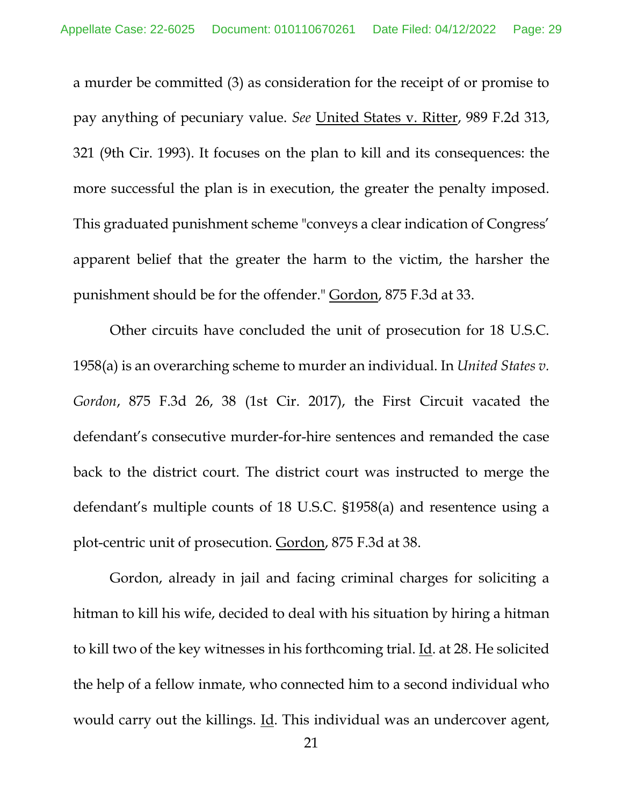<span id="page-28-1"></span>a murder be committed (3) as consideration for the receipt of or promise to pay anything of pecuniary value. *See* United States v. Ritter, 989 F.2d 313, 321 (9th Cir. 1993). It focuses on the plan to kill and its consequences: the more successful the plan is in execution, the greater the penalty imposed. This graduated punishment scheme "conveys a clear indication of Congress' apparent belief that the greater the harm to the victim, the harsher the punishment should be for the offender." Gordon, 875 F.3d at 33.

<span id="page-28-0"></span>Other circuits have concluded the unit of prosecution for 18 U.S.C. 1958(a) is an overarching scheme to murder an individual. In *United States v. Gordon*, 875 F.3d 26, 38 (1st Cir. 2017), the First Circuit vacated the defendant's consecutive murder-for-hire sentences and remanded the case back to the district court. The district court was instructed to merge the defendant's multiple counts of 18 U.S.C. §1958(a) and resentence using a plot-centric unit of prosecution. Gordon, 875 F.3d at 38.

Gordon, already in jail and facing criminal charges for soliciting a hitman to kill his wife, decided to deal with his situation by hiring a hitman to kill two of the key witnesses in his forthcoming trial. Id. at 28. He solicited the help of a fellow inmate, who connected him to a second individual who would carry out the killings. Id. This individual was an undercover agent,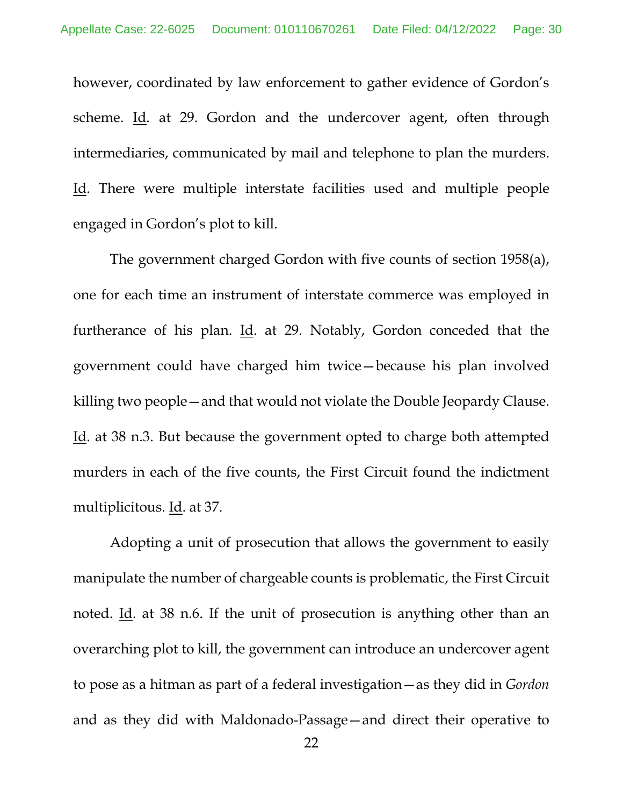however, coordinated by law enforcement to gather evidence of Gordon's scheme. Id. at 29. Gordon and the undercover agent, often through intermediaries, communicated by mail and telephone to plan the murders. Id. There were multiple interstate facilities used and multiple people engaged in Gordon's plot to kill.

The government charged Gordon with five counts of section 1958(a), one for each time an instrument of interstate commerce was employed in furtherance of his plan.  $\underline{Id}$ . at 29. Notably, Gordon conceded that the government could have charged him twice—because his plan involved killing two people—and that would not violate the Double Jeopardy Clause. Id. at 38 n.3. But because the government opted to charge both attempted murders in each of the five counts, the First Circuit found the indictment multiplicitous. Id. at 37.

Adopting a unit of prosecution that allows the government to easily manipulate the number of chargeable counts is problematic, the First Circuit noted. Id. at 38 n.6. If the unit of prosecution is anything other than an overarching plot to kill, the government can introduce an undercover agent to pose as a hitman as part of a federal investigation—as they did in *Gordon* and as they did with Maldonado-Passage—and direct their operative to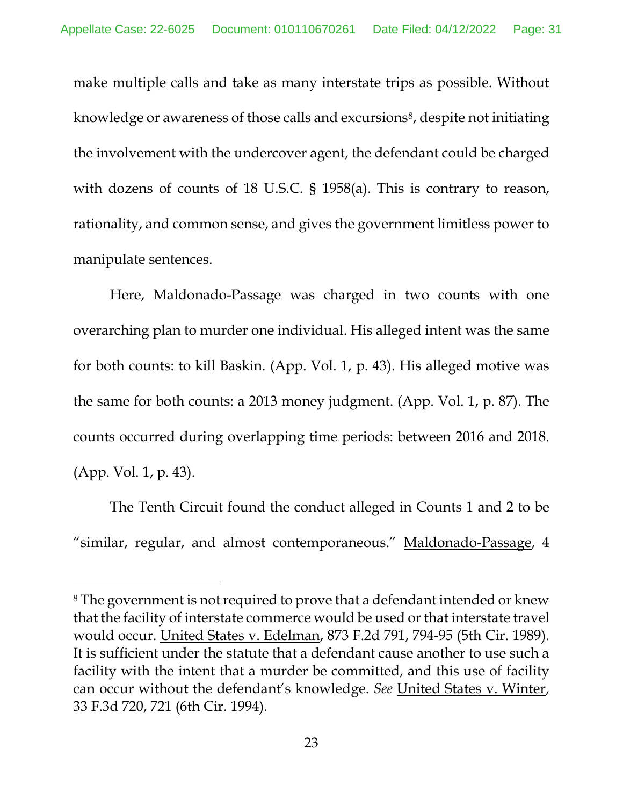make multiple calls and take as many interstate trips as possible. Without knowledge or awareness of those calls and excursions<sup>[8](#page-30-3)</sup>, despite not initiating the involvement with the undercover agent, the defendant could be charged with dozens of counts of 18 U.S.C. § 1958(a). This is contrary to reason, rationality, and common sense, and gives the government limitless power to manipulate sentences.

Here, Maldonado-Passage was charged in two counts with one overarching plan to murder one individual. His alleged intent was the same for both counts: to kill Baskin. (App. Vol. 1, p. 43). His alleged motive was the same for both counts: a 2013 money judgment. (App. Vol. 1, p. 87). The counts occurred during overlapping time periods: between 2016 and 2018. (App. Vol. 1, p. 43).

<span id="page-30-1"></span>The Tenth Circuit found the conduct alleged in Counts 1 and 2 to be "similar, regular, and almost contemporaneous." Maldonado-Passage, 4

<span id="page-30-3"></span><span id="page-30-2"></span><span id="page-30-0"></span> <sup>8</sup> The government is not required to prove that a defendant intended or knew that the facility of interstate commerce would be used or that interstate travel would occur. United States v. Edelman, 873 F.2d 791, 794-95 (5th Cir. 1989). It is sufficient under the statute that a defendant cause another to use such a facility with the intent that a murder be committed, and this use of facility can occur without the defendant's knowledge. *See* United States v. Winter, 33 F.3d 720, 721 (6th Cir. 1994).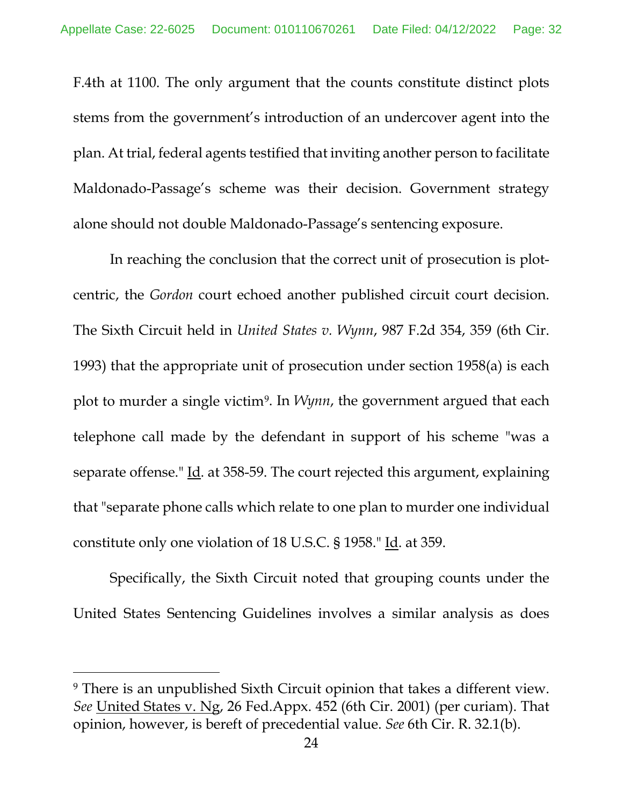F.4th at 1100. The only argument that the counts constitute distinct plots stems from the government's introduction of an undercover agent into the plan. At trial, federal agents testified that inviting another person to facilitate Maldonado-Passage's scheme was their decision. Government strategy alone should not double Maldonado-Passage's sentencing exposure.

<span id="page-31-1"></span>In reaching the conclusion that the correct unit of prosecution is plotcentric, the *Gordon* court echoed another published circuit court decision. The Sixth Circuit held in *United States v. Wynn*, 987 F.2d 354, 359 (6th Cir. 1993) that the appropriate unit of prosecution under section 1958(a) is each plot to murder a single victim[9](#page-31-3). In *Wynn*, the government argued that each telephone call made by the defendant in support of his scheme "was a separate offense." Id. at 358-59. The court rejected this argument, explaining that "separate phone calls which relate to one plan to murder one individual constitute only one violation of 18 U.S.C. § 1958." Id. at 359.

Specifically, the Sixth Circuit noted that grouping counts under the United States Sentencing Guidelines involves a similar analysis as does

<span id="page-31-3"></span><span id="page-31-2"></span><span id="page-31-0"></span> <sup>9</sup> There is an unpublished Sixth Circuit opinion that takes a different view. *See* United States v. Ng, 26 Fed.Appx. 452 (6th Cir. 2001) (per curiam). That opinion, however, is bereft of precedential value. *See* 6th Cir. R. 32.1(b).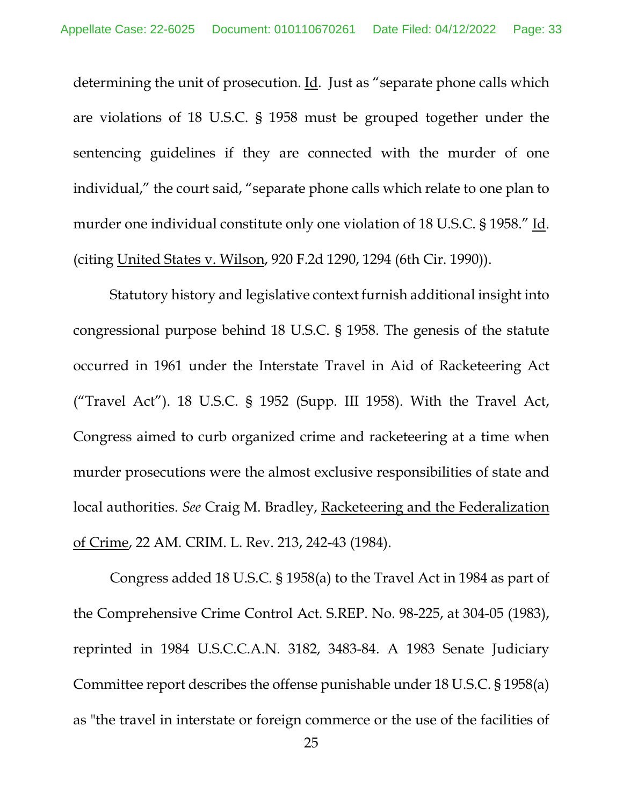determining the unit of prosecution. Id. Just as "separate phone calls which are violations of 18 U.S.C. § 1958 must be grouped together under the sentencing guidelines if they are connected with the murder of one individual," the court said, "separate phone calls which relate to one plan to murder one individual constitute only one violation of 18 U.S.C. § 1958." Id. (citing United States v. Wilson, 920 F.2d 1290, 1294 (6th Cir. 1990)).

<span id="page-32-0"></span>Statutory history and legislative context furnish additional insight into congressional purpose behind 18 U.S.C. § 1958. The genesis of the statute occurred in 1961 under the Interstate Travel in Aid of Racketeering Act ("Travel Act"). 18 U.S.C. § 1952 (Supp. III 1958). With the Travel Act, Congress aimed to curb organized crime and racketeering at a time when murder prosecutions were the almost exclusive responsibilities of state and local authorities. *See* Craig M. Bradley, Racketeering and the Federalization of Crime, 22 AM. CRIM. L. Rev. 213, 242-43 (1984).

<span id="page-32-1"></span>Congress added 18 U.S.C. § 1958(a) to the Travel Act in 1984 as part of the Comprehensive Crime Control Act. S.REP. No. 98-225, at 304-05 (1983), reprinted in 1984 U.S.C.C.A.N. 3182, 3483-84. A 1983 Senate Judiciary Committee report describes the offense punishable under 18 U.S.C. § 1958(a) as "the travel in interstate or foreign commerce or the use of the facilities of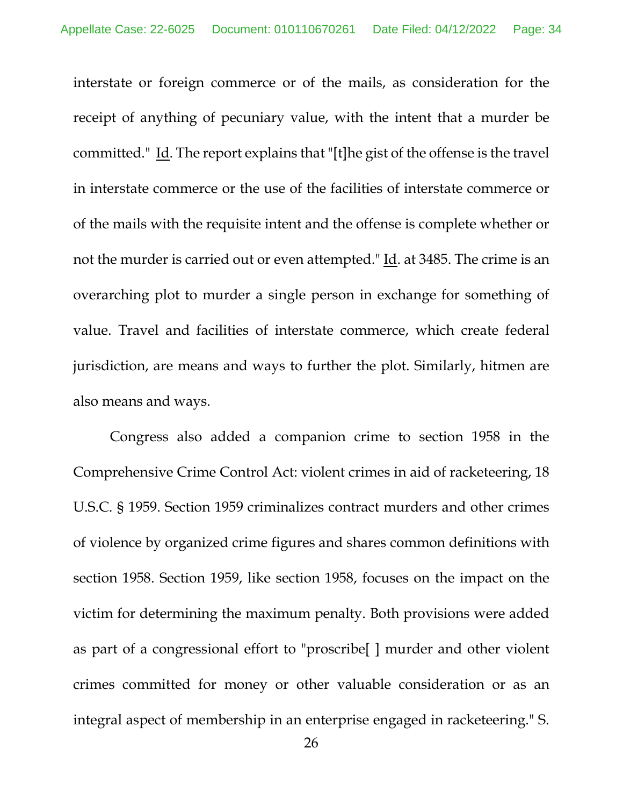interstate or foreign commerce or of the mails, as consideration for the receipt of anything of pecuniary value, with the intent that a murder be committed." Id. The report explains that "[t]he gist of the offense is the travel in interstate commerce or the use of the facilities of interstate commerce or of the mails with the requisite intent and the offense is complete whether or not the murder is carried out or even attempted." Id. at 3485. The crime is an overarching plot to murder a single person in exchange for something of value. Travel and facilities of interstate commerce, which create federal jurisdiction, are means and ways to further the plot. Similarly, hitmen are also means and ways.

<span id="page-33-0"></span>Congress also added a companion crime to section 1958 in the Comprehensive Crime Control Act: violent crimes in aid of racketeering, 18 U.S.C. § 1959. Section 1959 criminalizes contract murders and other crimes of violence by organized crime figures and shares common definitions with section 1958. Section 1959, like section 1958, focuses on the impact on the victim for determining the maximum penalty. Both provisions were added as part of a congressional effort to "proscribe[ ] murder and other violent crimes committed for money or other valuable consideration or as an integral aspect of membership in an enterprise engaged in racketeering." S.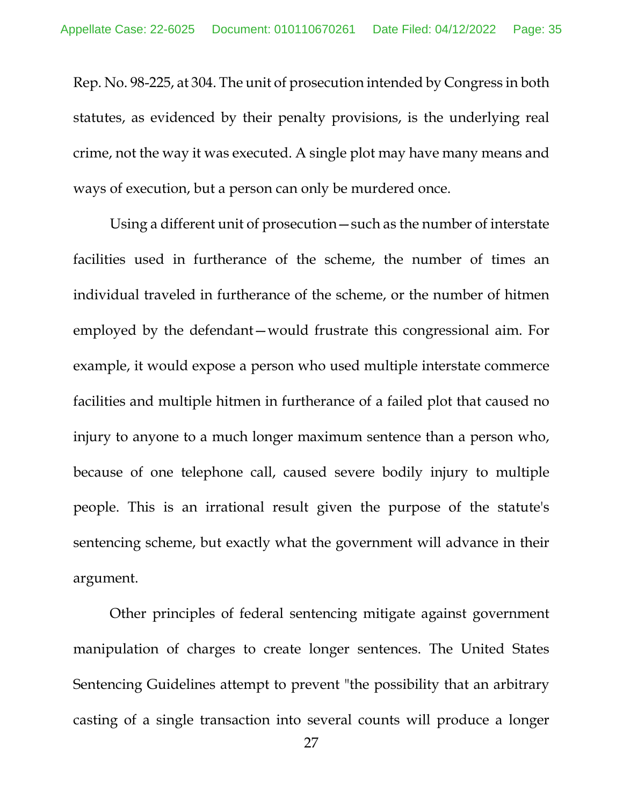Rep. No. 98-225, at 304. The unit of prosecution intended by Congress in both statutes, as evidenced by their penalty provisions, is the underlying real crime, not the way it was executed. A single plot may have many means and ways of execution, but a person can only be murdered once.

Using a different unit of prosecution—such as the number of interstate facilities used in furtherance of the scheme, the number of times an individual traveled in furtherance of the scheme, or the number of hitmen employed by the defendant—would frustrate this congressional aim. For example, it would expose a person who used multiple interstate commerce facilities and multiple hitmen in furtherance of a failed plot that caused no injury to anyone to a much longer maximum sentence than a person who, because of one telephone call, caused severe bodily injury to multiple people. This is an irrational result given the purpose of the statute's sentencing scheme, but exactly what the government will advance in their argument.

Other principles of federal sentencing mitigate against government manipulation of charges to create longer sentences. The United States Sentencing Guidelines attempt to prevent "the possibility that an arbitrary casting of a single transaction into several counts will produce a longer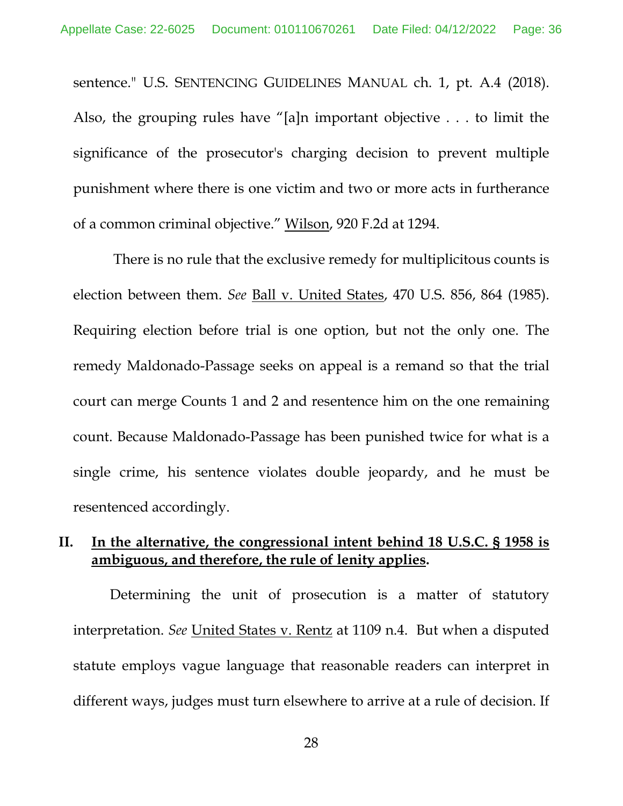sentence." U.S. SENTENCING GUIDELINES MANUAL ch. 1, pt. A.4 (2018). Also, the grouping rules have "[a]n important objective . . . to limit the significance of the prosecutor's charging decision to prevent multiple punishment where there is one victim and two or more acts in furtherance of a common criminal objective." Wilson, 920 F.2d at 1294.

<span id="page-35-1"></span><span id="page-35-0"></span>There is no rule that the exclusive remedy for multiplicitous counts is election between them. *See* Ball v. United States, 470 U.S. 856, 864 (1985). Requiring election before trial is one option, but not the only one. The remedy Maldonado-Passage seeks on appeal is a remand so that the trial court can merge Counts 1 and 2 and resentence him on the one remaining count. Because Maldonado-Passage has been punished twice for what is a single crime, his sentence violates double jeopardy, and he must be resentenced accordingly.

# **II. In the alternative, the congressional intent behind 18 U.S.C. § 1958 is ambiguous, and therefore, the rule of lenity applies.**

Determining the unit of prosecution is a matter of statutory interpretation. *See* United States v. Rentz at 1109 n.4. But when a disputed statute employs vague language that reasonable readers can interpret in different ways, judges must turn elsewhere to arrive at a rule of decision. If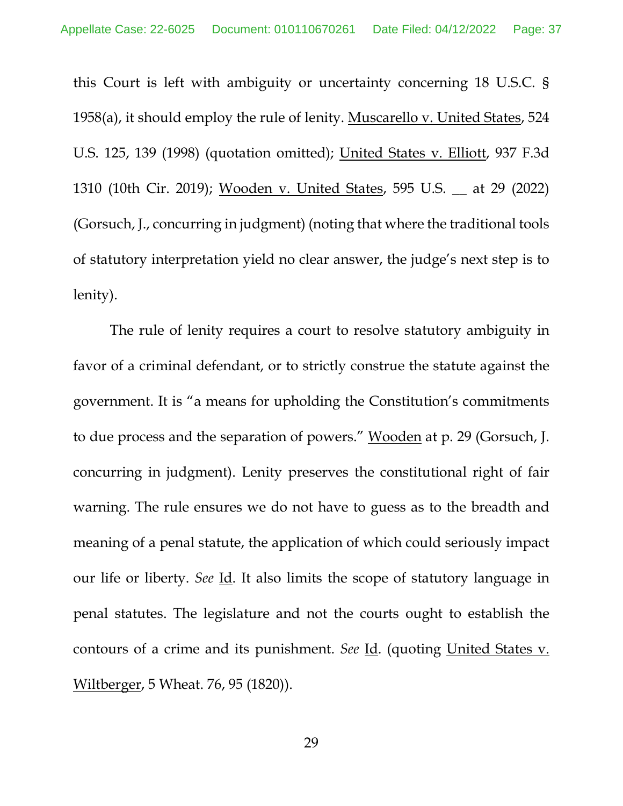this Court is left with ambiguity or uncertainty concerning 18 U.S.C. § 1958(a), it should employ the rule of lenity. Muscarello v. United States, 524 U.S. 125, 139 (1998) (quotation omitted); United States v. Elliott, 937 F.3d 1310 (10th Cir. 2019); Wooden v. United States, 595 U.S. \_\_ at 29 (2022) (Gorsuch, J., concurring in judgment) (noting that where the traditional tools of statutory interpretation yield no clear answer, the judge's next step is to lenity).

The rule of lenity requires a court to resolve statutory ambiguity in favor of a criminal defendant, or to strictly construe the statute against the government. It is "a means for upholding the Constitution's commitments to due process and the separation of powers." Wooden at p. 29 (Gorsuch, J. concurring in judgment). Lenity preserves the constitutional right of fair warning. The rule ensures we do not have to guess as to the breadth and meaning of a penal statute, the application of which could seriously impact our life or liberty. *See* Id. It also limits the scope of statutory language in penal statutes. The legislature and not the courts ought to establish the contours of a crime and its punishment. *See* Id. (quoting United States v. Wiltberger, 5 Wheat. 76, 95 (1820)).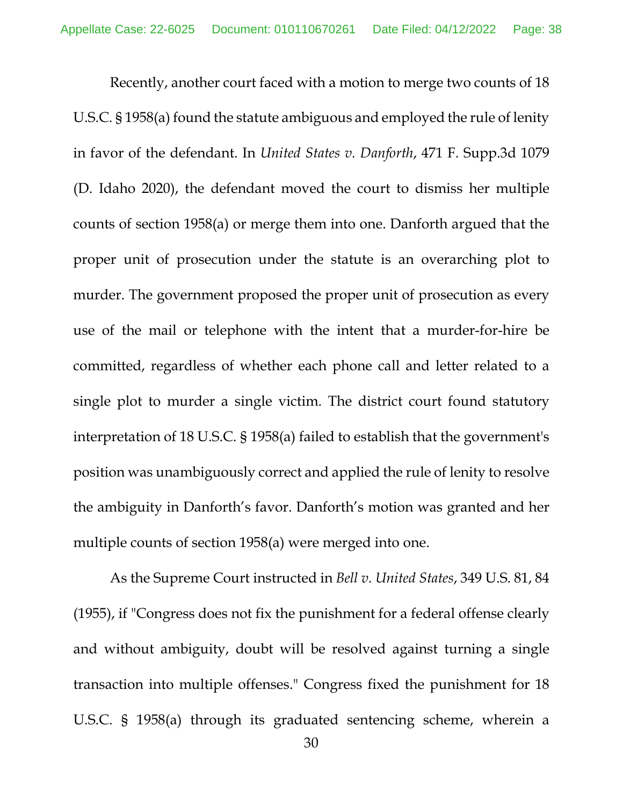Recently, another court faced with a motion to merge two counts of 18 U.S.C. § 1958(a) found the statute ambiguous and employed the rule of lenity in favor of the defendant. In *United States v. Danforth*, 471 F. Supp.3d 1079 (D. Idaho 2020), the defendant moved the court to dismiss her multiple counts of section 1958(a) or merge them into one. Danforth argued that the proper unit of prosecution under the statute is an overarching plot to murder. The government proposed the proper unit of prosecution as every use of the mail or telephone with the intent that a murder-for-hire be committed, regardless of whether each phone call and letter related to a single plot to murder a single victim. The district court found statutory interpretation of 18 U.S.C. § 1958(a) failed to establish that the government's position was unambiguously correct and applied the rule of lenity to resolve the ambiguity in Danforth's favor. Danforth's motion was granted and her multiple counts of section 1958(a) were merged into one.

As the Supreme Court instructed in *Bell v. United States*, 349 U.S. 81, 84 (1955), if "Congress does not fix the punishment for a federal offense clearly and without ambiguity, doubt will be resolved against turning a single transaction into multiple offenses." Congress fixed the punishment for 18 U.S.C. § 1958(a) through its graduated sentencing scheme, wherein a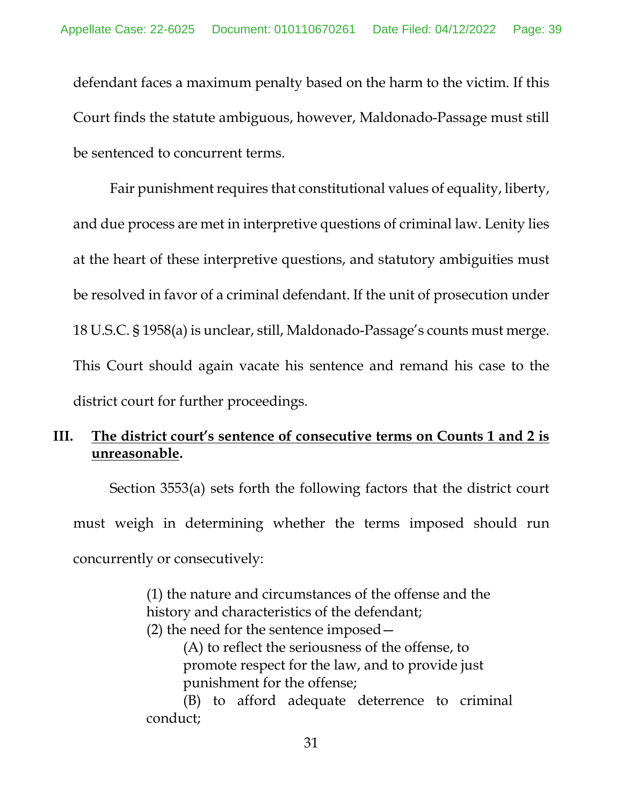defendant faces a maximum penalty based on the harm to the victim. If this Court finds the statute ambiguous, however, Maldonado-Passage must still be sentenced to concurrent terms.

Fair punishment requires that constitutional values of equality, liberty, and due process are met in interpretive questions of criminal law. Lenity lies at the heart of these interpretive questions, and statutory ambiguities must be resolved in favor of a criminal defendant. If the unit of prosecution under 18 U.S.C. § 1958(a) is unclear, still, Maldonado-Passage's counts must merge. This Court should again vacate his sentence and remand his case to the district court for further proceedings.

# **III. The district court's sentence of consecutive terms on Counts 1 and 2 is unreasonable.**

Section 3553(a) sets forth the following factors that the district court must weigh in determining whether the terms imposed should run concurrently or consecutively:

> (1) the nature and circumstances of the offense and the history and characteristics of the defendant; (2) the need for the sentence imposed— (A) to reflect the seriousness of the offense, to promote respect for the law, and to provide just punishment for the offense;

(B) to afford adequate deterrence to criminal conduct;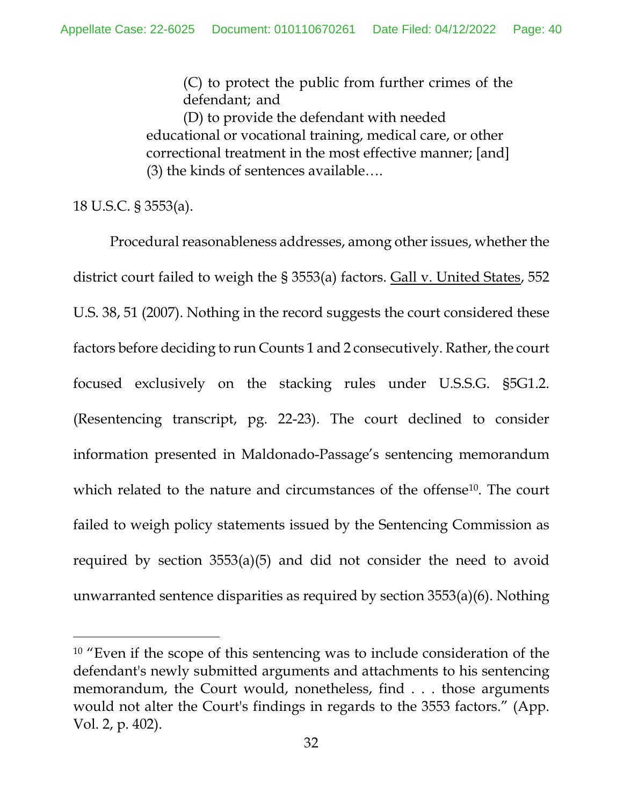(C) to protect the public from further crimes of the defendant; and

(D) to provide the defendant with needed educational or vocational training, medical care, or other correctional treatment in the most effective manner; [and] (3) the kinds of sentences available….

18 U.S.C. § 3553(a).

Procedural reasonableness addresses, among other issues, whether the district court failed to weigh the § 3553(a) factors. Gall v. United States, 552 U.S. 38, 51 (2007). Nothing in the record suggests the court considered these factors before deciding to run Counts 1 and 2 consecutively. Rather, the court focused exclusively on the stacking rules under U.S.S.G. §5G1.2. (Resentencing transcript, pg. 22-23). The court declined to consider information presented in Maldonado-Passage's sentencing memorandum which related to the nature and circumstances of the offense<sup>[10](#page-39-0)</sup>. The court failed to weigh policy statements issued by the Sentencing Commission as required by section 3553(a)(5) and did not consider the need to avoid unwarranted sentence disparities as required by section 3553(a)(6). Nothing

<span id="page-39-0"></span><sup>&</sup>lt;sup>10</sup> "Even if the scope of this sentencing was to include consideration of the defendant's newly submitted arguments and attachments to his sentencing memorandum, the Court would, nonetheless, find . . . those arguments would not alter the Court's findings in regards to the 3553 factors." (App. Vol. 2, p. 402).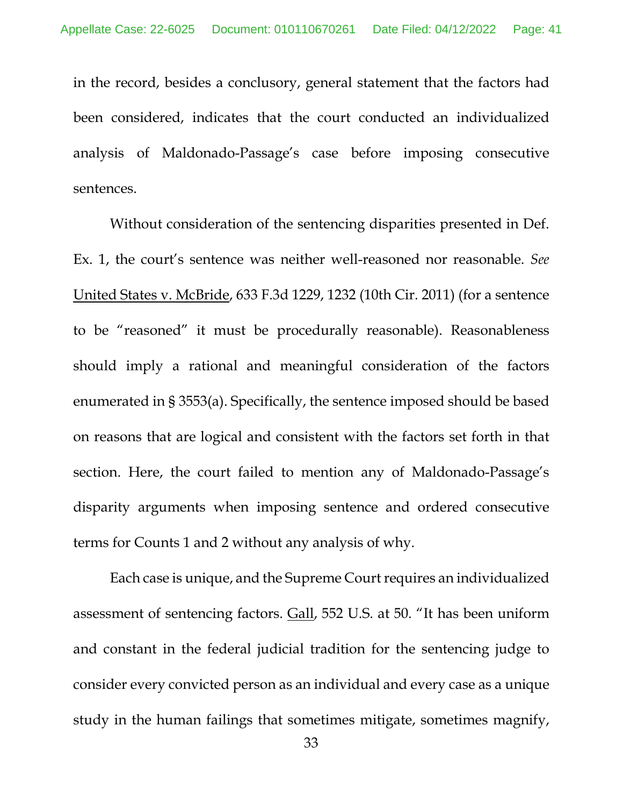in the record, besides a conclusory, general statement that the factors had been considered, indicates that the court conducted an individualized analysis of Maldonado-Passage's case before imposing consecutive sentences.

Without consideration of the sentencing disparities presented in Def. Ex. 1, the court's sentence was neither well-reasoned nor reasonable. *See* United States v. McBride, 633 F.3d 1229, 1232 (10th Cir. 2011) (for a sentence to be "reasoned" it must be procedurally reasonable). Reasonableness should imply a rational and meaningful consideration of the factors enumerated in § 3553(a). Specifically, the sentence imposed should be based on reasons that are logical and consistent with the factors set forth in that section. Here, the court failed to mention any of Maldonado-Passage's disparity arguments when imposing sentence and ordered consecutive terms for Counts 1 and 2 without any analysis of why.

Each case is unique, and the Supreme Court requires an individualized assessment of sentencing factors. Gall, 552 U.S. at 50. "It has been uniform and constant in the federal judicial tradition for the sentencing judge to consider every convicted person as an individual and every case as a unique study in the human failings that sometimes mitigate, sometimes magnify,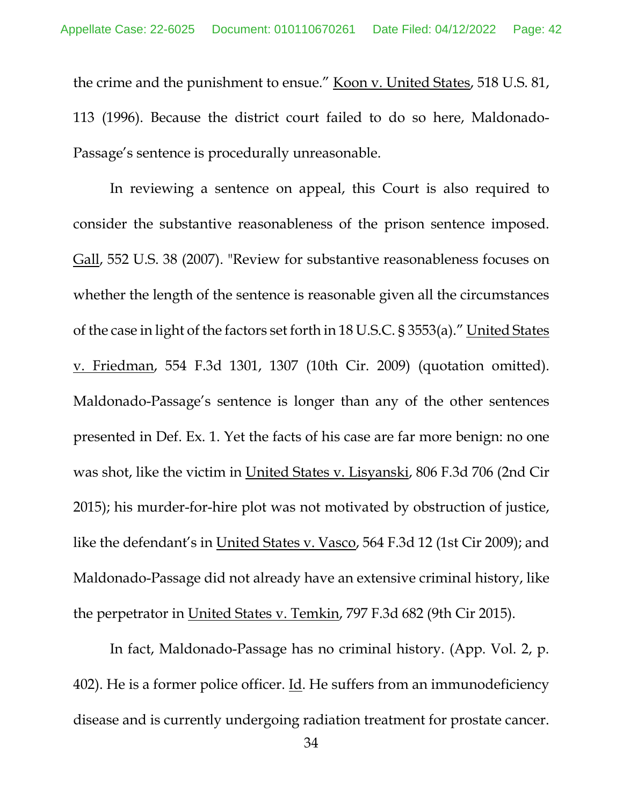the crime and the punishment to ensue." Koon v. United States, 518 U.S. 81, 113 (1996). Because the district court failed to do so here, Maldonado-Passage's sentence is procedurally unreasonable.

In reviewing a sentence on appeal, this Court is also required to consider the substantive reasonableness of the prison sentence imposed. Gall, 552 U.S. 38 (2007). "Review for substantive reasonableness focuses on whether the length of the sentence is reasonable given all the circumstances of the case in light of the factors set forth in 18 U.S.C. § 3553(a)." United States v. Friedman, 554 F.3d 1301, 1307 (10th Cir. 2009) (quotation omitted). Maldonado-Passage's sentence is longer than any of the other sentences presented in Def. Ex. 1. Yet the facts of his case are far more benign: no one was shot, like the victim in United States v. Lisyanski, 806 F.3d 706 (2nd Cir 2015); his murder-for-hire plot was not motivated by obstruction of justice, like the defendant's in United States v. Vasco, 564 F.3d 12 (1st Cir 2009); and Maldonado-Passage did not already have an extensive criminal history, like the perpetrator in United States v. Temkin, 797 F.3d 682 (9th Cir 2015).

In fact, Maldonado-Passage has no criminal history. (App. Vol. 2, p. 402). He is a former police officer. Id. He suffers from an immunodeficiency disease and is currently undergoing radiation treatment for prostate cancer.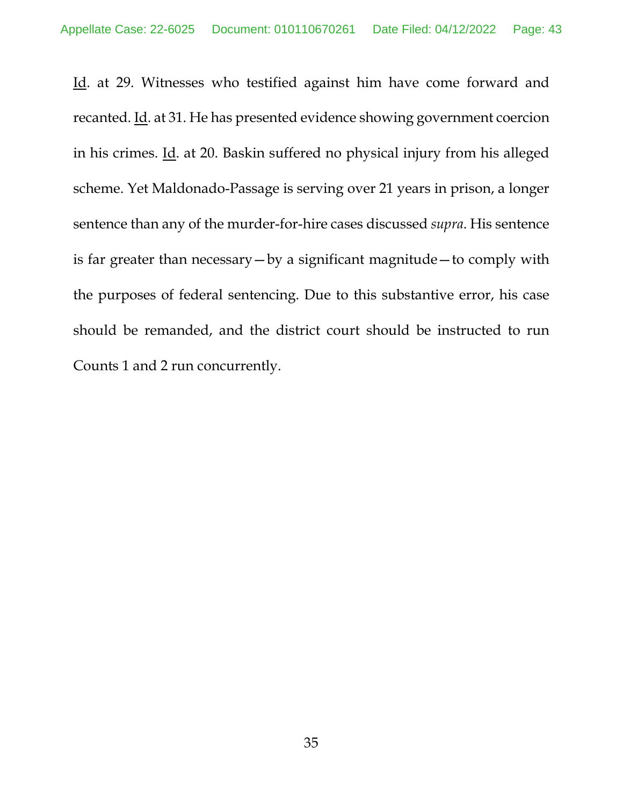Id. at 29. Witnesses who testified against him have come forward and recanted. Id. at 31. He has presented evidence showing government coercion in his crimes. Id. at 20. Baskin suffered no physical injury from his alleged scheme. Yet Maldonado-Passage is serving over 21 years in prison, a longer sentence than any of the murder-for-hire cases discussed *supra*. His sentence is far greater than necessary—by a significant magnitude—to comply with the purposes of federal sentencing. Due to this substantive error, his case should be remanded, and the district court should be instructed to run Counts 1 and 2 run concurrently.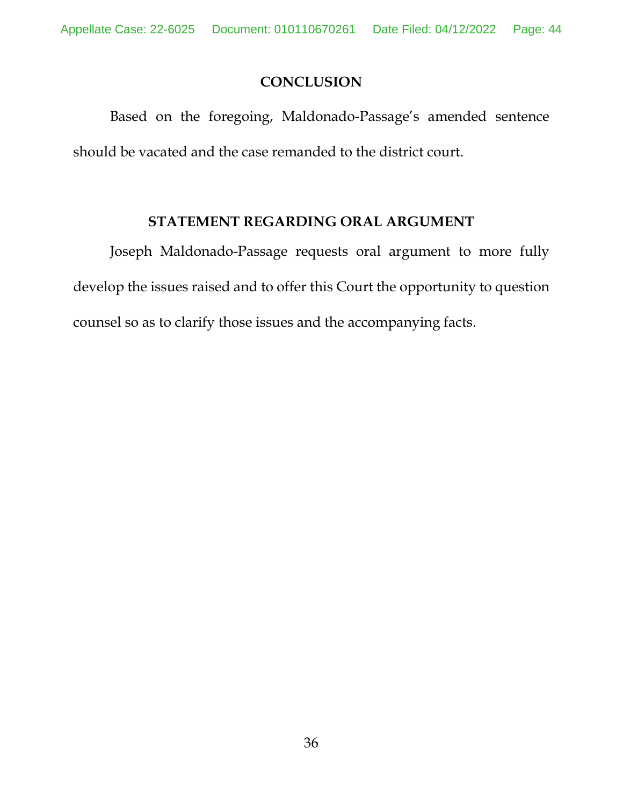## **CONCLUSION**

Based on the foregoing, Maldonado-Passage's amended sentence should be vacated and the case remanded to the district court.

# **STATEMENT REGARDING ORAL ARGUMENT**

Joseph Maldonado-Passage requests oral argument to more fully develop the issues raised and to offer this Court the opportunity to question counsel so as to clarify those issues and the accompanying facts.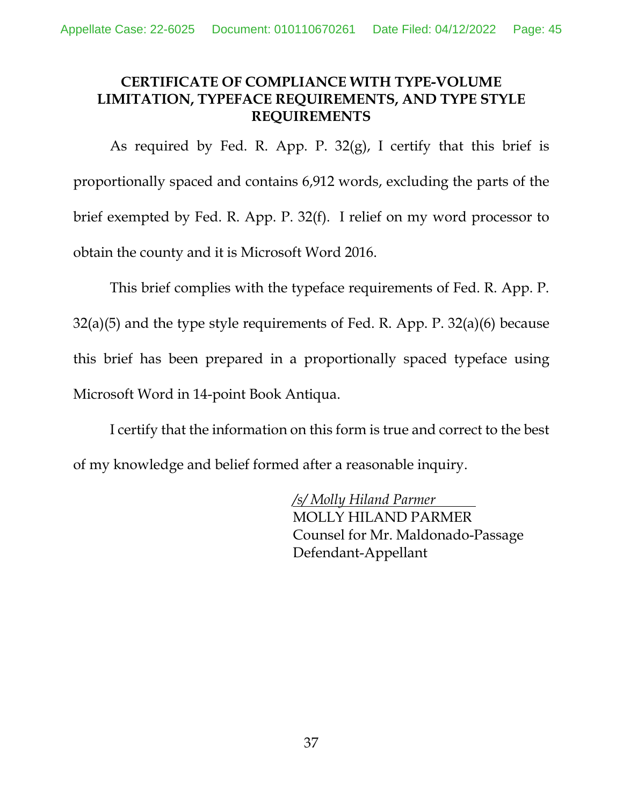# **CERTIFICATE OF COMPLIANCE WITH TYPE-VOLUME LIMITATION, TYPEFACE REQUIREMENTS, AND TYPE STYLE REQUIREMENTS**

As required by Fed. R. App. P.  $32(g)$ , I certify that this brief is proportionally spaced and contains 6,912 words, excluding the parts of the brief exempted by Fed. R. App. P. 32(f). I relief on my word processor to obtain the county and it is Microsoft Word 2016.

This brief complies with the typeface requirements of Fed. R. App. P. 32(a)(5) and the type style requirements of Fed. R. App. P. 32(a)(6) because this brief has been prepared in a proportionally spaced typeface using Microsoft Word in 14-point Book Antiqua.

I certify that the information on this form is true and correct to the best of my knowledge and belief formed after a reasonable inquiry.

> */s/ Molly Hiland Parmer* MOLLY HILAND PARMER Counsel for Mr. Maldonado-Passage Defendant-Appellant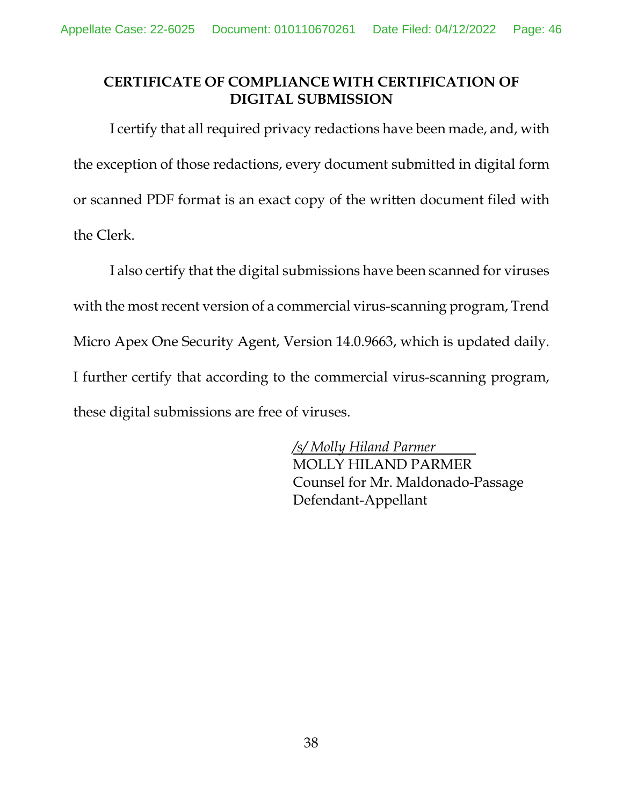# **CERTIFICATE OF COMPLIANCE WITH CERTIFICATION OF DIGITAL SUBMISSION**

I certify that all required privacy redactions have been made, and, with the exception of those redactions, every document submitted in digital form or scanned PDF format is an exact copy of the written document filed with the Clerk.

I also certify that the digital submissions have been scanned for viruses with the most recent version of a commercial virus-scanning program, Trend Micro Apex One Security Agent, Version 14.0.9663, which is updated daily. I further certify that according to the commercial virus-scanning program, these digital submissions are free of viruses.

> */s/ Molly Hiland Parmer* MOLLY HILAND PARMER Counsel for Mr. Maldonado-Passage Defendant-Appellant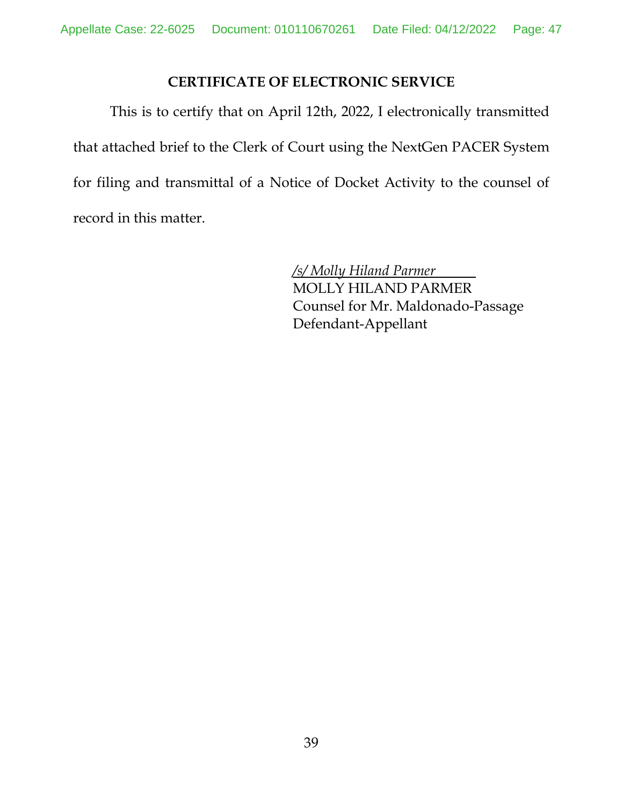## **CERTIFICATE OF ELECTRONIC SERVICE**

This is to certify that on April 12th, 2022, I electronically transmitted that attached brief to the Clerk of Court using the NextGen PACER System for filing and transmittal of a Notice of Docket Activity to the counsel of record in this matter.

> */s/ Molly Hiland Parmer* MOLLY HILAND PARMER Counsel for Mr. Maldonado-Passage Defendant-Appellant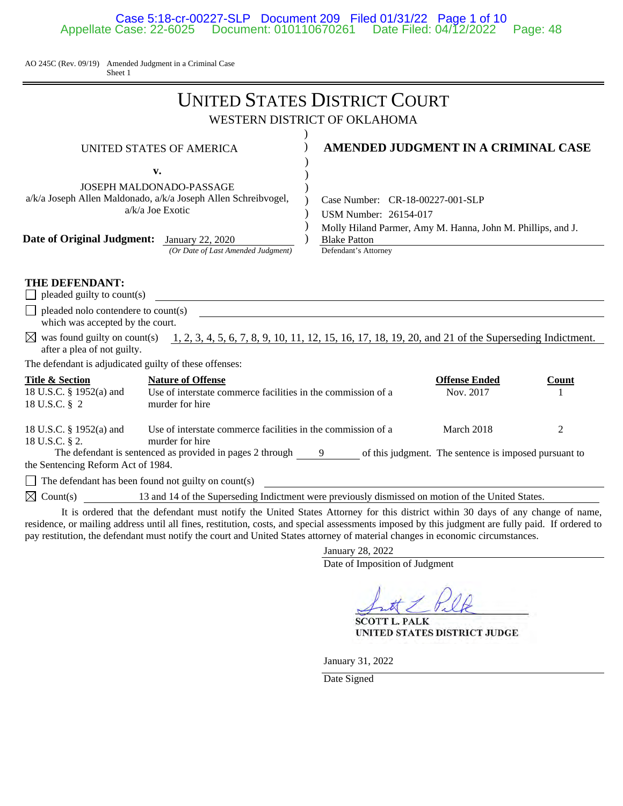### Case 5:18-cr-00227-SLP Document 209 Filed 01/31/22 Page 1 of 10 Appellate Case: 22-6025 Document: 010110670261 Date Filed: 04/12/2022 Page: 48

AO 245C (Rev. 09/19) Amended Judgment in a Criminal Case Sheet 1

|                                                                                                                                                                                                                  | <b>UNITED STATES DISTRICT COURT</b>                                                                                                                                                    |
|------------------------------------------------------------------------------------------------------------------------------------------------------------------------------------------------------------------|----------------------------------------------------------------------------------------------------------------------------------------------------------------------------------------|
|                                                                                                                                                                                                                  | WESTERN DISTRICT OF OKLAHOMA                                                                                                                                                           |
| <b>UNITED STATES OF AMERICA</b><br>v.<br><b>JOSEPH MALDONADO-PASSAGE</b><br>a/k/a Joseph Allen Maldonado, a/k/a Joseph Allen Schreibvogel,<br>$a/k/a$ Joe Exotic<br>Date of Original Judgment: January 22, 2020  | AMENDED JUDGMENT IN A CRIMINAL CASE<br>Case Number: CR-18-00227-001-SLP<br>USM Number: 26154-017<br>Molly Hiland Parmer, Amy M. Hanna, John M. Phillips, and J.<br><b>Blake Patton</b> |
| (Or Date of Last Amended Judgment)                                                                                                                                                                               | Defendant's Attorney                                                                                                                                                                   |
| THE DEFENDANT:<br>pleaded guilty to count(s)<br>pleaded nolo contendere to count(s)<br>which was accepted by the court.<br>after a plea of not guilty.<br>The defendant is adjudicated guilty of these offenses: | $\boxtimes$ was found guilty on count(s) 1, 2, 3, 4, 5, 6, 7, 8, 9, 10, 11, 12, 15, 16, 17, 18, 19, 20, and 21 of the Superseding Indictment.                                          |
| <b>Title &amp; Section</b><br><b>Nature of Offense</b><br>18 U.S.C. § 1952(a) and<br>Use of interstate commerce facilities in the commission of a<br>18 U.S.C. § 2<br>murder for hire                            | <b>Offense Ended</b><br>Count<br>Nov. 2017<br>$\mathbf{1}$                                                                                                                             |
| Use of interstate commerce facilities in the commission of a<br>18 U.S.C. § 1952(a) and<br>murder for hire<br>18 U.S.C. § 2.<br>the Sentencing Reform Act of 1984.                                               | March 2018<br>2<br>The defendant is sentenced as provided in pages $2$ through $\frac{9}{2}$ of this judgment. The sentence is imposed pursuant to                                     |
| The defendant has been found not guilty on count(s)                                                                                                                                                              | <u> 1989 - Andrea Stadt British, fransk politik (d. 1989)</u>                                                                                                                          |
| $\boxtimes$ Count(s) 13 and 14 of the Superseding Indictment were previously dismissed on motion of the United States.                                                                                           |                                                                                                                                                                                        |
|                                                                                                                                                                                                                  | It is audental that the defendant much watter the United Ctates, Attomacy for this district, within 20 days of some shapes, of many                                                    |

 It is ordered that the defendant must notify the United States Attorney for this district within 30 days of any change of name, residence, or mailing address until all fines, restitution, costs, and special assessments imposed by this judgment are fully paid. If ordered to pay restitution, the defendant must notify the court and United States attorney of material changes in economic circumstances.

January 28, 2022

Date of Imposition of Judgment

**SCOTT L. PALK** UNITED STATES DISTRICT JUDGE

January 31, 2022

Date Signed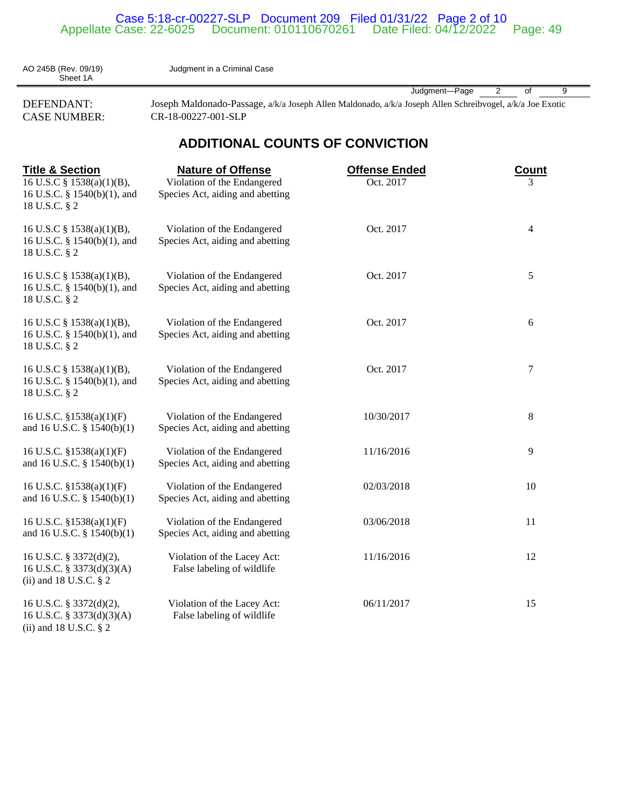#### Case 5:18-cr-00227-SLP Document 209 Filed 01/31/22 Page 2 of 10 Appellate Case: 22-6025 Document: 010110670261 Date Filed: 04/12/2022 Page: 49

Judgment in a Criminal Case

AO 245B (Rev. 09/19)<br>Sheet 1A

CASE NUMBER: CR-18-00227-001-SLP

(ii) and 18 U.S.C. § 2

Judgment—Page 2 of 9 DEFENDANT: Joseph Maldonado-Passage, a/k/a Joseph Allen Maldonado, a/k/a Joseph Allen Schreibvogel, a/k/a Joe Exotic

## **ADDITIONAL COUNTS OF CONVICTION**

| <b>Title &amp; Section</b>                                                        | <b>Nature of Offense</b>                                        | <b>Offense Ended</b> | <b>Count</b>   |
|-----------------------------------------------------------------------------------|-----------------------------------------------------------------|----------------------|----------------|
| 16 U.S.C § 1538(a)(1)(B),<br>16 U.S.C. § 1540(b)(1), and<br>18 U.S.C. § 2         | Violation of the Endangered<br>Species Act, aiding and abetting | Oct. 2017            | 3              |
| 16 U.S.C § 1538(a)(1)(B),<br>16 U.S.C. § 1540(b)(1), and<br>18 U.S.C. § 2         | Violation of the Endangered<br>Species Act, aiding and abetting | Oct. 2017            | $\overline{4}$ |
| 16 U.S.C § 1538(a)(1)(B),<br>16 U.S.C. § 1540(b)(1), and<br>18 U.S.C. § 2         | Violation of the Endangered<br>Species Act, aiding and abetting | Oct. 2017            | 5              |
| 16 U.S.C § 1538(a)(1)(B),<br>16 U.S.C. § 1540(b)(1), and<br>18 U.S.C. § 2         | Violation of the Endangered<br>Species Act, aiding and abetting | Oct. 2017            | 6              |
| 16 U.S.C § 1538(a)(1)(B),<br>16 U.S.C. § 1540(b)(1), and<br>18 U.S.C. § 2         | Violation of the Endangered<br>Species Act, aiding and abetting | Oct. 2017            | 7              |
| 16 U.S.C. $$1538(a)(1)(F)$<br>and 16 U.S.C. $\S$ 1540(b)(1)                       | Violation of the Endangered<br>Species Act, aiding and abetting | 10/30/2017           | 8              |
| 16 U.S.C. $$1538(a)(1)(F)$<br>and 16 U.S.C. § 1540(b)(1)                          | Violation of the Endangered<br>Species Act, aiding and abetting | 11/16/2016           | 9              |
| 16 U.S.C. §1538(a)(1)(F)<br>and 16 U.S.C. $\S$ 1540(b)(1)                         | Violation of the Endangered<br>Species Act, aiding and abetting | 02/03/2018           | 10             |
| 16 U.S.C. §1538(a)(1)(F)<br>and 16 U.S.C. § 1540(b)(1)                            | Violation of the Endangered<br>Species Act, aiding and abetting | 03/06/2018           | 11             |
| 16 U.S.C. § 3372(d)(2),<br>16 U.S.C. § 3373(d)(3)(A)<br>(ii) and 18 U.S.C. $\S$ 2 | Violation of the Lacey Act:<br>False labeling of wildlife       | 11/16/2016           | 12             |
| 16 U.S.C. § 3372(d)(2),<br>16 U.S.C. § 3373(d)(3)(A)                              | Violation of the Lacey Act:<br>False labeling of wildlife       | 06/11/2017           | 15             |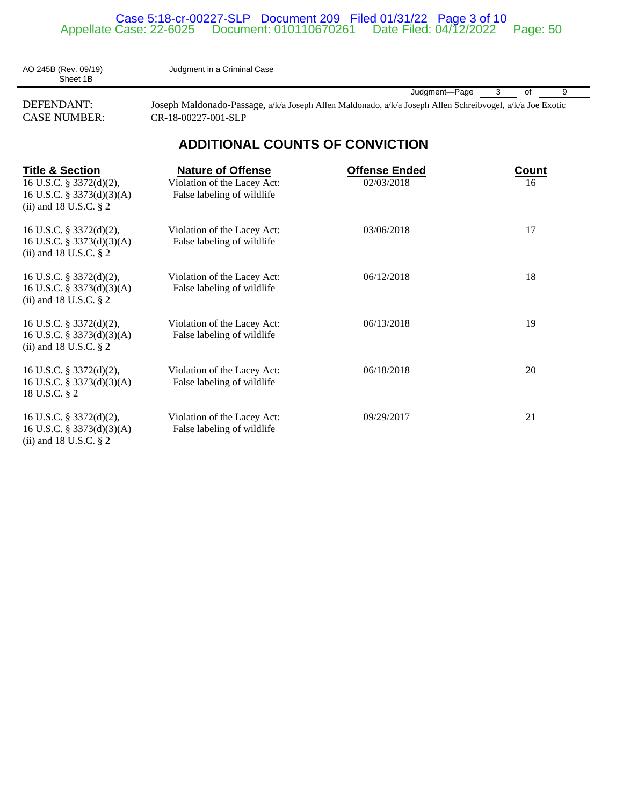#### Case 5:18-cr-00227-SLP Document 209 Filed 01/31/22 Page 3 of 10 Appellate Case: 22-6025 Document: 010110670261 Date Filed: 04/12/2022 Page: 50

AO 245B (Rev. 09/19) Judgment in a Criminal Case

Sheet 1B

Judgment—Page 3 of 9

DEFENDANT: Joseph Maldonado-Passage, a/k/a Joseph Allen Maldonado, a/k/a Joseph Allen Schreibvogel, a/k/a Joe Exotic CASE NUMBER: CR-18-00227-001-SLP

# **ADDITIONAL COUNTS OF CONVICTION**

| <b>Title &amp; Section</b><br>16 U.S.C. § 3372(d)(2),<br>16 U.S.C. § 3373(d)(3)(A)<br>(ii) and 18 U.S.C. $\S$ 2 | <b>Nature of Offense</b><br>Violation of the Lacey Act:<br>False labeling of wildlife | <b>Offense Ended</b><br>02/03/2018 | Count<br>16 |
|-----------------------------------------------------------------------------------------------------------------|---------------------------------------------------------------------------------------|------------------------------------|-------------|
| 16 U.S.C. § 3372(d)(2),<br>16 U.S.C. § 3373(d)(3)(A)<br>(ii) and 18 U.S.C. $\S$ 2                               | Violation of the Lacey Act:<br>False labeling of wildlife                             | 03/06/2018                         | 17          |
| 16 U.S.C. § 3372(d)(2),<br>16 U.S.C. § 3373(d)(3)(A)<br>(ii) and 18 U.S.C. $\S$ 2                               | Violation of the Lacey Act:<br>False labeling of wildlife                             | 06/12/2018                         | 18          |
| 16 U.S.C. § 3372(d)(2),<br>16 U.S.C. § 3373(d)(3)(A)<br>(ii) and 18 U.S.C. $\S$ 2                               | Violation of the Lacey Act:<br>False labeling of wildlife                             | 06/13/2018                         | 19          |
| 16 U.S.C. § 3372(d)(2),<br>16 U.S.C. § 3373(d)(3)(A)<br>18 U.S.C. § 2                                           | Violation of the Lacey Act:<br>False labeling of wildlife                             | 06/18/2018                         | 20          |
| 16 U.S.C. § 3372(d)(2),<br>16 U.S.C. § 3373(d)(3)(A)<br>(ii) and 18 U.S.C. $\S$ 2                               | Violation of the Lacey Act:<br>False labeling of wildlife                             | 09/29/2017                         | 21          |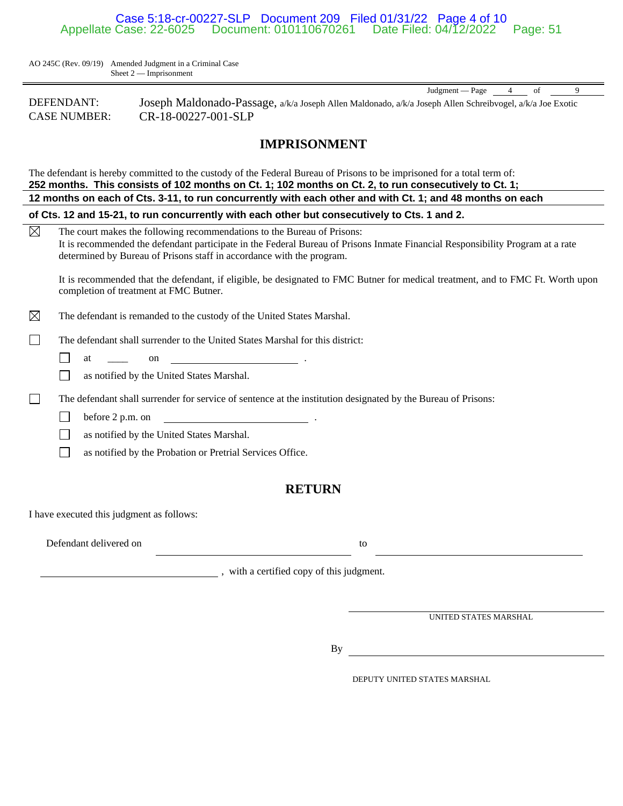### Case 5:18-cr-00227-SLP Document 209 Filed 01/31/22 Page 4 of 10 Appellate Case: 22-6025 Document: 010110670261 Date Filed: 04/12/2022 Page: 51

AO 245C (Rev. 09/19) Amended Judgment in a Criminal Case Sheet 2 — Imprisonment

| DEFENDANT:          | Joseph Maldonado-Passage, a/k/a Joseph Allen Maldonado, a/k/a Joseph Allen Schreibvogel, a/k/a Joe Exotic |
|---------------------|-----------------------------------------------------------------------------------------------------------|
| <b>CASE NUMBER:</b> | CR-18-00227-001-SLP                                                                                       |

### **IMPRISONMENT**

| The defendant is hereby committed to the custody of the Federal Bureau of Prisons to be imprisoned for a total term of:<br>252 months. This consists of 102 months on Ct. 1; 102 months on Ct. 2, to run consecutively to Ct. 1;                                                                  |  |  |  |
|---------------------------------------------------------------------------------------------------------------------------------------------------------------------------------------------------------------------------------------------------------------------------------------------------|--|--|--|
| 12 months on each of Cts. 3-11, to run concurrently with each other and with Ct. 1; and 48 months on each                                                                                                                                                                                         |  |  |  |
| of Cts. 12 and 15-21, to run concurrently with each other but consecutively to Cts. 1 and 2.                                                                                                                                                                                                      |  |  |  |
| $\boxtimes$<br>The court makes the following recommendations to the Bureau of Prisons:<br>It is recommended the defendant participate in the Federal Bureau of Prisons Inmate Financial Responsibility Program at a rate<br>determined by Bureau of Prisons staff in accordance with the program. |  |  |  |
| It is recommended that the defendant, if eligible, be designated to FMC Butner for medical treatment, and to FMC Ft. Worth upon<br>completion of treatment at FMC Butner.                                                                                                                         |  |  |  |
| ⊠<br>The defendant is remanded to the custody of the United States Marshal.                                                                                                                                                                                                                       |  |  |  |
| The defendant shall surrender to the United States Marshal for this district:                                                                                                                                                                                                                     |  |  |  |
| on $\qquad \qquad$<br>at                                                                                                                                                                                                                                                                          |  |  |  |
| as notified by the United States Marshal.                                                                                                                                                                                                                                                         |  |  |  |
| The defendant shall surrender for service of sentence at the institution designated by the Bureau of Prisons:                                                                                                                                                                                     |  |  |  |
| before 2 p.m. on<br><u> 1980 - Jan Barbara Barbara, prima popula</u>                                                                                                                                                                                                                              |  |  |  |
| as notified by the United States Marshal.                                                                                                                                                                                                                                                         |  |  |  |
| as notified by the Probation or Pretrial Services Office.                                                                                                                                                                                                                                         |  |  |  |
| <b>RETURN</b>                                                                                                                                                                                                                                                                                     |  |  |  |
| I have executed this judgment as follows:                                                                                                                                                                                                                                                         |  |  |  |
| Defendant delivered on<br>to                                                                                                                                                                                                                                                                      |  |  |  |

, with a certified copy of this judgment.

UNITED STATES MARSHAL

Judgment — Page 4 of 9

By

DEPUTY UNITED STATES MARSHAL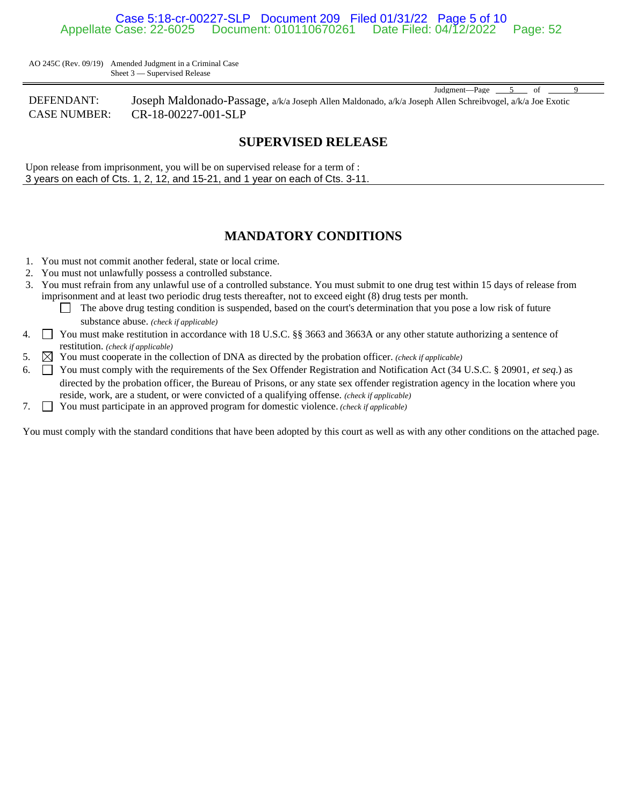### Case 5:18-cr-00227-SLP Document 209 Filed 01/31/22 Page 5 of 10 Appellate Case: 22-6025 Document: 010110670261 Date Filed: 04/12/2022 Page: 52

AO 245C (Rev. 09/19) Amended Judgment in a Criminal Case Sheet 3 — Supervised Release

DEFENDANT: Joseph Maldonado-Passage, a/k/a Joseph Allen Maldonado, a/k/a Joseph Allen Schreibvogel, a/k/a Joe Exotic CASE NUMBER: CR-18-00227-001-SLP

### **SUPERVISED RELEASE**

Judgment—Page 5 of

Upon release from imprisonment, you will be on supervised release for a term of : 3 years on each of Cts. 1, 2, 12, and 15-21, and 1 year on each of Cts. 3-11.

### **MANDATORY CONDITIONS**

- 1. You must not commit another federal, state or local crime.
- 2. You must not unlawfully possess a controlled substance.
- 3. You must refrain from any unlawful use of a controlled substance. You must submit to one drug test within 15 days of release from imprisonment and at least two periodic drug tests thereafter, not to exceed eight (8) drug tests per month.
	- The above drug testing condition is suspended, based on the court's determination that you pose a low risk of future substance abuse. *(check if applicable)*
- 4.  $\Box$  You must make restitution in accordance with 18 U.S.C. §§ 3663 and 3663A or any other statute authorizing a sentence of restitution. *(check if applicable)*
- 5.  $\boxtimes$  You must cooperate in the collection of DNA as directed by the probation officer. *(check if applicable)*
- 6.  $\Box$  You must comply with the requirements of the Sex Offender Registration and Notification Act (34 U.S.C. § 20901, *et seq.*) as directed by the probation officer, the Bureau of Prisons, or any state sex offender registration agency in the location where you reside, work, are a student, or were convicted of a qualifying offense. *(check if applicable)*
- 7. You must participate in an approved program for domestic violence. *(check if applicable)*

You must comply with the standard conditions that have been adopted by this court as well as with any other conditions on the attached page.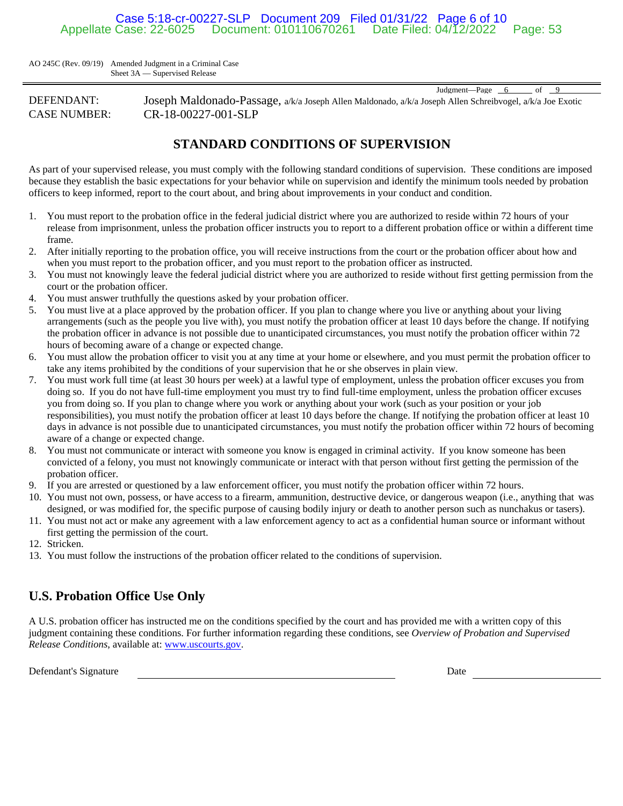### Case 5:18-cr-00227-SLP Document 209 Filed 01/31/22 Page 6 of 10 Document: 010110670261 Date Filed: 04/12/2022 Page: 53

AO 245C (Rev. 09/19) Amended Judgment in a Criminal Case Sheet 3A — Supervised Release

DEFENDANT: Joseph Maldonado-Passage, a/k/a Joseph Allen Maldonado, a/k/a Joseph Allen Schreibvogel, a/k/a Joe Exotic CASE NUMBER: CR-18-00227-001-SLP

## **STANDARD CONDITIONS OF SUPERVISION**

As part of your supervised release, you must comply with the following standard conditions of supervision. These conditions are imposed because they establish the basic expectations for your behavior while on supervision and identify the minimum tools needed by probation officers to keep informed, report to the court about, and bring about improvements in your conduct and condition.

- 1. You must report to the probation office in the federal judicial district where you are authorized to reside within 72 hours of your release from imprisonment, unless the probation officer instructs you to report to a different probation office or within a different time frame.
- 2. After initially reporting to the probation office, you will receive instructions from the court or the probation officer about how and when you must report to the probation officer, and you must report to the probation officer as instructed.
- 3. You must not knowingly leave the federal judicial district where you are authorized to reside without first getting permission from the court or the probation officer.
- 4. You must answer truthfully the questions asked by your probation officer.
- 5. You must live at a place approved by the probation officer. If you plan to change where you live or anything about your living arrangements (such as the people you live with), you must notify the probation officer at least 10 days before the change. If notifying the probation officer in advance is not possible due to unanticipated circumstances, you must notify the probation officer within 72 hours of becoming aware of a change or expected change.
- 6. You must allow the probation officer to visit you at any time at your home or elsewhere, and you must permit the probation officer to take any items prohibited by the conditions of your supervision that he or she observes in plain view.
- 7. You must work full time (at least 30 hours per week) at a lawful type of employment, unless the probation officer excuses you from doing so. If you do not have full-time employment you must try to find full-time employment, unless the probation officer excuses you from doing so. If you plan to change where you work or anything about your work (such as your position or your job responsibilities), you must notify the probation officer at least 10 days before the change. If notifying the probation officer at least 10 days in advance is not possible due to unanticipated circumstances, you must notify the probation officer within 72 hours of becoming aware of a change or expected change.
- 8. You must not communicate or interact with someone you know is engaged in criminal activity. If you know someone has been convicted of a felony, you must not knowingly communicate or interact with that person without first getting the permission of the probation officer.
- 9. If you are arrested or questioned by a law enforcement officer, you must notify the probation officer within 72 hours.
- 10. You must not own, possess, or have access to a firearm, ammunition, destructive device, or dangerous weapon (i.e., anything that was designed, or was modified for, the specific purpose of causing bodily injury or death to another person such as nunchakus or tasers).
- 11. You must not act or make any agreement with a law enforcement agency to act as a confidential human source or informant without first getting the permission of the court.
- 12. Stricken.
- 13. You must follow the instructions of the probation officer related to the conditions of supervision.

# **U.S. Probation Office Use Only**

A U.S. probation officer has instructed me on the conditions specified by the court and has provided me with a written copy of this judgment containing these conditions. For further information regarding these conditions, see *Overview of Probation and Supervised Release Conditions*, available at: www.uscourts.gov.

Defendant's Signature Date Date of the Date of the Date Date of the Date Date of the Date of the Date of the Date of the Date of the Date of the Date of the Date of the Date of the Date of the Date of the Date of the Date

Judgment—Page 6 of 9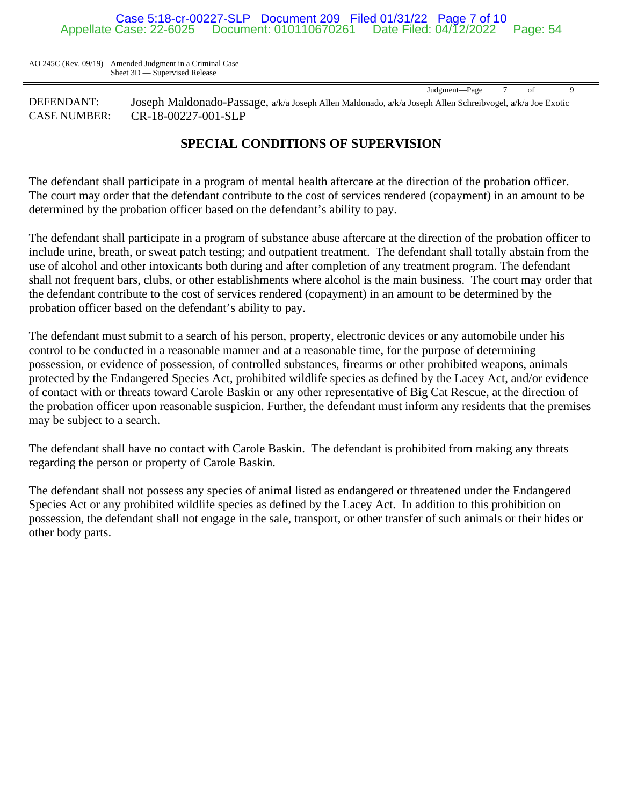### Case 5:18-cr-00227-SLP Document 209 Filed 01/31/22 Page 7 of 10 Document: 010110670261 Date Filed: 04/12/2022 Page: 54

AO 245C (Rev. 09/19) Amended Judgment in a Criminal Case Sheet 3D — Supervised Release

Judgment—Page 7 of

DEFENDANT: Joseph Maldonado-Passage, a/k/a Joseph Allen Maldonado, a/k/a Joseph Allen Schreibvogel, a/k/a Joe Exotic CASE NUMBER: CR-18-00227-001-SLP

## **SPECIAL CONDITIONS OF SUPERVISION**

The defendant shall participate in a program of mental health aftercare at the direction of the probation officer. The court may order that the defendant contribute to the cost of services rendered (copayment) in an amount to be determined by the probation officer based on the defendant's ability to pay.

The defendant shall participate in a program of substance abuse aftercare at the direction of the probation officer to include urine, breath, or sweat patch testing; and outpatient treatment. The defendant shall totally abstain from the use of alcohol and other intoxicants both during and after completion of any treatment program. The defendant shall not frequent bars, clubs, or other establishments where alcohol is the main business. The court may order that the defendant contribute to the cost of services rendered (copayment) in an amount to be determined by the probation officer based on the defendant's ability to pay.

The defendant must submit to a search of his person, property, electronic devices or any automobile under his control to be conducted in a reasonable manner and at a reasonable time, for the purpose of determining possession, or evidence of possession, of controlled substances, firearms or other prohibited weapons, animals protected by the Endangered Species Act, prohibited wildlife species as defined by the Lacey Act, and/or evidence of contact with or threats toward Carole Baskin or any other representative of Big Cat Rescue, at the direction of the probation officer upon reasonable suspicion. Further, the defendant must inform any residents that the premises may be subject to a search.

The defendant shall have no contact with Carole Baskin. The defendant is prohibited from making any threats regarding the person or property of Carole Baskin.

The defendant shall not possess any species of animal listed as endangered or threatened under the Endangered Species Act or any prohibited wildlife species as defined by the Lacey Act. In addition to this prohibition on possession, the defendant shall not engage in the sale, transport, or other transfer of such animals or their hides or other body parts.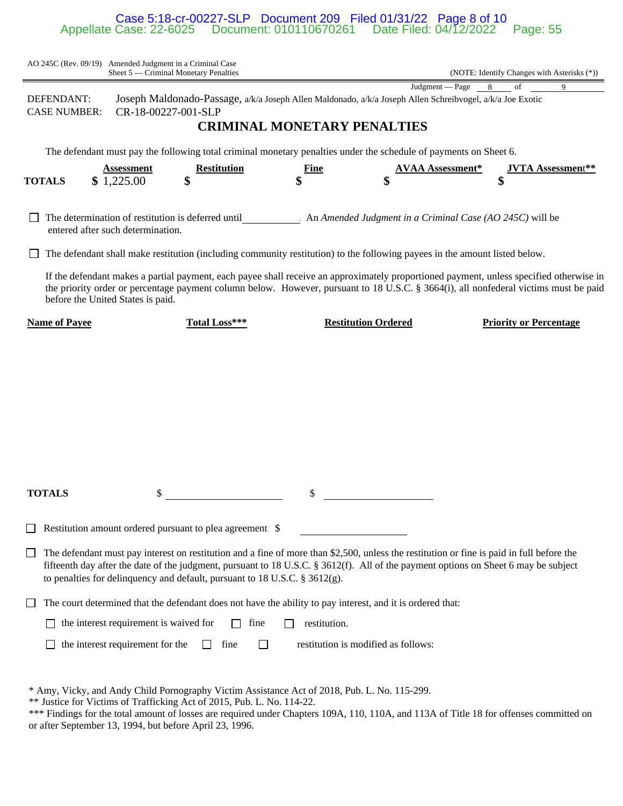#### Case 5:18-cr-00227-SLP Document 209 Filed 01/31/22 Page 8 of 10 Appellate Case: 22-6025 Document: 010110670261 Date Filed: 04/12/2022 Page: 55

|               |                                   |                                        | AO 245C (Rev. 09/19) Amended Judgment in a Criminal Case<br>Sheet 5 — Criminal Monetary Penalties                                             |              |                                     | (NOTE: Identify Changes with Asterisks (*))                                                                                                                                                                                                                                      |   |
|---------------|-----------------------------------|----------------------------------------|-----------------------------------------------------------------------------------------------------------------------------------------------|--------------|-------------------------------------|----------------------------------------------------------------------------------------------------------------------------------------------------------------------------------------------------------------------------------------------------------------------------------|---|
|               | DEFENDANT:<br><b>CASE NUMBER:</b> |                                        | CR-18-00227-001-SLP                                                                                                                           |              | <b>CRIMINAL MONETARY PENALTIES</b>  | Judgment — Page<br>8<br>of<br>Joseph Maldonado-Passage, a/k/a Joseph Allen Maldonado, a/k/a Joseph Allen Schreibvogel, a/k/a Joe Exotic                                                                                                                                          | 9 |
| <b>TOTALS</b> |                                   | <b>Assessment</b><br>\$1,225.00        | The defendant must pay the following total criminal monetary penalties under the schedule of payments on Sheet 6.<br><b>Restitution</b><br>\$ | Fine         |                                     | <b>AVAA Assessment*</b><br><b>JVTA Assessment**</b><br>\$                                                                                                                                                                                                                        |   |
|               |                                   | entered after such determination.      |                                                                                                                                               |              |                                     | The determination of restitution is deferred until An Amended Judgment in a Criminal Case (AO 245C) will be<br>The defendant shall make restitution (including community restitution) to the following payees in the amount listed below.                                        |   |
|               | before the United States is paid. |                                        |                                                                                                                                               |              |                                     | If the defendant makes a partial payment, each payee shall receive an approximately proportioned payment, unless specified otherwise in<br>the priority order or percentage payment column below. However, pursuant to 18 U.S.C. § 3664(i), all nonfederal victims must be paid  |   |
|               | <b>Name of Payee</b>              |                                        | Total Loss***                                                                                                                                 |              | <b>Restitution Ordered</b>          | <b>Priority or Percentage</b>                                                                                                                                                                                                                                                    |   |
|               |                                   |                                        |                                                                                                                                               |              |                                     |                                                                                                                                                                                                                                                                                  |   |
|               | <b>TOTALS</b>                     |                                        |                                                                                                                                               | \$           |                                     |                                                                                                                                                                                                                                                                                  |   |
|               |                                   |                                        | Restitution amount ordered pursuant to plea agreement \$                                                                                      |              |                                     |                                                                                                                                                                                                                                                                                  |   |
|               |                                   |                                        | to penalties for delinquency and default, pursuant to 18 U.S.C. § 3612(g).                                                                    |              |                                     | The defendant must pay interest on restitution and a fine of more than \$2,500, unless the restitution or fine is paid in full before the<br>fifteenth day after the date of the judgment, pursuant to 18 U.S.C. § 3612(f). All of the payment options on Sheet 6 may be subject |   |
|               |                                   |                                        | The court determined that the defendant does not have the ability to pay interest, and it is ordered that:                                    |              |                                     |                                                                                                                                                                                                                                                                                  |   |
|               |                                   | the interest requirement is waived for | fine                                                                                                                                          | restitution. |                                     |                                                                                                                                                                                                                                                                                  |   |
|               |                                   | the interest requirement for the       | fine<br>$\mathsf{L}$                                                                                                                          |              | restitution is modified as follows: |                                                                                                                                                                                                                                                                                  |   |

\* Amy, Vicky, and Andy Child Pornography Victim Assistance Act of 2018, Pub. L. No. 115-299.

\*\* Justice for Victims of Trafficking Act of 2015, Pub. L. No. 114-22.

\*\*\* Findings for the total amount of losses are required under Chapters 109A, 110, 110A, and 113A of Title 18 for offenses committed on or after September 13, 1994, but before April 23, 1996.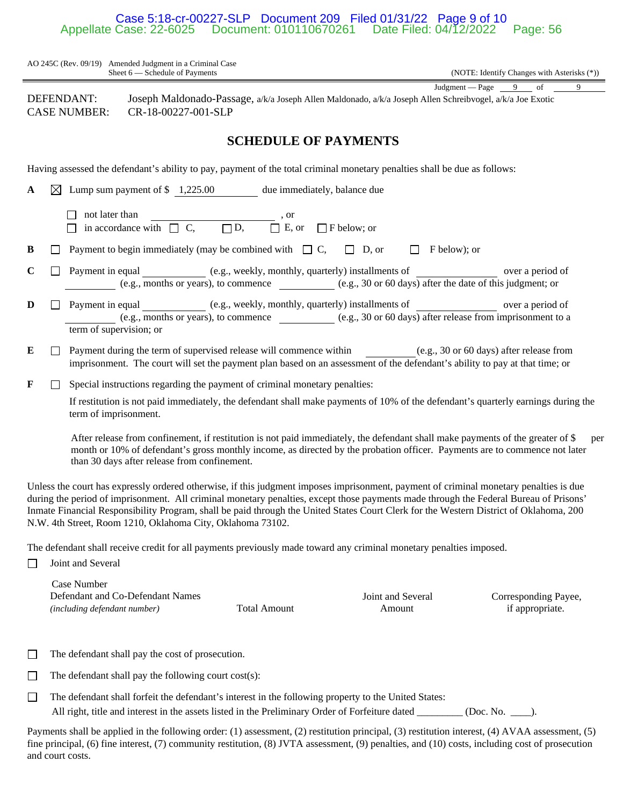#### Case 5:18-cr-00227-SLP Document 209 Filed 01/31/22 Page 9 of 10<br>Appellate Case: 22-6025 Document: 010110670261 Date Filed: 04/12/2022 Document: 010110670261 Date Filed: 04/12/2022 Page: 56

|             |              | AO 245C (Rev. 09/19) Amended Judgment in a Criminal Case<br>Sheet 6 - Schedule of Payments<br>(NOTE: Identify Changes with Asterisks (*))                                                                                                                                                                                                                                                                                                                                               |
|-------------|--------------|-----------------------------------------------------------------------------------------------------------------------------------------------------------------------------------------------------------------------------------------------------------------------------------------------------------------------------------------------------------------------------------------------------------------------------------------------------------------------------------------|
|             |              |                                                                                                                                                                                                                                                                                                                                                                                                                                                                                         |
|             |              | Judgment – Page $\frac{9}{2}$ of<br>9<br>DEFENDANT:<br>Joseph Maldonado-Passage, a/k/a Joseph Allen Maldonado, a/k/a Joseph Allen Schreibvogel, a/k/a Joe Exotic<br><b>CASE NUMBER:</b><br>CR-18-00227-001-SLP                                                                                                                                                                                                                                                                          |
|             |              | <b>SCHEDULE OF PAYMENTS</b>                                                                                                                                                                                                                                                                                                                                                                                                                                                             |
|             |              | Having assessed the defendant's ability to pay, payment of the total criminal monetary penalties shall be due as follows:                                                                                                                                                                                                                                                                                                                                                               |
| A           | $\boxtimes$  | Lump sum payment of \$1,225.00 due immediately, balance due                                                                                                                                                                                                                                                                                                                                                                                                                             |
|             |              | not later than<br>$\frac{1}{\Box}$ , or<br>in accordance with $\Box$ C, $\Box$ D,<br>$\Box$ F below; or                                                                                                                                                                                                                                                                                                                                                                                 |
| B           | $\mathsf{L}$ | Payment to begin immediately (may be combined with $\Box C$ , $\Box D$ , or<br>F below); or                                                                                                                                                                                                                                                                                                                                                                                             |
| $\mathbf C$ | $\Box$       | Payment in equal (e.g., weekly, monthly, quarterly) installments of over a period of<br>(e.g., months or years), to commence (e.g., 30 or 60 days) after the date of this judgment; or                                                                                                                                                                                                                                                                                                  |
| D           | $\perp$      | Payment in equal ____________ (e.g., weekly, monthly, quarterly) installments of ________________ over a period of<br>(e.g., months or years), to commence $\qquad \qquad$ (e.g., 30 or 60 days) after release from imprisonment to a<br>term of supervision; or                                                                                                                                                                                                                        |
| E           | $\Box$       | Payment during the term of supervised release will commence within (e.g., 30 or 60 days) after release from<br>imprisonment. The court will set the payment plan based on an assessment of the defendant's ability to pay at that time; or                                                                                                                                                                                                                                              |
| F           |              | Special instructions regarding the payment of criminal monetary penalties:                                                                                                                                                                                                                                                                                                                                                                                                              |
|             |              | If restitution is not paid immediately, the defendant shall make payments of 10% of the defendant's quarterly earnings during the<br>term of imprisonment.                                                                                                                                                                                                                                                                                                                              |
|             |              | After release from confinement, if restitution is not paid immediately, the defendant shall make payments of the greater of \$<br>per<br>month or 10% of defendant's gross monthly income, as directed by the probation officer. Payments are to commence not later<br>than 30 days after release from confinement.                                                                                                                                                                     |
|             |              | Unless the court has expressly ordered otherwise, if this judgment imposes imprisonment, payment of criminal monetary penalties is due<br>during the period of imprisonment. All criminal monetary penalties, except those payments made through the Federal Bureau of Prisons'<br>Inmate Financial Responsibility Program, shall be paid through the United States Court Clerk for the Western District of Oklahoma, 200<br>N.W. 4th Street, Room 1210, Oklahoma City, Oklahoma 73102. |
| $\Box$      |              | The defendant shall receive credit for all payments previously made toward any criminal monetary penalties imposed.<br>Joint and Several                                                                                                                                                                                                                                                                                                                                                |
|             |              | Case Number<br>Defendant and Co-Defendant Names<br>Joint and Several<br>Corresponding Payee,                                                                                                                                                                                                                                                                                                                                                                                            |

*(including defendant number)* Total Amount

Amount

Corresponding Payee, if appropriate.

The defendant shall pay the cost of prosecution.

 $\Box$  The defendant shall pay the following court cost(s):

The defendant shall forfeit the defendant's interest in the following property to the United States: All right, title and interest in the assets listed in the Preliminary Order of Forfeiture dated \_\_\_\_\_\_\_\_ (Doc. No. \_\_\_\_).

Payments shall be applied in the following order: (1) assessment, (2) restitution principal, (3) restitution interest, (4) AVAA assessment, (5) fine principal, (6) fine interest, (7) community restitution, (8) JVTA assessment, (9) penalties, and (10) costs, including cost of prosecution and court costs.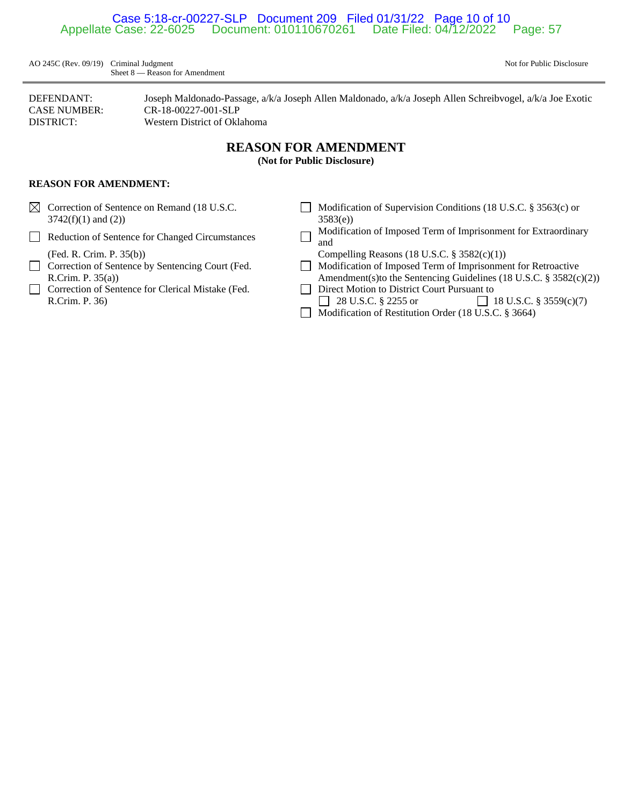### Case 5:18-cr-00227-SLP Document 209 Filed 01/31/22 Page 10 of 10 Document: 010110670261 Date Filed: 04/12/2022 Page: 57

AO 245C (Rev. 09/19) Criminal Judgment Not for Public Disclosure Sheet 8 — Reason for Amendment

DEFENDANT: Joseph Maldonado-Passage, a/k/a Joseph Allen Maldonado, a/k/a Joseph Allen Schreibvogel, a/k/a Joe Exotic CASE NUMBER: CR-18-00227-001-SLP DISTRICT: Western District of Oklahoma

## **REASON FOR AMENDMENT**

**(Not for Public Disclosure)**

### **REASON FOR AMENDMENT:**

- $3742(f)(1)$  and (2))  $3583(e)$
- 
- 
- 
- Correction of Sentence for Clerical Mistake (Fed. Direct Motion to District Court Pursuant to R.Crim. P. 36) 28 U.S.C. § 2255 or 18 U.S.C. § 3559(c)(7)
- ⊠ Correction of Sentence on Remand (18 U.S.C. Modification of Supervision Conditions (18 U.S.C. § 3563(c) or
- Reduction of Sentence for Changed Circumstances  $\Box$  Modification of Imposed Term of Imprisonment for Extraordinary and
	- (Fed. R. Crim. P. 35(b)) Compelling Reasons (18 U.S.C. § 3582(c)(1))
- Correction of Sentence by Sentencing Court (Fed. Modification of Imposed Term of Imprisonment for Retroactive R.Crim. P. 35(a)) Amendment(s)to the Sentencing Guidelines (18 U.S.C. § 3582(c)(2))
	-
	- Modification of Restitution Order (18 U.S.C. § 3664)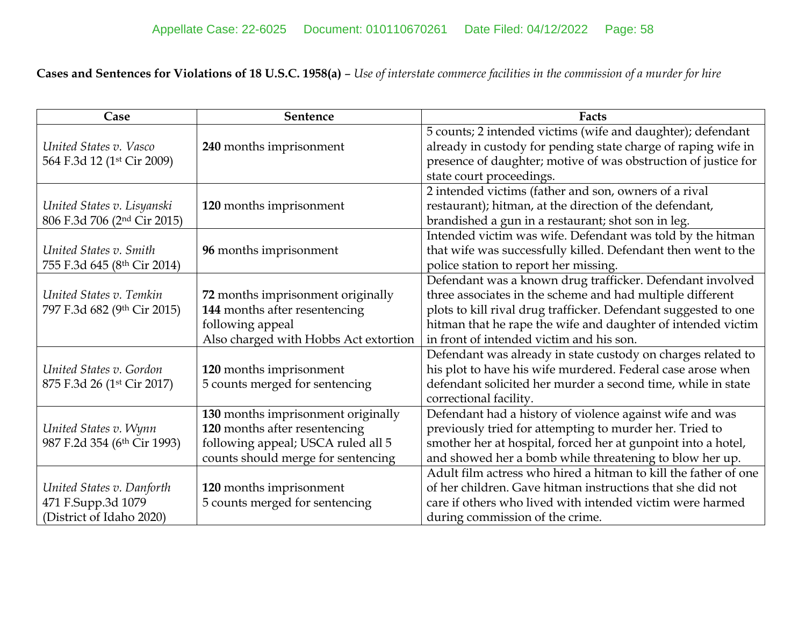**Cases and Sentences for Violations of 18 U.S.C. 1958(a)** – *Use of interstate commerce facilities in the commission of a murder for hire*

| Case                                    | Sentence                              | Facts                                                           |
|-----------------------------------------|---------------------------------------|-----------------------------------------------------------------|
|                                         |                                       | 5 counts; 2 intended victims (wife and daughter); defendant     |
| United States v. Vasco                  | 240 months imprisonment               | already in custody for pending state charge of raping wife in   |
| 564 F.3d 12 (1st Cir 2009)              |                                       | presence of daughter; motive of was obstruction of justice for  |
|                                         |                                       | state court proceedings.                                        |
|                                         |                                       | 2 intended victims (father and son, owners of a rival           |
| United States v. Lisyanski              | 120 months imprisonment               | restaurant); hitman, at the direction of the defendant,         |
| 806 F.3d 706 (2 <sup>nd</sup> Cir 2015) |                                       | brandished a gun in a restaurant; shot son in leg.              |
|                                         |                                       | Intended victim was wife. Defendant was told by the hitman      |
| United States v. Smith                  | 96 months imprisonment                | that wife was successfully killed. Defendant then went to the   |
| 755 F.3d 645 (8th Cir 2014)             |                                       | police station to report her missing.                           |
|                                         |                                       | Defendant was a known drug trafficker. Defendant involved       |
| United States v. Temkin                 | 72 months imprisonment originally     | three associates in the scheme and had multiple different       |
| 797 F.3d 682 (9th Cir 2015)             | 144 months after resentencing         | plots to kill rival drug trafficker. Defendant suggested to one |
|                                         | following appeal                      | hitman that he rape the wife and daughter of intended victim    |
|                                         | Also charged with Hobbs Act extortion | in front of intended victim and his son.                        |
|                                         |                                       | Defendant was already in state custody on charges related to    |
| United States v. Gordon                 | 120 months imprisonment               | his plot to have his wife murdered. Federal case arose when     |
| 875 F.3d 26 (1 <sup>st</sup> Cir 2017)  | 5 counts merged for sentencing        | defendant solicited her murder a second time, while in state    |
|                                         |                                       | correctional facility.                                          |
|                                         | 130 months imprisonment originally    | Defendant had a history of violence against wife and was        |
| United States v. Wynn                   | 120 months after resentencing         | previously tried for attempting to murder her. Tried to         |
| 987 F.2d 354 (6th Cir 1993)             | following appeal; USCA ruled all 5    | smother her at hospital, forced her at gunpoint into a hotel,   |
|                                         | counts should merge for sentencing    | and showed her a bomb while threatening to blow her up.         |
|                                         |                                       | Adult film actress who hired a hitman to kill the father of one |
| United States v. Danforth               | 120 months imprisonment               | of her children. Gave hitman instructions that she did not      |
| 471 F.Supp.3d 1079                      | 5 counts merged for sentencing        | care if others who lived with intended victim were harmed       |
| (District of Idaho 2020)                |                                       | during commission of the crime.                                 |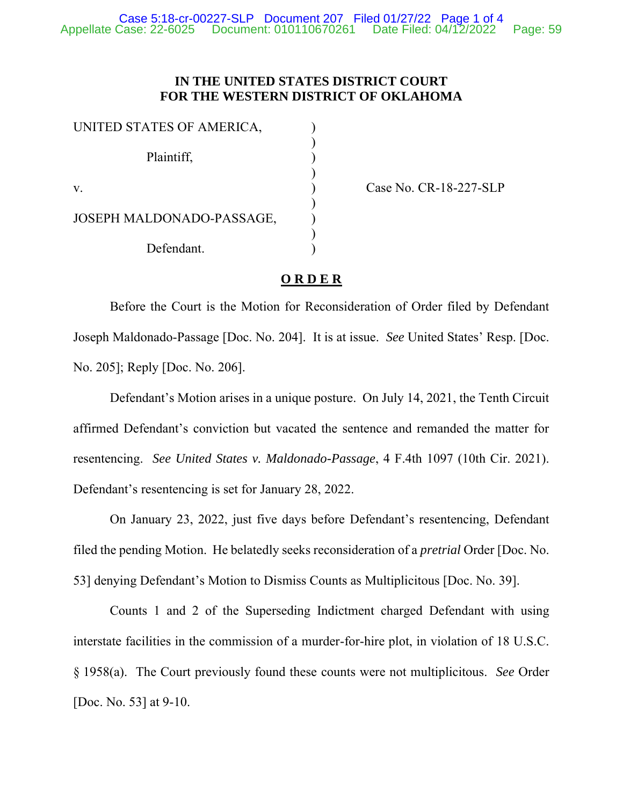### **IN THE UNITED STATES DISTRICT COURT FOR THE WESTERN DISTRICT OF OKLAHOMA**

| UNITED STATES OF AMERICA, |  |
|---------------------------|--|
| Plaintiff,                |  |
| $\mathbf{V}$              |  |
| JOSEPH MALDONADO-PASSAGE, |  |
| Defendant.                |  |

Case No. CR-18-227-SLP

### **O R D E R**

Before the Court is the Motion for Reconsideration of Order filed by Defendant Joseph Maldonado-Passage [Doc. No. 204]. It is at issue. *See* United States' Resp. [Doc. No. 205]; Reply [Doc. No. 206].

Defendant's Motion arises in a unique posture. On July 14, 2021, the Tenth Circuit affirmed Defendant's conviction but vacated the sentence and remanded the matter for resentencing. *See United States v. Maldonado-Passage*, 4 F.4th 1097 (10th Cir. 2021). Defendant's resentencing is set for January 28, 2022.

On January 23, 2022, just five days before Defendant's resentencing, Defendant filed the pending Motion. He belatedly seeks reconsideration of a *pretrial* Order [Doc. No. 53] denying Defendant's Motion to Dismiss Counts as Multiplicitous [Doc. No. 39].

Counts 1 and 2 of the Superseding Indictment charged Defendant with using interstate facilities in the commission of a murder-for-hire plot, in violation of 18 U.S.C. § 1958(a). The Court previously found these counts were not multiplicitous. *See* Order [Doc. No. 53] at 9-10.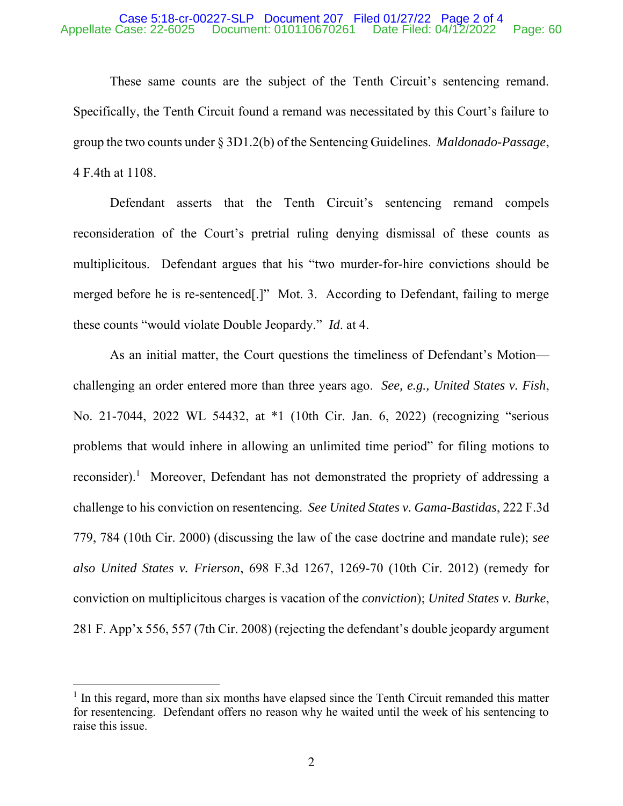#### Case 5:18-cr-00227-SLP Document 207 Filed 01/27/22 Page 2 of 4 Document: 010110670261 Date Filed: 04/12/2022 Page: 60

These same counts are the subject of the Tenth Circuit's sentencing remand. Specifically, the Tenth Circuit found a remand was necessitated by this Court's failure to group the two counts under § 3D1.2(b) of the Sentencing Guidelines. *Maldonado-Passage*, 4 F.4th at 1108.

Defendant asserts that the Tenth Circuit's sentencing remand compels reconsideration of the Court's pretrial ruling denying dismissal of these counts as multiplicitous. Defendant argues that his "two murder-for-hire convictions should be merged before he is re-sentenced[.]" Mot. 3. According to Defendant, failing to merge these counts "would violate Double Jeopardy." *Id*. at 4.

As an initial matter, the Court questions the timeliness of Defendant's Motion challenging an order entered more than three years ago. *See, e.g., United States v. Fish*, No. 21-7044, 2022 WL 54432, at \*1 (10th Cir. Jan. 6, 2022) (recognizing "serious problems that would inhere in allowing an unlimited time period" for filing motions to reconsider).<sup>1</sup> Moreover, Defendant has not demonstrated the propriety of addressing a challenge to his conviction on resentencing. *See United States v. Gama-Bastidas*, 222 F.3d 779, 784 (10th Cir. 2000) (discussing the law of the case doctrine and mandate rule); *see also United States v. Frierson*, 698 F.3d 1267, 1269-70 (10th Cir. 2012) (remedy for conviction on multiplicitous charges is vacation of the *conviction*); *United States v. Burke*, 281 F. App'x 556, 557 (7th Cir. 2008) (rejecting the defendant's double jeopardy argument

<sup>&</sup>lt;sup>1</sup> In this regard, more than six months have elapsed since the Tenth Circuit remanded this matter for resentencing. Defendant offers no reason why he waited until the week of his sentencing to raise this issue.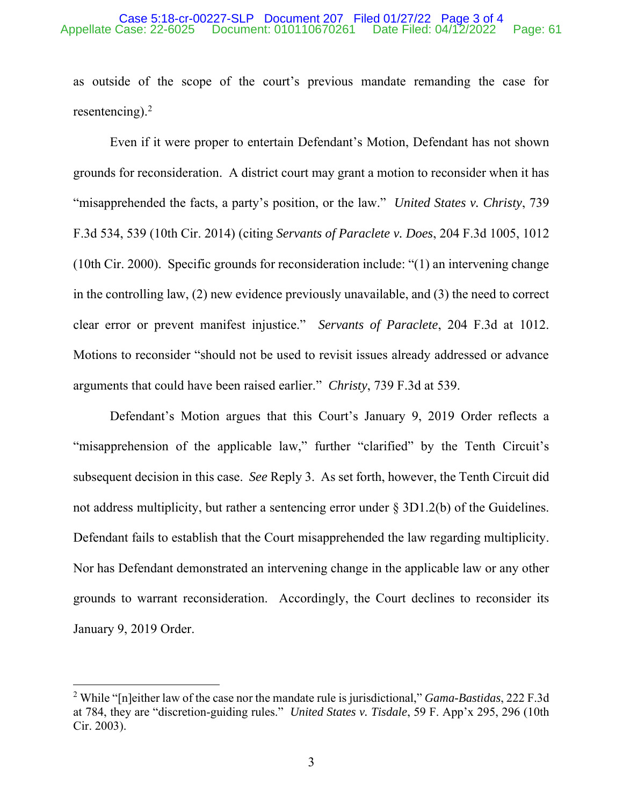#### Case 5:18-cr-00227-SLP Document 207 Filed 01/27/22 Page 3 of 4 Appellate Case: 22-6025 Document: 010110670261 Date Filed: 04/12/2022 Page: 61

as outside of the scope of the court's previous mandate remanding the case for resentencing). $<sup>2</sup>$ </sup>

Even if it were proper to entertain Defendant's Motion, Defendant has not shown grounds for reconsideration. A district court may grant a motion to reconsider when it has "misapprehended the facts, a party's position, or the law." *United States v. Christy*, 739 F.3d 534, 539 (10th Cir. 2014) (citing *Servants of Paraclete v. Does*, 204 F.3d 1005, 1012 (10th Cir. 2000). Specific grounds for reconsideration include: "(1) an intervening change in the controlling law, (2) new evidence previously unavailable, and (3) the need to correct clear error or prevent manifest injustice." *Servants of Paraclete*, 204 F.3d at 1012. Motions to reconsider "should not be used to revisit issues already addressed or advance arguments that could have been raised earlier." *Christy*, 739 F.3d at 539.

Defendant's Motion argues that this Court's January 9, 2019 Order reflects a "misapprehension of the applicable law," further "clarified" by the Tenth Circuit's subsequent decision in this case. *See* Reply 3. As set forth, however, the Tenth Circuit did not address multiplicity, but rather a sentencing error under § 3D1.2(b) of the Guidelines. Defendant fails to establish that the Court misapprehended the law regarding multiplicity. Nor has Defendant demonstrated an intervening change in the applicable law or any other grounds to warrant reconsideration. Accordingly, the Court declines to reconsider its January 9, 2019 Order.

<sup>2</sup> While "[n]either law of the case nor the mandate rule is jurisdictional," *Gama-Bastidas*, 222 F.3d at 784, they are "discretion-guiding rules." *United States v. Tisdale*, 59 F. App'x 295, 296 (10th Cir. 2003).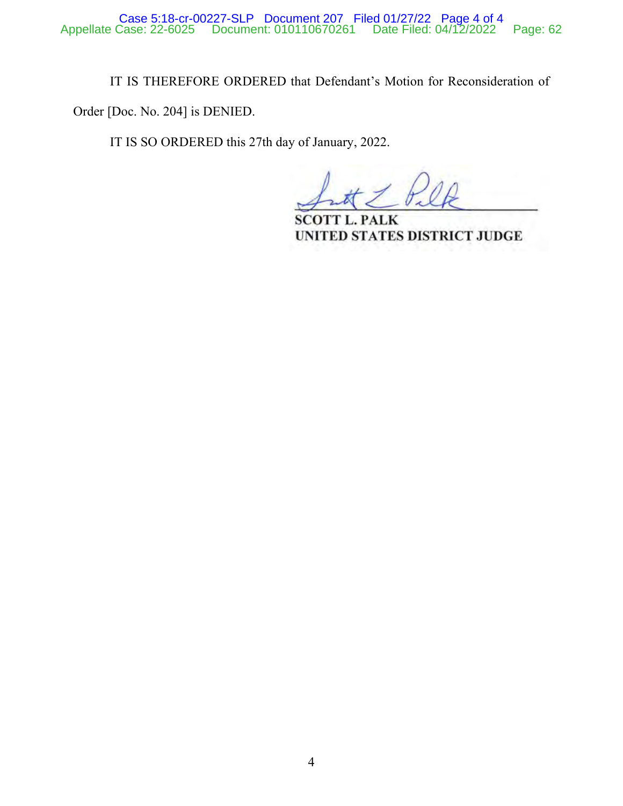IT IS THEREFORE ORDERED that Defendant's Motion for Reconsideration of

Order [Doc. No. 204] is DENIED.

IT IS SO ORDERED this 27th day of January, 2022.

**SCOTT L. PALK** UNITED STATES DISTRICT JUDGE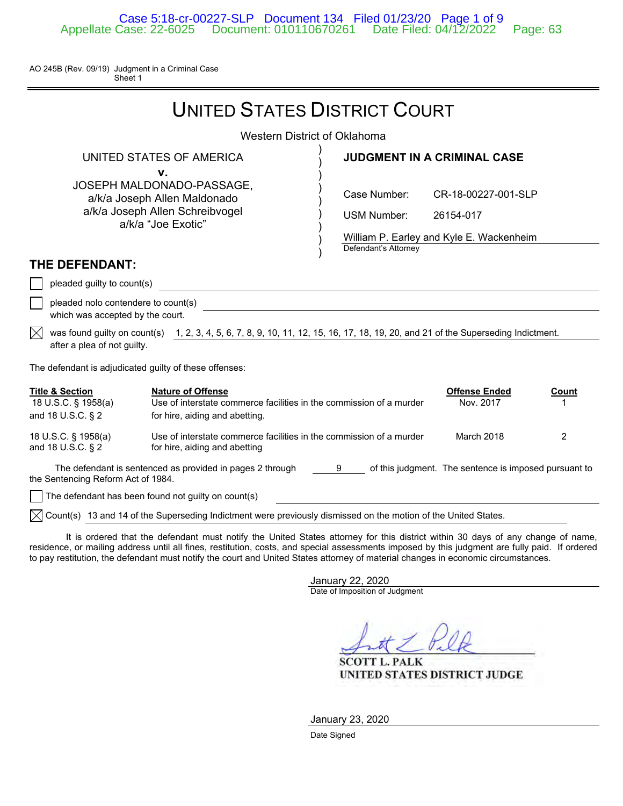AO 245B (Rev. 09/19) Judgment in a Criminal Case Sheet 1

|                                                                                                                                                         | <b>UNITED STATES DISTRICT COURT</b>                                                                                                                                                                                                                                                     |                                                                                                             |                                                                              |       |  |
|---------------------------------------------------------------------------------------------------------------------------------------------------------|-----------------------------------------------------------------------------------------------------------------------------------------------------------------------------------------------------------------------------------------------------------------------------------------|-------------------------------------------------------------------------------------------------------------|------------------------------------------------------------------------------|-------|--|
|                                                                                                                                                         | Western District of Oklahoma                                                                                                                                                                                                                                                            |                                                                                                             |                                                                              |       |  |
|                                                                                                                                                         | UNITED STATES OF AMERICA<br>v.                                                                                                                                                                                                                                                          |                                                                                                             | <b>JUDGMENT IN A CRIMINAL CASE</b>                                           |       |  |
|                                                                                                                                                         | JOSEPH MALDONADO-PASSAGE,<br>a/k/a Joseph Allen Maldonado<br>a/k/a Joseph Allen Schreibvogel<br>a/k/a "Joe Exotic"                                                                                                                                                                      | Case Number:<br><b>USM Number:</b>                                                                          | CR-18-00227-001-SLP<br>26154-017<br>William P. Earley and Kyle E. Wackenheim |       |  |
| THE DEFENDANT:                                                                                                                                          |                                                                                                                                                                                                                                                                                         | Defendant's Attorney                                                                                        |                                                                              |       |  |
| pleaded guilty to count(s)<br>which was accepted by the court.                                                                                          | pleaded nolo contendere to count(s)                                                                                                                                                                                                                                                     |                                                                                                             |                                                                              |       |  |
| IXI<br>after a plea of not guilty.                                                                                                                      | was found guilty on count(s) 1, 2, 3, 4, 5, 6, 7, 8, 9, 10, 11, 12, 15, 16, 17, 18, 19, 20, and 21 of the Superseding Indictment.                                                                                                                                                       |                                                                                                             |                                                                              |       |  |
| The defendant is adjudicated guilty of these offenses:                                                                                                  |                                                                                                                                                                                                                                                                                         |                                                                                                             |                                                                              |       |  |
| <b>Title &amp; Section</b><br>18 U.S.C. § 1958(a)<br>and 18 U.S.C. § 2                                                                                  | <b>Nature of Offense</b><br>Use of interstate commerce facilities in the commission of a murder<br>for hire, aiding and abetting.                                                                                                                                                       |                                                                                                             | <b>Offense Ended</b><br>Nov. 2017                                            | Count |  |
| 18 U.S.C. § 1958(a)<br>and 18 U.S.C. § 2                                                                                                                | Use of interstate commerce facilities in the commission of a murder<br>for hire, aiding and abetting                                                                                                                                                                                    |                                                                                                             | March 2018                                                                   | 2     |  |
| The defendant is sentenced as provided in pages 2 through 9 of this judgment. The sentence is imposed pursuant to<br>the Sentencing Reform Act of 1984. |                                                                                                                                                                                                                                                                                         |                                                                                                             |                                                                              |       |  |
|                                                                                                                                                         | The defendant has been found not guilty on count(s)<br>$\cdots$ . The contract of the contract of the contract of the contract of the contract of the contract of the contract of the contract of the contract of the contract of the contract of the contract of the contract of the c | $\mathbf{r}$ , and $\mathbf{r}$ , and $\mathbf{r}$ , and $\mathbf{r}$ , and $\mathbf{r}$ , and $\mathbf{r}$ |                                                                              |       |  |

 $\bowtie$  Count(s) 13 and 14 of the Superseding Indictment were previously dismissed on the motion of the United States.

 It is ordered that the defendant must notify the United States attorney for this district within 30 days of any change of name, residence, or mailing address until all fines, restitution, costs, and special assessments imposed by this judgment are fully paid. If ordered to pay restitution, the defendant must notify the court and United States attorney of material changes in economic circumstances.

> January 22, 2020 Date of Imposition of Judgment

**SCOTT L. PALK** UNITED STATES DISTRICT JUDGE

January 23, 2020

Date Signed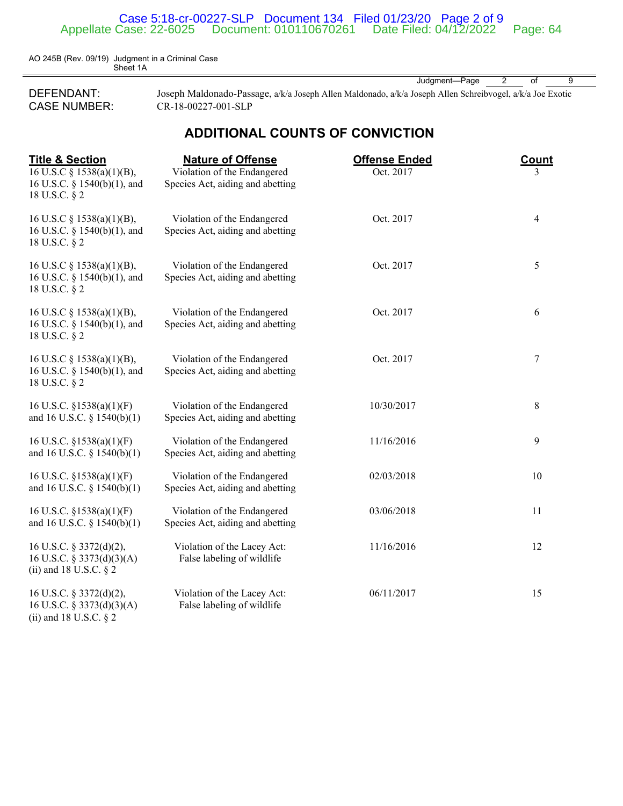### Case 5:18-cr-00227-SLP Document 134 Filed 01/23/20 Page 2 of 9 Appellate Case: 22-6025 Document: 010110670261 Date Filed: 04/12/2022 Page: 64

AO 245B (Rev. 09/19) Judgment in a Criminal Case **Sheet 1A** 

(ii) and 18 U.S.C. § 2

DEFENDANT: Joseph Maldonado-Passage, a/k/a Joseph Allen Maldonado, a/k/a Joseph Allen Schreibvogel, a/k/a Joe Exotic CASE NUMBER: CR-18-00227-001-SLP

## **ADDITIONAL COUNTS OF CONVICTION**

Judgment-Page 2 of 9

| <b>Title &amp; Section</b><br>16 U.S.C $\S$ 1538(a)(1)(B),<br>16 U.S.C. § 1540(b)(1), and<br>18 U.S.C. § 2 | <b>Nature of Offense</b><br>Violation of the Endangered<br>Species Act, aiding and abetting | <b>Offense Ended</b><br>Oct. 2017 | <b>Count</b><br>3 |
|------------------------------------------------------------------------------------------------------------|---------------------------------------------------------------------------------------------|-----------------------------------|-------------------|
| 16 U.S.C $\S$ 1538(a)(1)(B),<br>16 U.S.C. § 1540(b)(1), and<br>18 U.S.C. § 2                               | Violation of the Endangered<br>Species Act, aiding and abetting                             | Oct. 2017                         | $\overline{4}$    |
| 16 U.S.C § 1538(a)(1)(B),<br>16 U.S.C. § 1540(b)(1), and<br>18 U.S.C. § 2                                  | Violation of the Endangered<br>Species Act, aiding and abetting                             | Oct. 2017                         | 5                 |
| 16 U.S.C $\S$ 1538(a)(1)(B),<br>16 U.S.C. § 1540(b)(1), and<br>18 U.S.C. § 2                               | Violation of the Endangered<br>Species Act, aiding and abetting                             | Oct. 2017                         | 6                 |
| 16 U.S.C $\S$ 1538(a)(1)(B),<br>16 U.S.C. § 1540(b)(1), and<br>18 U.S.C. § 2                               | Violation of the Endangered<br>Species Act, aiding and abetting                             | Oct. 2017                         | 7                 |
| 16 U.S.C. $\S$ 1538(a)(1)(F)<br>and 16 U.S.C. $\S$ 1540(b)(1)                                              | Violation of the Endangered<br>Species Act, aiding and abetting                             | 10/30/2017                        | 8                 |
| 16 U.S.C. $\S$ 1538(a)(1)(F)<br>and 16 U.S.C. $\S$ 1540(b)(1)                                              | Violation of the Endangered<br>Species Act, aiding and abetting                             | 11/16/2016                        | 9                 |
| 16 U.S.C. $\S 1538(a)(1)(F)$<br>and 16 U.S.C. $\S$ 1540(b)(1)                                              | Violation of the Endangered<br>Species Act, aiding and abetting                             | 02/03/2018                        | 10                |
| 16 U.S.C. $\S 1538(a)(1)(F)$<br>and 16 U.S.C. $\S$ 1540(b)(1)                                              | Violation of the Endangered<br>Species Act, aiding and abetting                             | 03/06/2018                        | 11                |
| 16 U.S.C. § 3372(d)(2),<br>16 U.S.C. § 3373(d)(3)(A)<br>(ii) and 18 U.S.C. $\S$ 2                          | Violation of the Lacey Act:<br>False labeling of wildlife                                   | 11/16/2016                        | 12                |
| 16 U.S.C. § 3372(d)(2),<br>16 U.S.C. § 3373(d)(3)(A)                                                       | Violation of the Lacey Act:<br>False labeling of wildlife                                   | 06/11/2017                        | 15                |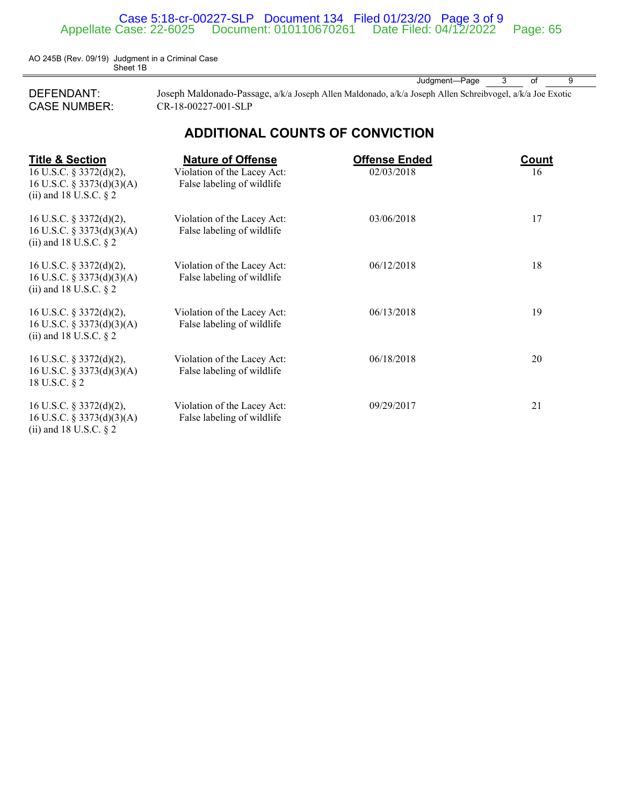### Case 5:18-cr-00227-SLP Document 134 Filed 01/23/20 Page 3 of 9 Appellate Case: 22-6025 Document: 010110670261 Date Filed: 04/12/2022 Page: 65

AO 245B (Rev. 09/19) Judgment in a Criminal Case Sheet 1B

DEFENDANT: Joseph Maldonado-Passage, a/k/a Joseph Allen Maldonado, a/k/a Joseph Allen Schreibvogel, a/k/a Joe Exotic CASE NUMBER: CR-18-00227-001-SLP

Judgment—Page 3 of 9

## **ADDITIONAL COUNTS OF CONVICTION**

| <b>Title &amp; Section</b><br>16 U.S.C. $\S$ 3372(d)(2),<br>16 U.S.C. § 3373(d)(3)(A)<br>(ii) and 18 U.S.C. $\S$ 2 | <b>Nature of Offense</b><br>Violation of the Lacey Act:<br>False labeling of wildlife | <b>Offense Ended</b><br>02/03/2018 | Count<br>16 |
|--------------------------------------------------------------------------------------------------------------------|---------------------------------------------------------------------------------------|------------------------------------|-------------|
| 16 U.S.C. $\S$ 3372(d)(2),<br>16 U.S.C. § 3373(d)(3)(A)<br>(ii) and 18 U.S.C. $\S$ 2                               | Violation of the Lacey Act:<br>False labeling of wildlife                             | 03/06/2018                         | 17          |
| 16 U.S.C. $\S$ 3372(d)(2),<br>16 U.S.C. § 3373(d)(3)(A)<br>(ii) and 18 U.S.C. $\S$ 2                               | Violation of the Lacey Act:<br>False labeling of wildlife                             | 06/12/2018                         | 18          |
| 16 U.S.C. $\S$ 3372(d)(2),<br>16 U.S.C. § 3373(d)(3)(A)<br>(ii) and 18 U.S.C. $\S$ 2                               | Violation of the Lacey Act:<br>False labeling of wildlife                             | 06/13/2018                         | 19          |
| 16 U.S.C. $\S$ 3372(d)(2),<br>16 U.S.C. § 3373(d)(3)(A)<br>18 U.S.C. § 2                                           | Violation of the Lacey Act:<br>False labeling of wildlife                             | 06/18/2018                         | 20          |
| 16 U.S.C. $\S$ 3372(d)(2),<br>16 U.S.C. § 3373(d)(3)(A)<br>(ii) and 18 U.S.C. $\S$ 2                               | Violation of the Lacey Act:<br>False labeling of wildlife                             | 09/29/2017                         | 21          |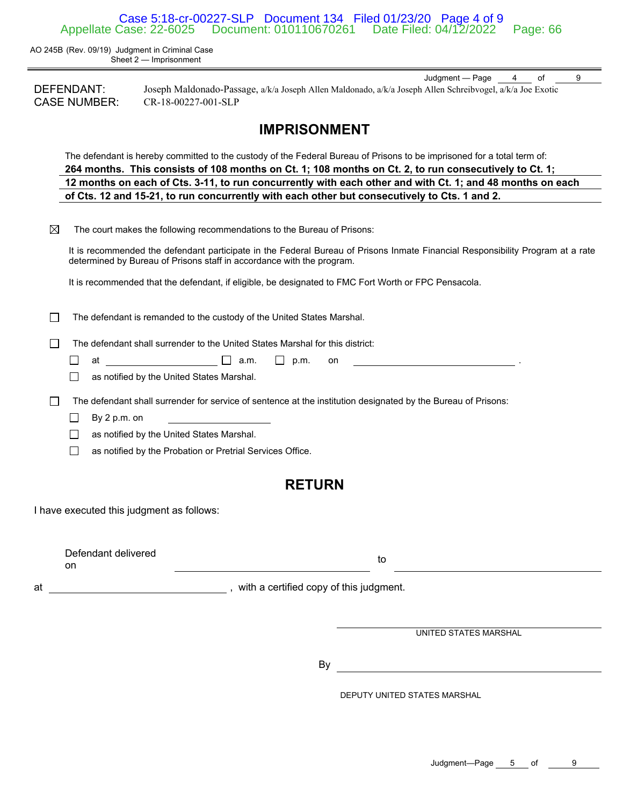Case 5:18-cr-00227-SLP Document 134 Filed 01/23/20 Page 4 of 9 Document: 010110670261 Date Filed: 04/12/2022 Page: 66

AO 245B (Rev. 09/19) Judgment in Criminal Case Sheet 2 — Imprisonment

Judgment — Page 4 of 9 DEFENDANT: Joseph Maldonado-Passage, a/k/a Joseph Allen Maldonado, a/k/a Joseph Allen Schreibvogel, a/k/a Joe Exotic CASE NUMBER: CR-18-00227-001-SLP

## **IMPRISONMENT**

The defendant is hereby committed to the custody of the Federal Bureau of Prisons to be imprisoned for a total term of: **264 months. This consists of 108 months on Ct. 1; 108 months on Ct. 2, to run consecutively to Ct. 1; 12 months on each of Cts. 3-11, to run concurrently with each other and with Ct. 1; and 48 months on each of Cts. 12 and 15-21, to run concurrently with each other but consecutively to Cts. 1 and 2.** 

| $\boxtimes$ | The court makes the following recommendations to the Bureau of Prisons: |
|-------------|-------------------------------------------------------------------------|
|-------------|-------------------------------------------------------------------------|

It is recommended the defendant participate in the Federal Bureau of Prisons Inmate Financial Responsibility Program at a rate determined by Bureau of Prisons staff in accordance with the program.

It is recommended that the defendant, if eligible, be designated to FMC Fort Worth or FPC Pensacola.

 $\Box$  The defendant is remanded to the custody of the United States Marshal.

 $\Box$  The defendant shall surrender to the United States Marshal for this district:

- П at a.m.  $\Box$  p.m. on . .
	- □ as notified by the United States Marshal.
- The defendant shall surrender for service of sentence at the institution designated by the Bureau of Prisons:
	- $\Box$  By 2 p.m. on
	- □ as notified by the United States Marshal.
	- □ as notified by the Probation or Pretrial Services Office.

## **RETURN**

I have executed this judgment as follows:

| Defendant delivered |  |
|---------------------|--|
| . വ                 |  |

to the contract of the contract of the contract of the contract of the contract of the contract of the contract of the contract of the contract of the contract of the contract of the contract of the contract of the contrac

at a state of the state of the state of the state of the state of the state of the state of the state of the state of the state of the state of the state of the state of the state of the state of the state of the state of

UNITED STATES MARSHAL

By

DEPUTY UNITED STATES MARSHAL

Judgment-Page 5 of 9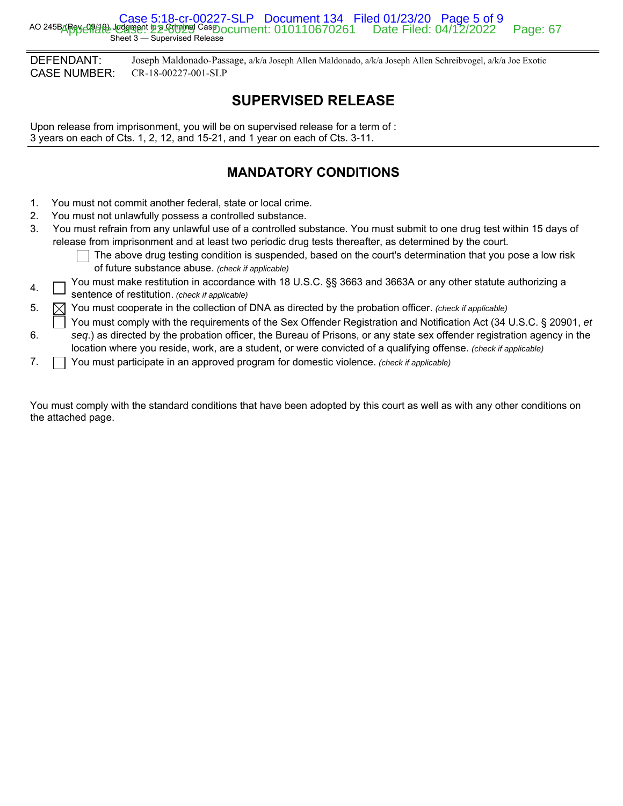Case 5:18-cr-00227-SLP Document 134 Filed 01/23/20 Page 5 of 9<br>AO 245Barey 09494) Judgment in a Criminal Casp ocument: 010110670261 Date Filed: 04/12/2022 Sheet 3 — Supervised Release Appellate Case: 22-6025 Document: 010110670261 Date Filed: 04/12/2022 Page: 67

DEFENDANT: Joseph Maldonado-Passage, a/k/a Joseph Allen Maldonado, a/k/a Joseph Allen Schreibvogel, a/k/a Joe Exotic CASE NUMBER: CR-18-00227-001-SLP

# **SUPERVISED RELEASE**

Upon release from imprisonment, you will be on supervised release for a term of : 3 years on each of Cts. 1, 2, 12, and 15-21, and 1 year on each of Cts. 3-11.

# **MANDATORY CONDITIONS**

- 1. You must not commit another federal, state or local crime.
- 2. You must not unlawfully possess a controlled substance.
- 3. You must refrain from any unlawful use of a controlled substance. You must submit to one drug test within 15 days of release from imprisonment and at least two periodic drug tests thereafter, as determined by the court.
	- The above drug testing condition is suspended, based on the court's determination that you pose a low risk of future substance abuse. *(check if applicable)*
- 4. This you must make restitution in accordance with 18 U.S.C. §§ 3663 and 3663A or any other statute authorizing a sentence of restitution. *(check if applicable)*
- 5.  $\Box$  You must cooperate in the collection of DNA as directed by the probation officer. *(check if applicable)*
- 6. You must comply with the requirements of the Sex Offender Registration and Notification Act (34 U.S.C. § 20901, *et seq*.) as directed by the probation officer, the Bureau of Prisons, or any state sex offender registration agency in the location where you reside, work, are a student, or were convicted of a qualifying offense. *(check if applicable)*
- 7. You must participate in an approved program for domestic violence. *(check if applicable)*

You must comply with the standard conditions that have been adopted by this court as well as with any other conditions on the attached page.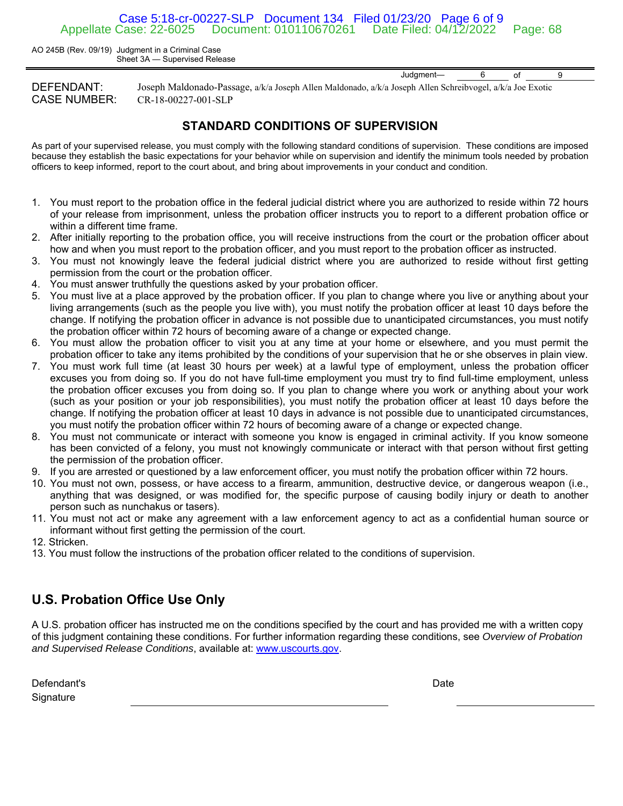### Case 5:18-cr-00227-SLP Document 134 Filed 01/23/20 Page 6 of 9 Document: 010110670261 Date Filed: 04/12/2022 Page: 68

AO 245B (Rev. 09/19) Judgment in a Criminal Case Sheet 3A — Supervised Release

DEFENDANT: Joseph Maldonado-Passage, a/k/a Joseph Allen Maldonado, a/k/a Joseph Allen Schreibvogel, a/k/a Joe Exotic CASE NUMBER: CR-18-00227-001-SLP

### **STANDARD CONDITIONS OF SUPERVISION**

As part of your supervised release, you must comply with the following standard conditions of supervision. These conditions are imposed because they establish the basic expectations for your behavior while on supervision and identify the minimum tools needed by probation officers to keep informed, report to the court about, and bring about improvements in your conduct and condition.

- 1. You must report to the probation office in the federal judicial district where you are authorized to reside within 72 hours of your release from imprisonment, unless the probation officer instructs you to report to a different probation office or within a different time frame.
- 2. After initially reporting to the probation office, you will receive instructions from the court or the probation officer about how and when you must report to the probation officer, and you must report to the probation officer as instructed.
- 3. You must not knowingly leave the federal judicial district where you are authorized to reside without first getting permission from the court or the probation officer.
- 4. You must answer truthfully the questions asked by your probation officer.
- 5. You must live at a place approved by the probation officer. If you plan to change where you live or anything about your living arrangements (such as the people you live with), you must notify the probation officer at least 10 days before the change. If notifying the probation officer in advance is not possible due to unanticipated circumstances, you must notify the probation officer within 72 hours of becoming aware of a change or expected change.
- 6. You must allow the probation officer to visit you at any time at your home or elsewhere, and you must permit the probation officer to take any items prohibited by the conditions of your supervision that he or she observes in plain view.
- 7. You must work full time (at least 30 hours per week) at a lawful type of employment, unless the probation officer excuses you from doing so. If you do not have full-time employment you must try to find full-time employment, unless the probation officer excuses you from doing so. If you plan to change where you work or anything about your work (such as your position or your job responsibilities), you must notify the probation officer at least 10 days before the change. If notifying the probation officer at least 10 days in advance is not possible due to unanticipated circumstances, you must notify the probation officer within 72 hours of becoming aware of a change or expected change.
- 8. You must not communicate or interact with someone you know is engaged in criminal activity. If you know someone has been convicted of a felony, you must not knowingly communicate or interact with that person without first getting the permission of the probation officer.
- 9. If you are arrested or questioned by a law enforcement officer, you must notify the probation officer within 72 hours.
- 10. You must not own, possess, or have access to a firearm, ammunition, destructive device, or dangerous weapon (i.e., anything that was designed, or was modified for, the specific purpose of causing bodily injury or death to another person such as nunchakus or tasers).
- 11. You must not act or make any agreement with a law enforcement agency to act as a confidential human source or informant without first getting the permission of the court.
- 12. Stricken.
- 13. You must follow the instructions of the probation officer related to the conditions of supervision.

# **U.S. Probation Office Use Only**

A U.S. probation officer has instructed me on the conditions specified by the court and has provided me with a written copy of this judgment containing these conditions. For further information regarding these conditions, see *Overview of Probation and Supervised Release Conditions*, available at: www.uscourts.gov.

Defendant's **Signature** 

**Date Date Date Date** 

Judgment— 6 of 9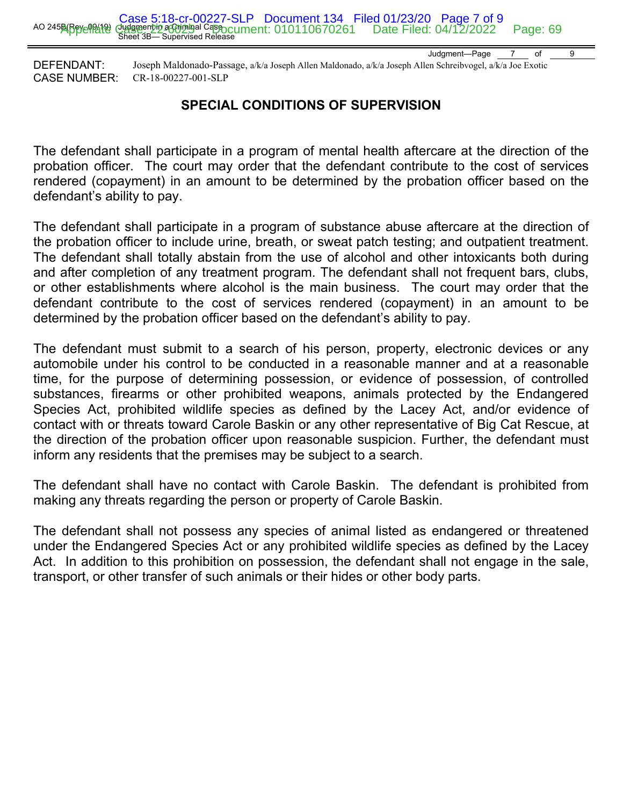Judgment—Page 7 of 9

DEFENDANT: Joseph Maldonado-Passage, a/k/a Joseph Allen Maldonado, a/k/a Joseph Allen Schreibvogel, a/k/a Joe Exotic CASE NUMBER: CR-18-00227-001-SLP

# **SPECIAL CONDITIONS OF SUPERVISION**

The defendant shall participate in a program of mental health aftercare at the direction of the probation officer. The court may order that the defendant contribute to the cost of services rendered (copayment) in an amount to be determined by the probation officer based on the defendant's ability to pay.

The defendant shall participate in a program of substance abuse aftercare at the direction of the probation officer to include urine, breath, or sweat patch testing; and outpatient treatment. The defendant shall totally abstain from the use of alcohol and other intoxicants both during and after completion of any treatment program. The defendant shall not frequent bars, clubs, or other establishments where alcohol is the main business. The court may order that the defendant contribute to the cost of services rendered (copayment) in an amount to be determined by the probation officer based on the defendant's ability to pay.

The defendant must submit to a search of his person, property, electronic devices or any automobile under his control to be conducted in a reasonable manner and at a reasonable time, for the purpose of determining possession, or evidence of possession, of controlled substances, firearms or other prohibited weapons, animals protected by the Endangered Species Act, prohibited wildlife species as defined by the Lacey Act, and/or evidence of contact with or threats toward Carole Baskin or any other representative of Big Cat Rescue, at the direction of the probation officer upon reasonable suspicion. Further, the defendant must inform any residents that the premises may be subject to a search.

The defendant shall have no contact with Carole Baskin. The defendant is prohibited from making any threats regarding the person or property of Carole Baskin.

The defendant shall not possess any species of animal listed as endangered or threatened under the Endangered Species Act or any prohibited wildlife species as defined by the Lacey Act. In addition to this prohibition on possession, the defendant shall not engage in the sale, transport, or other transfer of such animals or their hides or other body parts.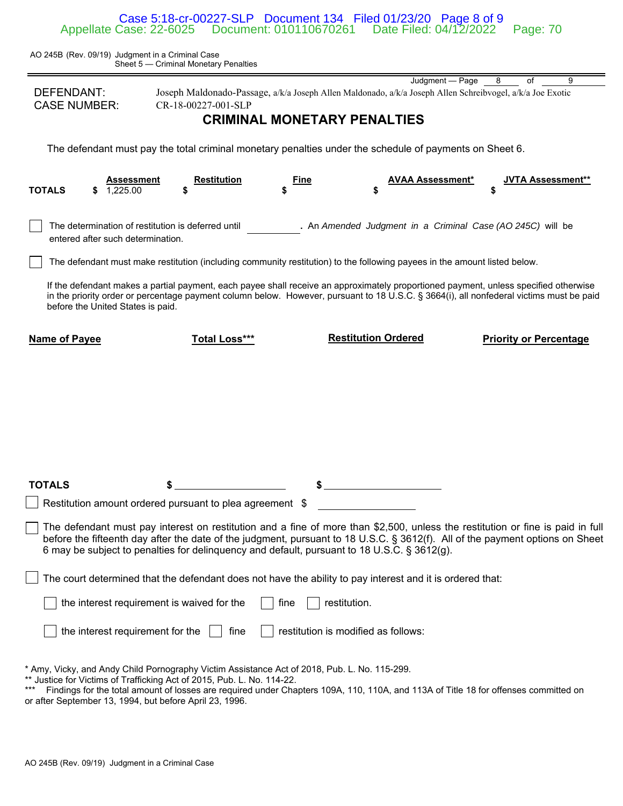Case 5:18-cr-00227-SLP Document 134 Filed 01/23/20 Page 8 of 9 Appellate Case: 22-6025 Document: 010110670261 Date Filed: 04/12/2022 Page: 70

AO 245B (Rev. 09/19) Judgment in a Criminal Case Sheet 5 — Criminal Monetary Penalties

|                                                                                                                                                                                                                                                                                                                                                                |                                                                                                                           |                                     | Judgment - Page            | 8<br>of                       | 9 |  |  |  |  |
|----------------------------------------------------------------------------------------------------------------------------------------------------------------------------------------------------------------------------------------------------------------------------------------------------------------------------------------------------------------|---------------------------------------------------------------------------------------------------------------------------|-------------------------------------|----------------------------|-------------------------------|---|--|--|--|--|
| DEFENDANT:                                                                                                                                                                                                                                                                                                                                                     | Joseph Maldonado-Passage, a/k/a Joseph Allen Maldonado, a/k/a Joseph Allen Schreibvogel, a/k/a Joe Exotic                 |                                     |                            |                               |   |  |  |  |  |
| <b>CASE NUMBER:</b><br>CR-18-00227-001-SLP<br><b>CRIMINAL MONETARY PENALTIES</b>                                                                                                                                                                                                                                                                               |                                                                                                                           |                                     |                            |                               |   |  |  |  |  |
|                                                                                                                                                                                                                                                                                                                                                                |                                                                                                                           |                                     |                            |                               |   |  |  |  |  |
| The defendant must pay the total criminal monetary penalties under the schedule of payments on Sheet 6.                                                                                                                                                                                                                                                        |                                                                                                                           |                                     |                            |                               |   |  |  |  |  |
| Assessment<br><b>TOTALS</b><br>1.225.00                                                                                                                                                                                                                                                                                                                        | <b>Restitution</b><br>\$                                                                                                  | Fine                                | AVAA Assessment*           | <b>JVTA Assessment**</b>      |   |  |  |  |  |
|                                                                                                                                                                                                                                                                                                                                                                |                                                                                                                           |                                     |                            |                               |   |  |  |  |  |
| . An Amended Judgment in a Criminal Case (AO 245C) will be<br>The determination of restitution is deferred until<br>entered after such determination.                                                                                                                                                                                                          |                                                                                                                           |                                     |                            |                               |   |  |  |  |  |
|                                                                                                                                                                                                                                                                                                                                                                | The defendant must make restitution (including community restitution) to the following payees in the amount listed below. |                                     |                            |                               |   |  |  |  |  |
| If the defendant makes a partial payment, each payee shall receive an approximately proportioned payment, unless specified otherwise<br>in the priority order or percentage payment column below. However, pursuant to 18 U.S.C. § 3664(i), all nonfederal victims must be paid<br>before the United States is paid.                                           |                                                                                                                           |                                     |                            |                               |   |  |  |  |  |
| <b>Name of Payee</b>                                                                                                                                                                                                                                                                                                                                           | <b>Total Loss***</b>                                                                                                      |                                     | <b>Restitution Ordered</b> | <b>Priority or Percentage</b> |   |  |  |  |  |
|                                                                                                                                                                                                                                                                                                                                                                |                                                                                                                           |                                     |                            |                               |   |  |  |  |  |
|                                                                                                                                                                                                                                                                                                                                                                |                                                                                                                           |                                     |                            |                               |   |  |  |  |  |
|                                                                                                                                                                                                                                                                                                                                                                |                                                                                                                           |                                     |                            |                               |   |  |  |  |  |
|                                                                                                                                                                                                                                                                                                                                                                |                                                                                                                           |                                     |                            |                               |   |  |  |  |  |
|                                                                                                                                                                                                                                                                                                                                                                |                                                                                                                           |                                     |                            |                               |   |  |  |  |  |
|                                                                                                                                                                                                                                                                                                                                                                |                                                                                                                           |                                     |                            |                               |   |  |  |  |  |
|                                                                                                                                                                                                                                                                                                                                                                |                                                                                                                           |                                     |                            |                               |   |  |  |  |  |
| <b>TOTALS</b>                                                                                                                                                                                                                                                                                                                                                  | \$                                                                                                                        |                                     |                            |                               |   |  |  |  |  |
|                                                                                                                                                                                                                                                                                                                                                                | Restitution amount ordered pursuant to plea agreement \$                                                                  |                                     |                            |                               |   |  |  |  |  |
|                                                                                                                                                                                                                                                                                                                                                                |                                                                                                                           |                                     |                            |                               |   |  |  |  |  |
| The defendant must pay interest on restitution and a fine of more than \$2,500, unless the restitution or fine is paid in full<br>before the fifteenth day after the date of the judgment, pursuant to 18 U.S.C. § 3612(f). All of the payment options on Sheet<br>6 may be subject to penalties for delinquency and default, pursuant to 18 U.S.C. § 3612(g). |                                                                                                                           |                                     |                            |                               |   |  |  |  |  |
| The court determined that the defendant does not have the ability to pay interest and it is ordered that:                                                                                                                                                                                                                                                      |                                                                                                                           |                                     |                            |                               |   |  |  |  |  |
|                                                                                                                                                                                                                                                                                                                                                                | the interest requirement is waived for the                                                                                | restitution.<br>fine                |                            |                               |   |  |  |  |  |
| the interest requirement for the                                                                                                                                                                                                                                                                                                                               | fine                                                                                                                      | restitution is modified as follows: |                            |                               |   |  |  |  |  |
|                                                                                                                                                                                                                                                                                                                                                                |                                                                                                                           |                                     |                            |                               |   |  |  |  |  |
| * Amy, Vicky, and Andy Child Pornography Victim Assistance Act of 2018, Pub. L. No. 115-299.<br>** Justice for Victims of Trafficking Act of 2015, Pub. L. No. 114-22.<br>Findings for the total amount of losses are required under Chapters 109A, 110, 110A, and 113A of Title 18 for offenses committed on                                                  |                                                                                                                           |                                     |                            |                               |   |  |  |  |  |

or after September 13, 1994, but before April 23, 1996.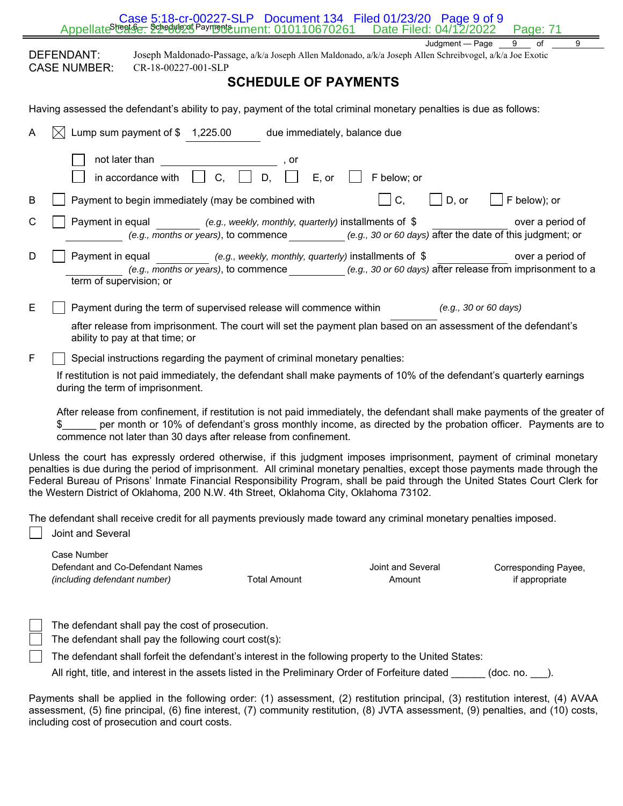| Case 5:18-cr-00227-SLP  Document 134  Filed 01/23/20  Page 9 of 9<br>Appellate <sup>Sleek</sup> se: 22 edul 25 Payment 2010110670261<br>Date Filed: 04/12/2022<br>Page: 71                                                                                                                                                                                                                                                                                                    |  |  |  |  |  |  |  |
|-------------------------------------------------------------------------------------------------------------------------------------------------------------------------------------------------------------------------------------------------------------------------------------------------------------------------------------------------------------------------------------------------------------------------------------------------------------------------------|--|--|--|--|--|--|--|
| 9<br>Judament - Page<br>of<br>9<br>DEFENDANT:<br>Joseph Maldonado-Passage, a/k/a Joseph Allen Maldonado, a/k/a Joseph Allen Schreibvogel, a/k/a Joe Exotic<br><b>CASE NUMBER:</b><br>CR-18-00227-001-SLP                                                                                                                                                                                                                                                                      |  |  |  |  |  |  |  |
| <b>SCHEDULE OF PAYMENTS</b>                                                                                                                                                                                                                                                                                                                                                                                                                                                   |  |  |  |  |  |  |  |
| Having assessed the defendant's ability to pay, payment of the total criminal monetary penalties is due as follows:                                                                                                                                                                                                                                                                                                                                                           |  |  |  |  |  |  |  |
| Lump sum payment of $$ 1,225.00$<br>due immediately, balance due<br>A                                                                                                                                                                                                                                                                                                                                                                                                         |  |  |  |  |  |  |  |
| not later than<br>, or                                                                                                                                                                                                                                                                                                                                                                                                                                                        |  |  |  |  |  |  |  |
| $\vert \vert$ C,<br>D.<br>E, or<br>F below; or<br>in accordance with                                                                                                                                                                                                                                                                                                                                                                                                          |  |  |  |  |  |  |  |
| C,<br>Payment to begin immediately (may be combined with<br>$\rfloor$ D, or<br>F below); or<br>В                                                                                                                                                                                                                                                                                                                                                                              |  |  |  |  |  |  |  |
| C<br>Payment in equal<br>(e.g., weekly, monthly, quarterly) installments of $$$<br>over a period of<br>(e.g., months or years), to commence (e.g., 30 or 60 days) after the date of this judgment; or                                                                                                                                                                                                                                                                         |  |  |  |  |  |  |  |
| D<br>Payment in equal<br>(e.g., weekly, monthly, quarterly) installments of \$<br>over a period of<br>(e.g., months or years), to commence (e.g., 30 or 60 days) after release from imprisonment to a<br>term of supervision; or                                                                                                                                                                                                                                              |  |  |  |  |  |  |  |
| Е<br>Payment during the term of supervised release will commence within<br>(e.g., 30 or 60 days)                                                                                                                                                                                                                                                                                                                                                                              |  |  |  |  |  |  |  |
| after release from imprisonment. The court will set the payment plan based on an assessment of the defendant's<br>ability to pay at that time; or                                                                                                                                                                                                                                                                                                                             |  |  |  |  |  |  |  |
| F<br>Special instructions regarding the payment of criminal monetary penalties:                                                                                                                                                                                                                                                                                                                                                                                               |  |  |  |  |  |  |  |
| If restitution is not paid immediately, the defendant shall make payments of 10% of the defendant's quarterly earnings<br>during the term of imprisonment.                                                                                                                                                                                                                                                                                                                    |  |  |  |  |  |  |  |
| After release from confinement, if restitution is not paid immediately, the defendant shall make payments of the greater of<br>per month or 10% of defendant's gross monthly income, as directed by the probation officer. Payments are to<br>commence not later than 30 days after release from confinement.                                                                                                                                                                 |  |  |  |  |  |  |  |
| Unless the court has expressly ordered otherwise, if this judgment imposes imprisonment, payment of criminal monetary<br>penalties is due during the period of imprisonment.  All criminal monetary penalties, except those payments made through the<br>Federal Bureau of Prisons' Inmate Financial Responsibility Program, shall be paid through the United States Court Clerk for<br>the Western District of Oklahoma, 200 N.W. 4th Street, Oklahoma City, Oklahoma 73102. |  |  |  |  |  |  |  |
| The defendant shall receive credit for all payments previously made toward any criminal monetary penalties imposed.<br>Joint and Several                                                                                                                                                                                                                                                                                                                                      |  |  |  |  |  |  |  |
| Case Number<br>Joint and Several<br>Defendant and Co-Defendant Names<br>Corresponding Payee,<br><b>Total Amount</b><br>if appropriate<br>(including defendant number)<br>Amount                                                                                                                                                                                                                                                                                               |  |  |  |  |  |  |  |
| The defendant shall pay the cost of prosecution.<br>The defendant shall pay the following court cost(s):                                                                                                                                                                                                                                                                                                                                                                      |  |  |  |  |  |  |  |
| The defendant shall forfeit the defendant's interest in the following property to the United States:                                                                                                                                                                                                                                                                                                                                                                          |  |  |  |  |  |  |  |
| All right, title, and interest in the assets listed in the Preliminary Order of Forfeiture dated (doc. no. ).                                                                                                                                                                                                                                                                                                                                                                 |  |  |  |  |  |  |  |
| Payments shall be applied in the following order: (1) assessment, (2) restitution principal, (3) restitution interest, (4) AVAA<br>assessment, (5) fine principal, (6) fine interest, (7) community restitution, (8) JVTA assessment, (9) penalties, and (10) costs,                                                                                                                                                                                                          |  |  |  |  |  |  |  |

including cost of prosecution and court costs.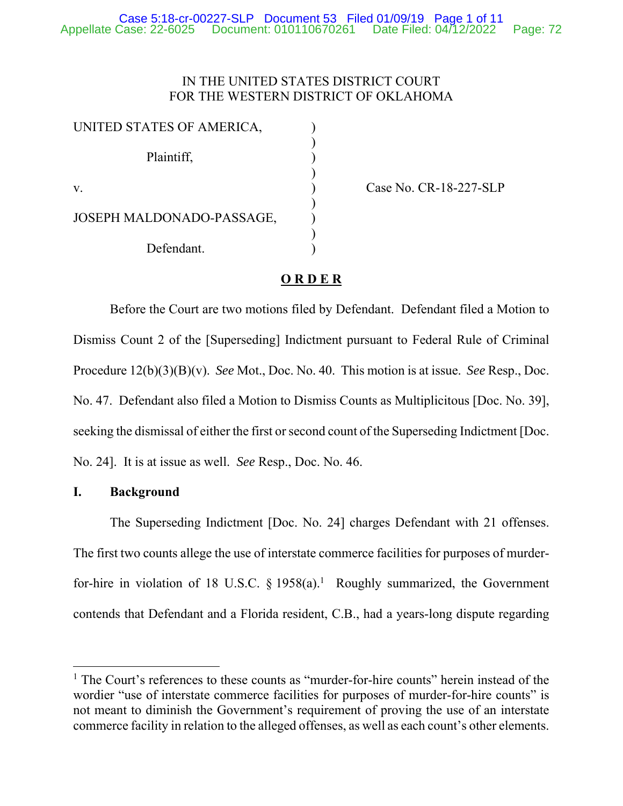### IN THE UNITED STATES DISTRICT COURT FOR THE WESTERN DISTRICT OF OKLAHOMA

| UNITED STATES OF AMERICA, |  |
|---------------------------|--|
| Plaintiff,                |  |
| V.                        |  |
| JOSEPH MALDONADO-PASSAGE, |  |
| Defendant.                |  |

Case No. CR-18-227-SLP

### **O R D E R**

Before the Court are two motions filed by Defendant. Defendant filed a Motion to Dismiss Count 2 of the [Superseding] Indictment pursuant to Federal Rule of Criminal Procedure 12(b)(3)(B)(v). *See* Mot., Doc. No. 40. This motion is at issue. *See* Resp., Doc. No. 47. Defendant also filed a Motion to Dismiss Counts as Multiplicitous [Doc. No. 39], seeking the dismissal of either the first or second count of the Superseding Indictment [Doc. No. 24]. It is at issue as well. *See* Resp., Doc. No. 46.

### **I. Background**

 $\overline{a}$ 

The Superseding Indictment [Doc. No. 24] charges Defendant with 21 offenses. The first two counts allege the use of interstate commerce facilities for purposes of murderfor-hire in violation of 18 U.S.C.  $\S$  1958(a).<sup>1</sup> Roughly summarized, the Government contends that Defendant and a Florida resident, C.B., had a years-long dispute regarding

<sup>&</sup>lt;sup>1</sup> The Court's references to these counts as "murder-for-hire counts" herein instead of the wordier "use of interstate commerce facilities for purposes of murder-for-hire counts" is not meant to diminish the Government's requirement of proving the use of an interstate commerce facility in relation to the alleged offenses, as well as each count's other elements.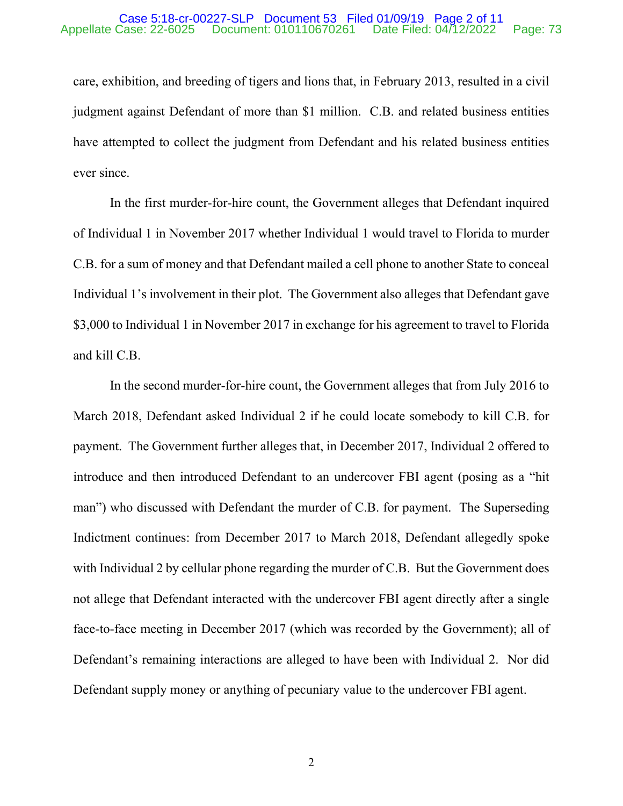#### Case 5:18-cr-00227-SLP Document 53 Filed 01/09/19 Page 2 of 11 Appellate Case: 22-6025 Document: 010110670261 Date Filed: 04/12/2022 Page: 73

care, exhibition, and breeding of tigers and lions that, in February 2013, resulted in a civil judgment against Defendant of more than \$1 million. C.B. and related business entities have attempted to collect the judgment from Defendant and his related business entities ever since.

In the first murder-for-hire count, the Government alleges that Defendant inquired of Individual 1 in November 2017 whether Individual 1 would travel to Florida to murder C.B. for a sum of money and that Defendant mailed a cell phone to another State to conceal Individual 1's involvement in their plot. The Government also alleges that Defendant gave \$3,000 to Individual 1 in November 2017 in exchange for his agreement to travel to Florida and kill C.B.

In the second murder-for-hire count, the Government alleges that from July 2016 to March 2018, Defendant asked Individual 2 if he could locate somebody to kill C.B. for payment. The Government further alleges that, in December 2017, Individual 2 offered to introduce and then introduced Defendant to an undercover FBI agent (posing as a "hit man") who discussed with Defendant the murder of C.B. for payment. The Superseding Indictment continues: from December 2017 to March 2018, Defendant allegedly spoke with Individual 2 by cellular phone regarding the murder of C.B. But the Government does not allege that Defendant interacted with the undercover FBI agent directly after a single face-to-face meeting in December 2017 (which was recorded by the Government); all of Defendant's remaining interactions are alleged to have been with Individual 2. Nor did Defendant supply money or anything of pecuniary value to the undercover FBI agent.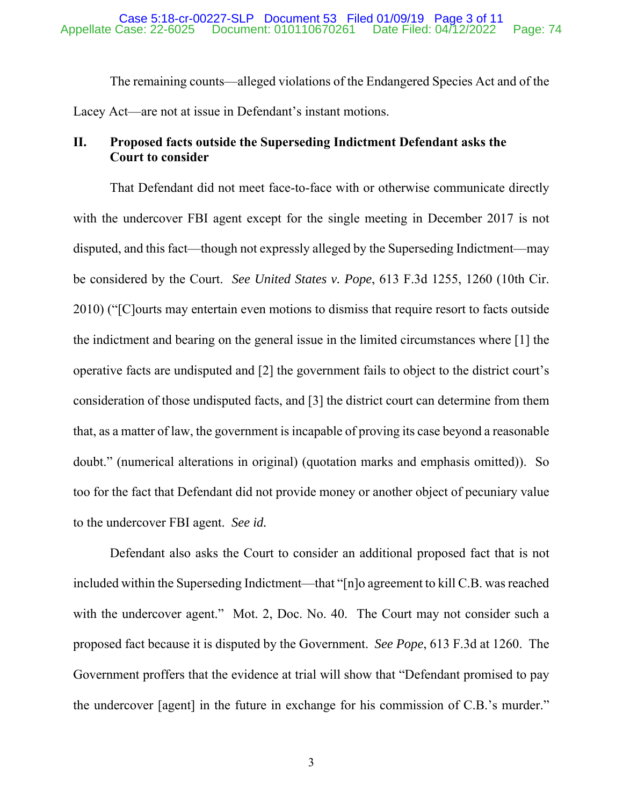The remaining counts—alleged violations of the Endangered Species Act and of the Lacey Act—are not at issue in Defendant's instant motions.

## **II. Proposed facts outside the Superseding Indictment Defendant asks the Court to consider**

That Defendant did not meet face-to-face with or otherwise communicate directly with the undercover FBI agent except for the single meeting in December 2017 is not disputed, and this fact—though not expressly alleged by the Superseding Indictment—may be considered by the Court. *See United States v. Pope*, 613 F.3d 1255, 1260 (10th Cir. 2010) ("[C]ourts may entertain even motions to dismiss that require resort to facts outside the indictment and bearing on the general issue in the limited circumstances where [1] the operative facts are undisputed and [2] the government fails to object to the district court's consideration of those undisputed facts, and [3] the district court can determine from them that, as a matter of law, the government is incapable of proving its case beyond a reasonable doubt." (numerical alterations in original) (quotation marks and emphasis omitted)). So too for the fact that Defendant did not provide money or another object of pecuniary value to the undercover FBI agent. *See id.*

Defendant also asks the Court to consider an additional proposed fact that is not included within the Superseding Indictment—that "[n]o agreement to kill C.B. was reached with the undercover agent." Mot. 2, Doc. No. 40. The Court may not consider such a proposed fact because it is disputed by the Government. *See Pope*, 613 F.3d at 1260. The Government proffers that the evidence at trial will show that "Defendant promised to pay the undercover [agent] in the future in exchange for his commission of C.B.'s murder."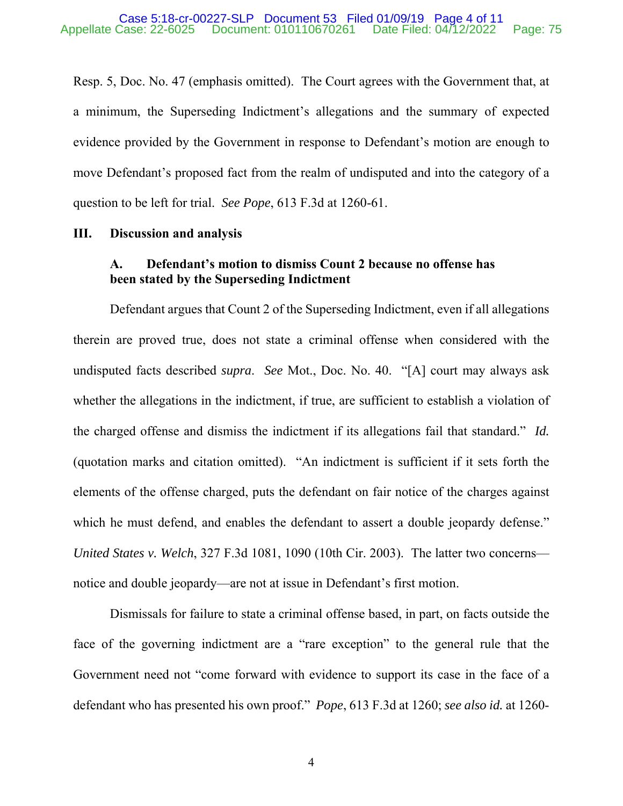Resp. 5, Doc. No. 47 (emphasis omitted). The Court agrees with the Government that, at a minimum, the Superseding Indictment's allegations and the summary of expected evidence provided by the Government in response to Defendant's motion are enough to move Defendant's proposed fact from the realm of undisputed and into the category of a question to be left for trial. *See Pope*, 613 F.3d at 1260-61.

### **III. Discussion and analysis**

### **A. Defendant's motion to dismiss Count 2 because no offense has been stated by the Superseding Indictment**

Defendant argues that Count 2 of the Superseding Indictment, even if all allegations therein are proved true, does not state a criminal offense when considered with the undisputed facts described *supra*. *See* Mot., Doc. No. 40. "[A] court may always ask whether the allegations in the indictment, if true, are sufficient to establish a violation of the charged offense and dismiss the indictment if its allegations fail that standard." *Id.* (quotation marks and citation omitted). "An indictment is sufficient if it sets forth the elements of the offense charged, puts the defendant on fair notice of the charges against which he must defend, and enables the defendant to assert a double jeopardy defense." *United States v. Welch*, 327 F.3d 1081, 1090 (10th Cir. 2003). The latter two concerns notice and double jeopardy—are not at issue in Defendant's first motion.

Dismissals for failure to state a criminal offense based, in part, on facts outside the face of the governing indictment are a "rare exception" to the general rule that the Government need not "come forward with evidence to support its case in the face of a defendant who has presented his own proof." *Pope*, 613 F.3d at 1260; *see also id.* at 1260-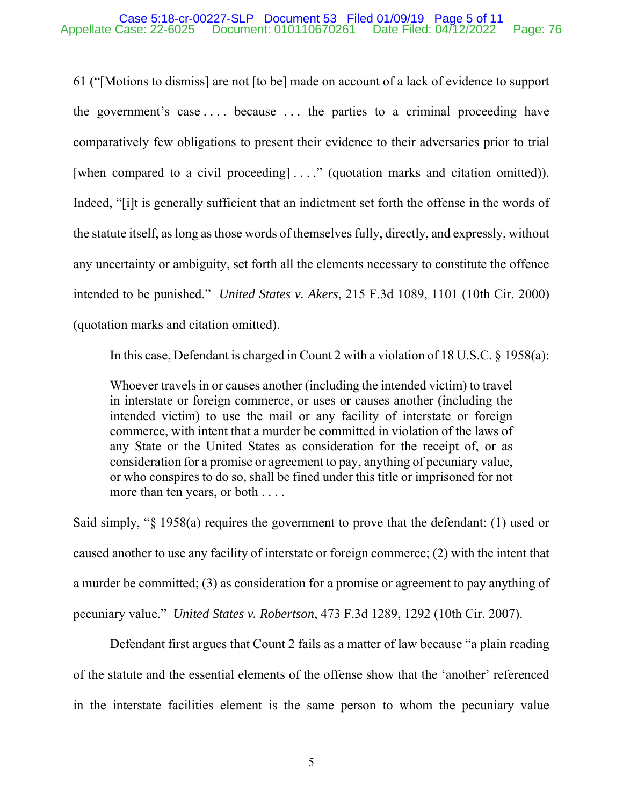### Case 5:18-cr-00227-SLP Document 53 Filed 01/09/19 Page 5 of 11 Appellate Case: 22-6025 Document: 010110670261 Date Filed: 04/12/2022 Page: 76

61 ("[Motions to dismiss] are not [to be] made on account of a lack of evidence to support the government's case  $\dots$  because  $\dots$  the parties to a criminal proceeding have comparatively few obligations to present their evidence to their adversaries prior to trial [when compared to a civil proceeding] ...." (quotation marks and citation omitted)). Indeed, "[i]t is generally sufficient that an indictment set forth the offense in the words of the statute itself, as long as those words of themselves fully, directly, and expressly, without any uncertainty or ambiguity, set forth all the elements necessary to constitute the offence intended to be punished." *United States v. Akers*, 215 F.3d 1089, 1101 (10th Cir. 2000) (quotation marks and citation omitted).

In this case, Defendant is charged in Count 2 with a violation of 18 U.S.C. § 1958(a):

Whoever travels in or causes another (including the intended victim) to travel in interstate or foreign commerce, or uses or causes another (including the intended victim) to use the mail or any facility of interstate or foreign commerce, with intent that a murder be committed in violation of the laws of any State or the United States as consideration for the receipt of, or as consideration for a promise or agreement to pay, anything of pecuniary value, or who conspires to do so, shall be fined under this title or imprisoned for not more than ten years, or both . . . .

Said simply, "§ 1958(a) requires the government to prove that the defendant: (1) used or caused another to use any facility of interstate or foreign commerce; (2) with the intent that a murder be committed; (3) as consideration for a promise or agreement to pay anything of pecuniary value." *United States v. Robertson*, 473 F.3d 1289, 1292 (10th Cir. 2007).

Defendant first argues that Count 2 fails as a matter of law because "a plain reading of the statute and the essential elements of the offense show that the 'another' referenced in the interstate facilities element is the same person to whom the pecuniary value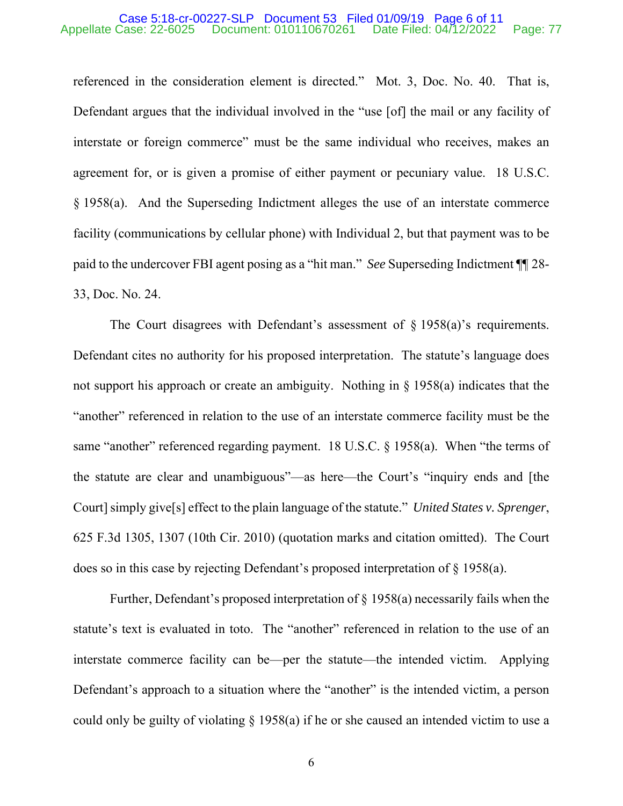#### Case 5:18-cr-00227-SLP Document 53 Filed 01/09/19 Page 6 of 11 Appellate Case: 22-6025 Document: 010110670261 Date Filed: 04/12/2022 Page: 77

referenced in the consideration element is directed." Mot. 3, Doc. No. 40. That is, Defendant argues that the individual involved in the "use [of] the mail or any facility of interstate or foreign commerce" must be the same individual who receives, makes an agreement for, or is given a promise of either payment or pecuniary value. 18 U.S.C. § 1958(a). And the Superseding Indictment alleges the use of an interstate commerce facility (communications by cellular phone) with Individual 2, but that payment was to be paid to the undercover FBI agent posing as a "hit man." *See* Superseding Indictment ¶¶ 28- 33, Doc. No. 24.

The Court disagrees with Defendant's assessment of  $\S$  1958(a)'s requirements. Defendant cites no authority for his proposed interpretation. The statute's language does not support his approach or create an ambiguity. Nothing in § 1958(a) indicates that the "another" referenced in relation to the use of an interstate commerce facility must be the same "another" referenced regarding payment. 18 U.S.C. § 1958(a). When "the terms of the statute are clear and unambiguous"—as here—the Court's "inquiry ends and [the Court] simply give[s] effect to the plain language of the statute." *United States v. Sprenger*, 625 F.3d 1305, 1307 (10th Cir. 2010) (quotation marks and citation omitted). The Court does so in this case by rejecting Defendant's proposed interpretation of § 1958(a).

Further, Defendant's proposed interpretation of § 1958(a) necessarily fails when the statute's text is evaluated in toto. The "another" referenced in relation to the use of an interstate commerce facility can be—per the statute—the intended victim. Applying Defendant's approach to a situation where the "another" is the intended victim, a person could only be guilty of violating § 1958(a) if he or she caused an intended victim to use a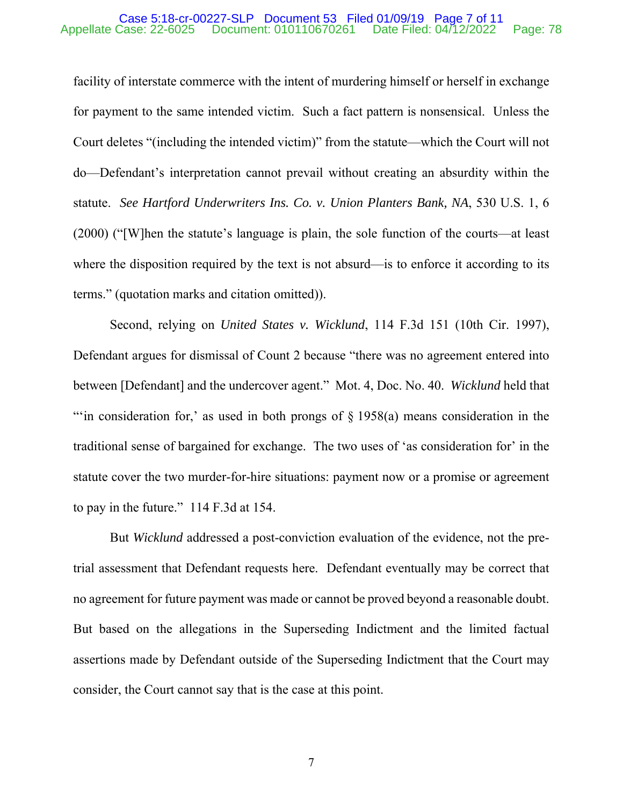#### Case 5:18-cr-00227-SLP Document 53 Filed 01/09/19 Page 7 of 11 Appellate Case: 22-6025 Document: 010110670261 Date Filed: 04/12/2022 Page: 78

facility of interstate commerce with the intent of murdering himself or herself in exchange for payment to the same intended victim. Such a fact pattern is nonsensical. Unless the Court deletes "(including the intended victim)" from the statute—which the Court will not do—Defendant's interpretation cannot prevail without creating an absurdity within the statute. *See Hartford Underwriters Ins. Co. v. Union Planters Bank, NA*, 530 U.S. 1, 6 (2000) ("[W]hen the statute's language is plain, the sole function of the courts—at least where the disposition required by the text is not absurd—is to enforce it according to its terms." (quotation marks and citation omitted)).

Second, relying on *United States v. Wicklund*, 114 F.3d 151 (10th Cir. 1997), Defendant argues for dismissal of Count 2 because "there was no agreement entered into between [Defendant] and the undercover agent." Mot. 4, Doc. No. 40. *Wicklund* held that "'in consideration for,' as used in both prongs of  $\S$  1958(a) means consideration in the traditional sense of bargained for exchange. The two uses of 'as consideration for' in the statute cover the two murder-for-hire situations: payment now or a promise or agreement to pay in the future." 114 F.3d at 154.

But *Wicklund* addressed a post-conviction evaluation of the evidence, not the pretrial assessment that Defendant requests here. Defendant eventually may be correct that no agreement for future payment was made or cannot be proved beyond a reasonable doubt. But based on the allegations in the Superseding Indictment and the limited factual assertions made by Defendant outside of the Superseding Indictment that the Court may consider, the Court cannot say that is the case at this point.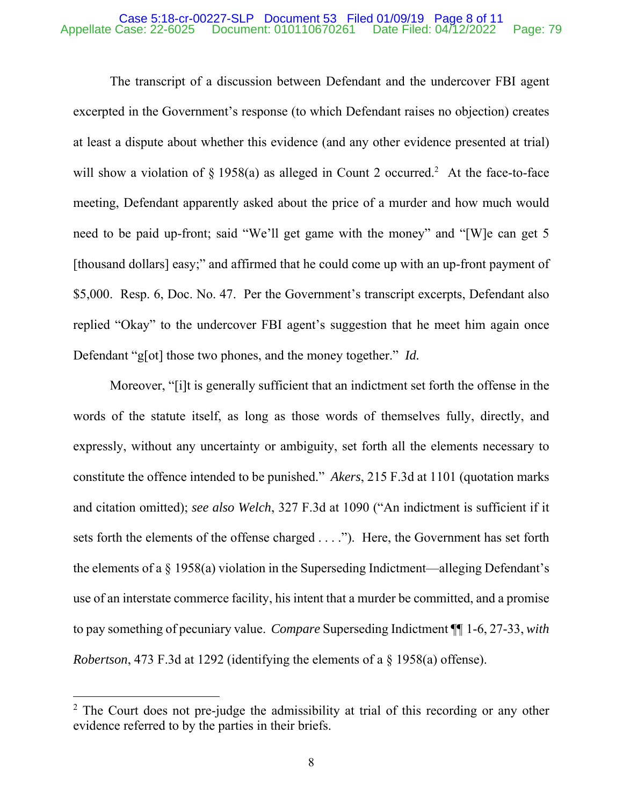#### Case 5:18-cr-00227-SLP Document 53 Filed 01/09/19 Page 8 of 11 Appellate Case: 22-6025 Document: 010110670261 Date Filed: 04/12/2022 Page: 79

The transcript of a discussion between Defendant and the undercover FBI agent excerpted in the Government's response (to which Defendant raises no objection) creates at least a dispute about whether this evidence (and any other evidence presented at trial) will show a violation of  $\S 1958(a)$  as alleged in Count 2 occurred.<sup>2</sup> At the face-to-face meeting, Defendant apparently asked about the price of a murder and how much would need to be paid up-front; said "We'll get game with the money" and "[W]e can get 5 [thousand dollars] easy;" and affirmed that he could come up with an up-front payment of \$5,000. Resp. 6, Doc. No. 47. Per the Government's transcript excerpts, Defendant also replied "Okay" to the undercover FBI agent's suggestion that he meet him again once Defendant "g[ot] those two phones, and the money together." *Id.*

Moreover, "[i]t is generally sufficient that an indictment set forth the offense in the words of the statute itself, as long as those words of themselves fully, directly, and expressly, without any uncertainty or ambiguity, set forth all the elements necessary to constitute the offence intended to be punished." *Akers*, 215 F.3d at 1101 (quotation marks and citation omitted); *see also Welch*, 327 F.3d at 1090 ("An indictment is sufficient if it sets forth the elements of the offense charged . . . ."). Here, the Government has set forth the elements of a  $\S$  1958(a) violation in the Superseding Indictment—alleging Defendant's use of an interstate commerce facility, his intent that a murder be committed, and a promise to pay something of pecuniary value. *Compare* Superseding Indictment ¶¶ 1-6, 27-33, *with Robertson*, 473 F.3d at 1292 (identifying the elements of a § 1958(a) offense).

 $\overline{a}$ 

 $2$  The Court does not pre-judge the admissibility at trial of this recording or any other evidence referred to by the parties in their briefs.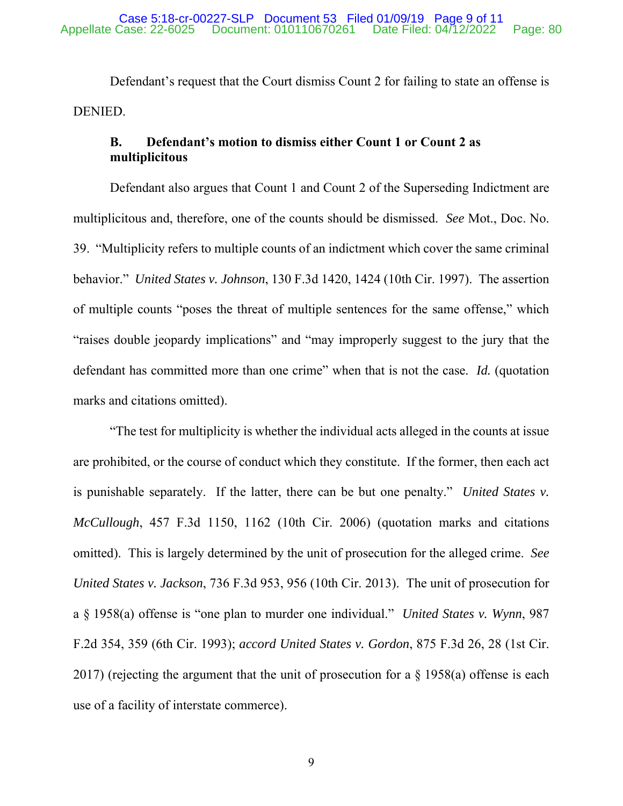Defendant's request that the Court dismiss Count 2 for failing to state an offense is DENIED.

# **B. Defendant's motion to dismiss either Count 1 or Count 2 as multiplicitous**

Defendant also argues that Count 1 and Count 2 of the Superseding Indictment are multiplicitous and, therefore, one of the counts should be dismissed. *See* Mot., Doc. No. 39. "Multiplicity refers to multiple counts of an indictment which cover the same criminal behavior." *United States v. Johnson*, 130 F.3d 1420, 1424 (10th Cir. 1997). The assertion of multiple counts "poses the threat of multiple sentences for the same offense," which "raises double jeopardy implications" and "may improperly suggest to the jury that the defendant has committed more than one crime" when that is not the case. *Id.* (quotation marks and citations omitted).

"The test for multiplicity is whether the individual acts alleged in the counts at issue are prohibited, or the course of conduct which they constitute. If the former, then each act is punishable separately. If the latter, there can be but one penalty." *United States v. McCullough*, 457 F.3d 1150, 1162 (10th Cir. 2006) (quotation marks and citations omitted). This is largely determined by the unit of prosecution for the alleged crime. *See United States v. Jackson*, 736 F.3d 953, 956 (10th Cir. 2013). The unit of prosecution for a § 1958(a) offense is "one plan to murder one individual." *United States v. Wynn*, 987 F.2d 354, 359 (6th Cir. 1993); *accord United States v. Gordon*, 875 F.3d 26, 28 (1st Cir. 2017) (rejecting the argument that the unit of prosecution for a § 1958(a) offense is each use of a facility of interstate commerce).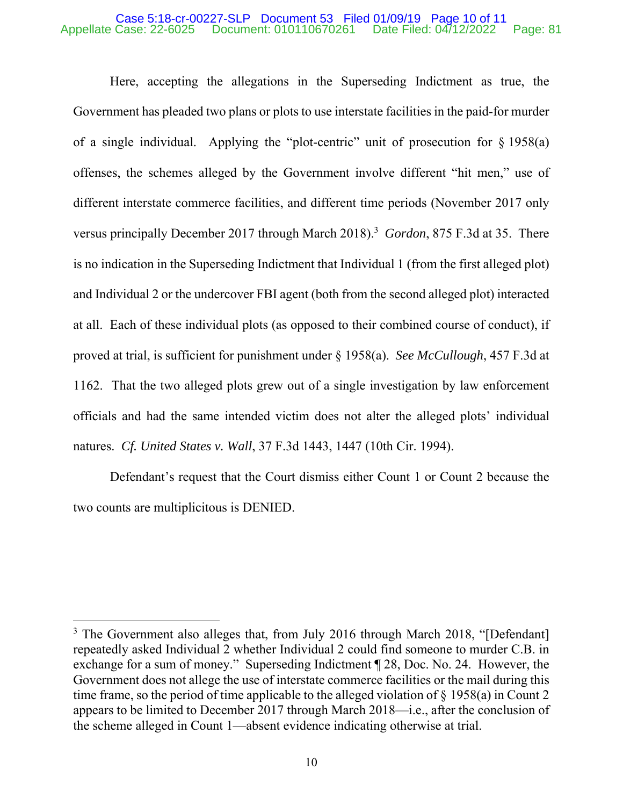### Case 5:18-cr-00227-SLP Document 53 Filed 01/09/19 Page 10 of 11<br>Appellate Case: 22-6025 Document: 010110670261 Date Filed: 04/12/2022 Document: 010110670261 Date Filed: 04/12/2022 Page: 81

Here, accepting the allegations in the Superseding Indictment as true, the Government has pleaded two plans or plots to use interstate facilities in the paid-for murder of a single individual. Applying the "plot-centric" unit of prosecution for § 1958(a) offenses, the schemes alleged by the Government involve different "hit men," use of different interstate commerce facilities, and different time periods (November 2017 only versus principally December 2017 through March 2018).<sup>3</sup> Gordon, 875 F.3d at 35. There is no indication in the Superseding Indictment that Individual 1 (from the first alleged plot) and Individual 2 or the undercover FBI agent (both from the second alleged plot) interacted at all. Each of these individual plots (as opposed to their combined course of conduct), if proved at trial, is sufficient for punishment under § 1958(a). *See McCullough*, 457 F.3d at 1162. That the two alleged plots grew out of a single investigation by law enforcement officials and had the same intended victim does not alter the alleged plots' individual natures. *Cf. United States v. Wall*, 37 F.3d 1443, 1447 (10th Cir. 1994).

Defendant's request that the Court dismiss either Count 1 or Count 2 because the two counts are multiplicitous is DENIED.

 $\overline{a}$ 

<sup>&</sup>lt;sup>3</sup> The Government also alleges that, from July 2016 through March 2018, "[Defendant] repeatedly asked Individual 2 whether Individual 2 could find someone to murder C.B. in exchange for a sum of money." Superseding Indictment ¶ 28, Doc. No. 24. However, the Government does not allege the use of interstate commerce facilities or the mail during this time frame, so the period of time applicable to the alleged violation of § 1958(a) in Count 2 appears to be limited to December 2017 through March 2018—i.e., after the conclusion of the scheme alleged in Count 1—absent evidence indicating otherwise at trial.